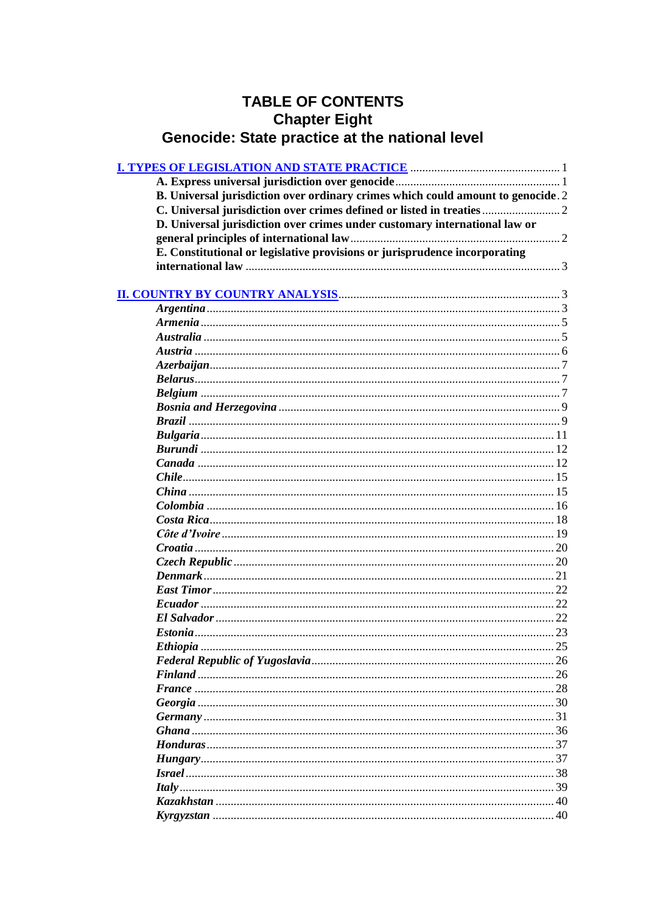# **TABLE OF CONTENTS** Chapter Eight<br>Genocide: State practice at the national level

| B. Universal jurisdiction over ordinary crimes which could amount to genocide. 2 |  |
|----------------------------------------------------------------------------------|--|
|                                                                                  |  |
| D. Universal jurisdiction over crimes under customary international law or       |  |
|                                                                                  |  |
| E. Constitutional or legislative provisions or jurisprudence incorporating       |  |
|                                                                                  |  |
|                                                                                  |  |
|                                                                                  |  |
|                                                                                  |  |
|                                                                                  |  |
|                                                                                  |  |
|                                                                                  |  |
|                                                                                  |  |
|                                                                                  |  |
|                                                                                  |  |
|                                                                                  |  |
|                                                                                  |  |
|                                                                                  |  |
|                                                                                  |  |
|                                                                                  |  |
|                                                                                  |  |
|                                                                                  |  |
|                                                                                  |  |
|                                                                                  |  |
|                                                                                  |  |
|                                                                                  |  |
|                                                                                  |  |
|                                                                                  |  |
|                                                                                  |  |
|                                                                                  |  |
|                                                                                  |  |
|                                                                                  |  |
|                                                                                  |  |
|                                                                                  |  |
|                                                                                  |  |
|                                                                                  |  |
|                                                                                  |  |
|                                                                                  |  |
|                                                                                  |  |
|                                                                                  |  |
|                                                                                  |  |
|                                                                                  |  |
|                                                                                  |  |
|                                                                                  |  |
|                                                                                  |  |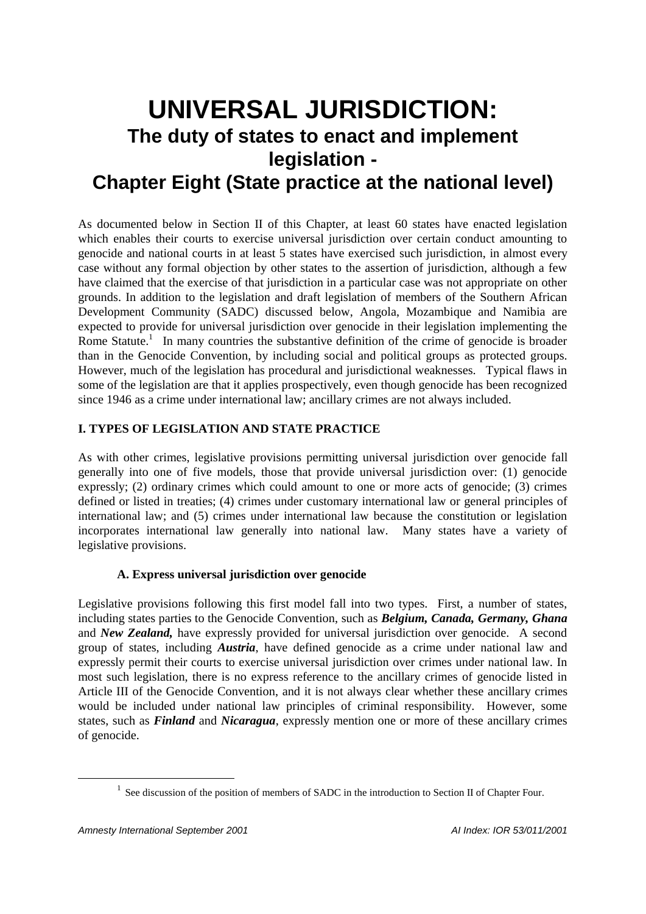# **UNIVERSAL JURISDICTION: The duty of states to enact and implement legislation -**

# **Chapter Eight (State practice at the national level)**

As documented below in Section II of this Chapter, at least 60 states have enacted legislation which enables their courts to exercise universal jurisdiction over certain conduct amounting to genocide and national courts in at least 5 states have exercised such jurisdiction, in almost every case without any formal objection by other states to the assertion of jurisdiction, although a few have claimed that the exercise of that jurisdiction in a particular case was not appropriate on other grounds. In addition to the legislation and draft legislation of members of the Southern African Development Community (SADC) discussed below, Angola, Mozambique and Namibia are expected to provide for universal jurisdiction over genocide in their legislation implementing the Rome Statute.<sup>1</sup> In many countries the substantive definition of the crime of genocide is broader than in the Genocide Convention, by including social and political groups as protected groups. However, much of the legislation has procedural and jurisdictional weaknesses. Typical flaws in some of the legislation are that it applies prospectively, even though genocide has been recognized since 1946 as a crime under international law; ancillary crimes are not always included.

# **I. TYPES OF LEGISLATION AND STATE PRACTICE**

As with other crimes, legislative provisions permitting universal jurisdiction over genocide fall generally into one of five models, those that provide universal jurisdiction over: (1) genocide expressly; (2) ordinary crimes which could amount to one or more acts of genocide; (3) crimes defined or listed in treaties; (4) crimes under customary international law or general principles of international law; and (5) crimes under international law because the constitution or legislation incorporates international law generally into national law. Many states have a variety of legislative provisions.

## **A. Express universal jurisdiction over genocide**

Legislative provisions following this first model fall into two types. First, a number of states, including states parties to the Genocide Convention, such as *Belgium, Canada, Germany, Ghana* and *New Zealand,* have expressly provided for universal jurisdiction over genocide. A second group of states, including *Austria*, have defined genocide as a crime under national law and expressly permit their courts to exercise universal jurisdiction over crimes under national law. In most such legislation, there is no express reference to the ancillary crimes of genocide listed in Article III of the Genocide Convention, and it is not always clear whether these ancillary crimes would be included under national law principles of criminal responsibility. However, some states, such as *Finland* and *Nicaragua*, expressly mention one or more of these ancillary crimes of genocide.

 $<sup>1</sup>$  See discussion of the position of members of SADC in the introduction to Section II of Chapter Four.</sup>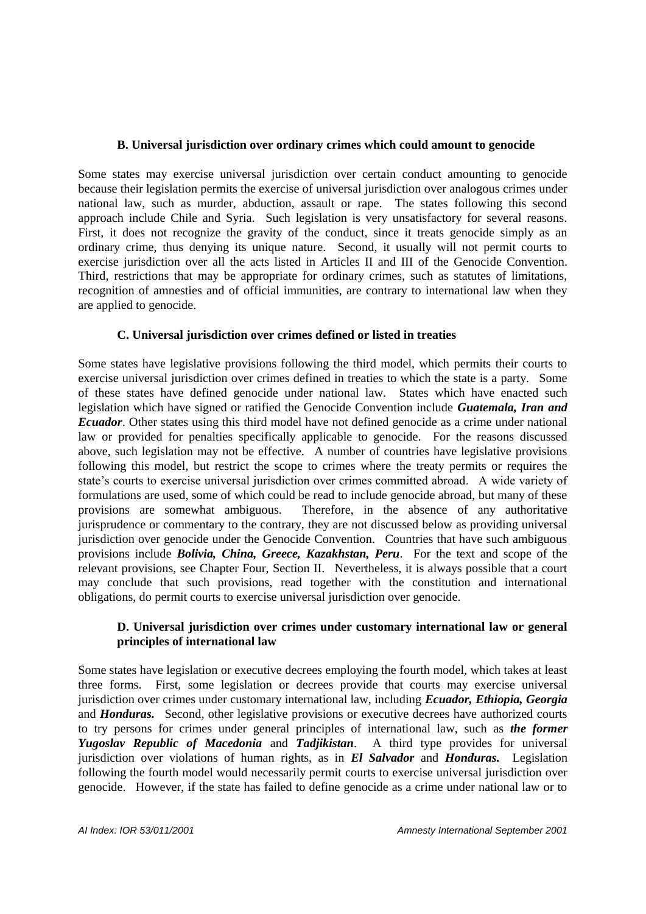#### **B. Universal jurisdiction over ordinary crimes which could amount to genocide**

Some states may exercise universal jurisdiction over certain conduct amounting to genocide because their legislation permits the exercise of universal jurisdiction over analogous crimes under national law, such as murder, abduction, assault or rape. The states following this second approach include Chile and Syria. Such legislation is very unsatisfactory for several reasons. First, it does not recognize the gravity of the conduct, since it treats genocide simply as an ordinary crime, thus denying its unique nature. Second, it usually will not permit courts to exercise jurisdiction over all the acts listed in Articles II and III of the Genocide Convention. Third, restrictions that may be appropriate for ordinary crimes, such as statutes of limitations, recognition of amnesties and of official immunities, are contrary to international law when they are applied to genocide.

## **C. Universal jurisdiction over crimes defined or listed in treaties**

Some states have legislative provisions following the third model, which permits their courts to exercise universal jurisdiction over crimes defined in treaties to which the state is a party. Some of these states have defined genocide under national law. States which have enacted such legislation which have signed or ratified the Genocide Convention include *Guatemala, Iran and Ecuador*. Other states using this third model have not defined genocide as a crime under national law or provided for penalties specifically applicable to genocide. For the reasons discussed above, such legislation may not be effective. A number of countries have legislative provisions following this model, but restrict the scope to crimes where the treaty permits or requires the state's courts to exercise universal jurisdiction over crimes committed abroad. A wide variety of formulations are used, some of which could be read to include genocide abroad, but many of these provisions are somewhat ambiguous. Therefore, in the absence of any authoritative jurisprudence or commentary to the contrary, they are not discussed below as providing universal jurisdiction over genocide under the Genocide Convention. Countries that have such ambiguous provisions include *Bolivia, China, Greece, Kazakhstan, Peru*. For the text and scope of the relevant provisions, see Chapter Four, Section II. Nevertheless, it is always possible that a court may conclude that such provisions, read together with the constitution and international obligations, do permit courts to exercise universal jurisdiction over genocide.

## **D. Universal jurisdiction over crimes under customary international law or general principles of international law**

Some states have legislation or executive decrees employing the fourth model, which takes at least three forms. First, some legislation or decrees provide that courts may exercise universal jurisdiction over crimes under customary international law, including *Ecuador, Ethiopia, Georgia* and *Honduras.* Second, other legislative provisions or executive decrees have authorized courts to try persons for crimes under general principles of international law, such as *the former Yugoslav Republic of Macedonia* and *Tadjikistan*. A third type provides for universal jurisdiction over violations of human rights, as in *El Salvador* and *Honduras.* Legislation following the fourth model would necessarily permit courts to exercise universal jurisdiction over genocide. However, if the state has failed to define genocide as a crime under national law or to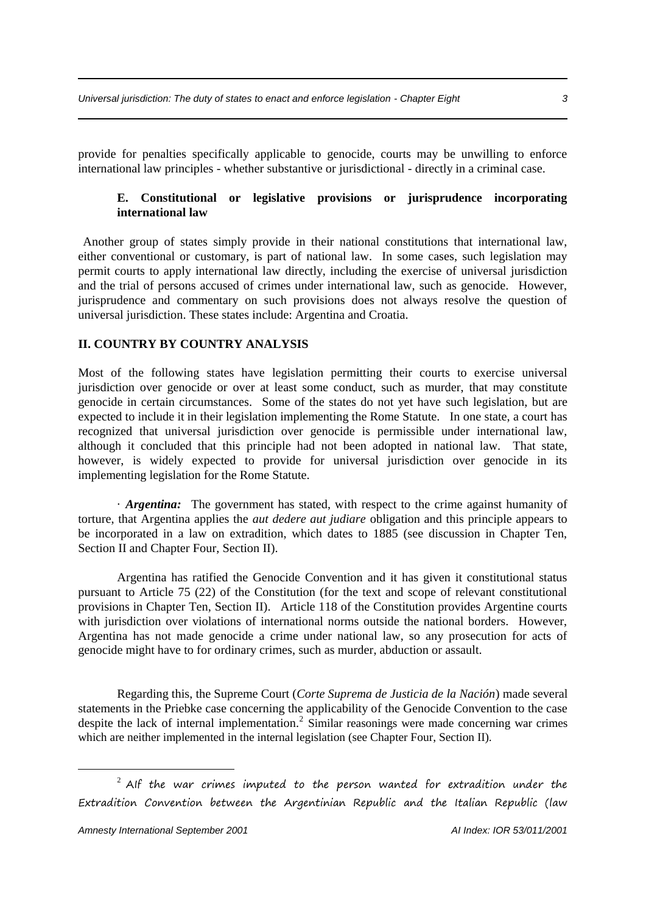provide for penalties specifically applicable to genocide, courts may be unwilling to enforce international law principles - whether substantive or jurisdictional - directly in a criminal case.

#### **E. Constitutional or legislative provisions or jurisprudence incorporating international law**

Another group of states simply provide in their national constitutions that international law, either conventional or customary, is part of national law. In some cases, such legislation may permit courts to apply international law directly, including the exercise of universal jurisdiction and the trial of persons accused of crimes under international law, such as genocide. However, jurisprudence and commentary on such provisions does not always resolve the question of universal jurisdiction. These states include: Argentina and Croatia.

#### **II. COUNTRY BY COUNTRY ANALYSIS**

Most of the following states have legislation permitting their courts to exercise universal jurisdiction over genocide or over at least some conduct, such as murder, that may constitute genocide in certain circumstances. Some of the states do not yet have such legislation, but are expected to include it in their legislation implementing the Rome Statute. In one state, a court has recognized that universal jurisdiction over genocide is permissible under international law, although it concluded that this principle had not been adopted in national law. That state, however, is widely expected to provide for universal jurisdiction over genocide in its implementing legislation for the Rome Statute.

· *Argentina:* The government has stated, with respect to the crime against humanity of torture, that Argentina applies the *aut dedere aut judiare* obligation and this principle appears to be incorporated in a law on extradition, which dates to 1885 (see discussion in Chapter Ten, Section II and Chapter Four, Section II).

Argentina has ratified the Genocide Convention and it has given it constitutional status pursuant to Article 75 (22) of the Constitution (for the text and scope of relevant constitutional provisions in Chapter Ten, Section II). Article 118 of the Constitution provides Argentine courts with jurisdiction over violations of international norms outside the national borders. However, Argentina has not made genocide a crime under national law, so any prosecution for acts of genocide might have to for ordinary crimes, such as murder, abduction or assault.

Regarding this, the Supreme Court (*Corte Suprema de Justicia de la Nación*) made several statements in the Priebke case concerning the applicability of the Genocide Convention to the case despite the lack of internal implementation.<sup>2</sup> Similar reasonings were made concerning war crimes which are neither implemented in the internal legislation (see Chapter Four, Section II).

 $2$  AIf the war crimes imputed to the person wanted for extradition under the Extradition Convention between the Argentinian Republic and the Italian Republic (law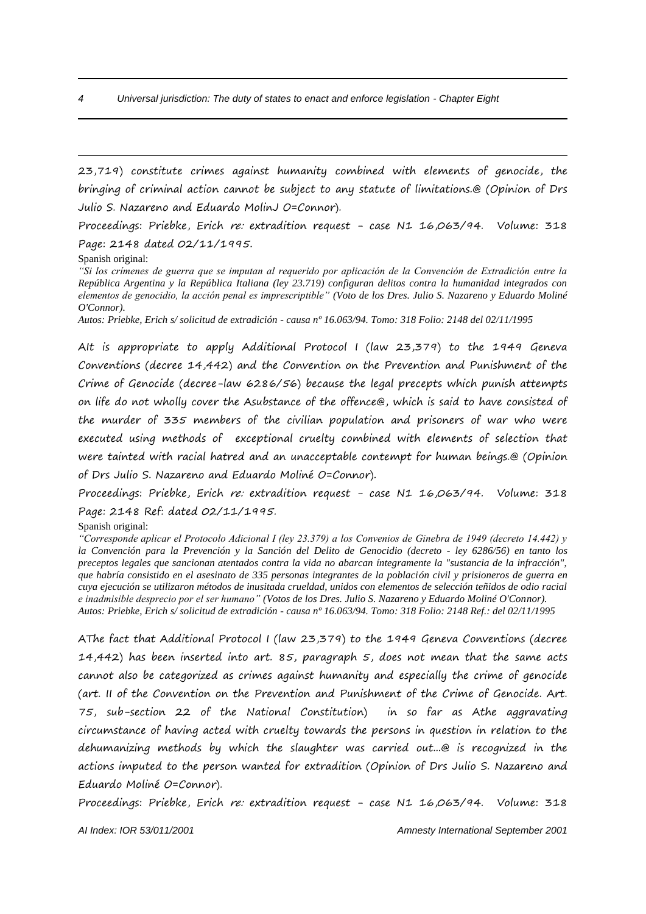23,719) constitute crimes against humanity combined with elements of genocide, the bringing of criminal action cannot be subject to any statute of limitations.@ (Opinion of Drs Julio S. Nazareno and Eduardo MolinJ O=Connor).

Proceedings: Priebke, Erich re: extradition request - case N1 16,063/94. Volume: 318 Page: 2148 dated 02/11/1995.

Spanish original:

<u>.</u>

*"Si los crímenes de guerra que se imputan al requerido por aplicación de la Convención de Extradición entre la República Argentina y la República Italiana (ley 23.719) configuran delitos contra la humanidad integrados con elementos de genocidio, la acción penal es imprescriptible" (Voto de los Dres. Julio S. Nazareno y Eduardo Moliné O'Connor).*

*Autos: Priebke, Erich s/ solicitud de extradición - causa nº 16.063/94. Tomo: 318 Folio: 2148 del 02/11/1995*

AIt is appropriate to apply Additional Protocol I (law 23,379) to the 1949 Geneva Conventions (decree 14,442) and the Convention on the Prevention and Punishment of the Crime of Genocide (decree-law 6286/56) because the legal precepts which punish attempts on life do not wholly cover the Asubstance of the offence@, which is said to have consisted of the murder of 335 members of the civilian population and prisoners of war who were executed using methods of exceptional cruelty combined with elements of selection that were tainted with racial hatred and an unacceptable contempt for human beings.@ (Opinion of Drs Julio S. Nazareno and Eduardo Moliné O=Connor).

Proceedings: Priebke, Erich re: extradition request - case N1 16,063/94. Volume: 318 Page: 2148 Ref: dated 02/11/1995.

Spanish original:

*"Corresponde aplicar el Protocolo Adicional I (ley 23.379) a los Convenios de Ginebra de 1949 (decreto 14.442) y la Convención para la Prevención y la Sanción del Delito de Genocidio (decreto - ley 6286/56) en tanto los preceptos legales que sancionan atentados contra la vida no abarcan íntegramente la "sustancia de la infracción", que habría consistido en el asesinato de 335 personas integrantes de la población civil y prisioneros de guerra en cuya ejecución se utilizaron métodos de inusitada crueldad, unidos con elementos de selección teñidos de odio racial e inadmisible desprecio por el ser humano" (Votos de los Dres. Julio S. Nazareno y Eduardo Moliné O'Connor). Autos: Priebke, Erich s/ solicitud de extradición - causa nº 16.063/94. Tomo: 318 Folio: 2148 Ref.: del 02/11/1995*

AThe fact that Additional Protocol I (law 23,379) to the 1949 Geneva Conventions (decree 14,442) has been inserted into art. 85, paragraph 5, does not mean that the same acts cannot also be categorized as crimes against humanity and especially the crime of genocide (art. II of the Convention on the Prevention and Punishment of the Crime of Genocide. Art. 75, sub-section 22 of the National Constitution) in so far as Athe aggravating circumstance of having acted with cruelty towards the persons in question in relation to the dehumanizing methods by which the slaughter was carried out...@ is recognized in the actions imputed to the person wanted for extradition (Opinion of Drs Julio S. Nazareno and Eduardo Moliné O=Connor).

Proceedings: Priebke, Erich re: extradition request - case N1 16,063/94. Volume: 318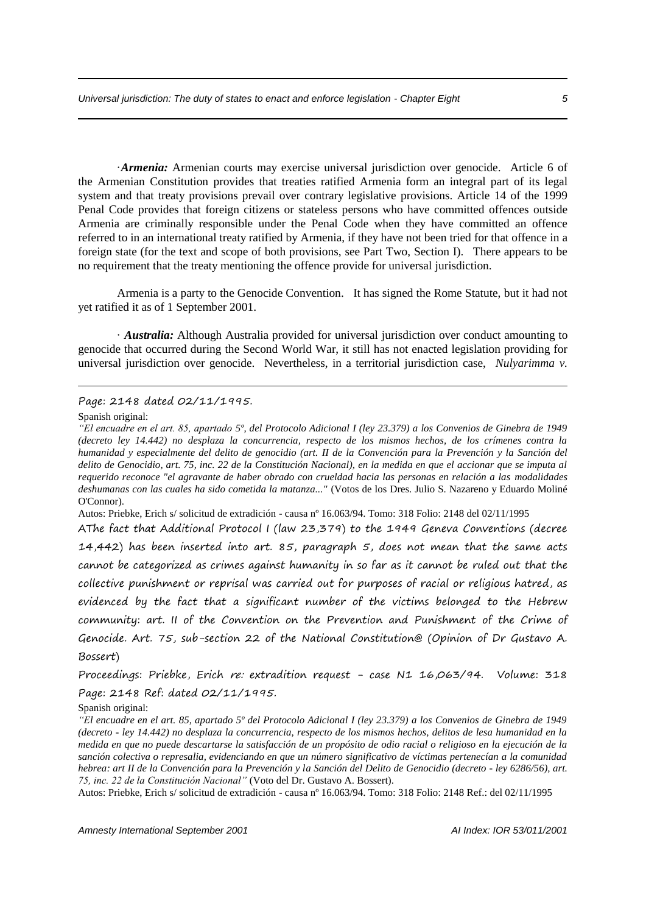·*Armenia:* Armenian courts may exercise universal jurisdiction over genocide. Article 6 of the Armenian Constitution provides that treaties ratified Armenia form an integral part of its legal system and that treaty provisions prevail over contrary legislative provisions. Article 14 of the 1999 Penal Code provides that foreign citizens or stateless persons who have committed offences outside Armenia are criminally responsible under the Penal Code when they have committed an offence referred to in an international treaty ratified by Armenia, if they have not been tried for that offence in a foreign state (for the text and scope of both provisions, see Part Two, Section I). There appears to be no requirement that the treaty mentioning the offence provide for universal jurisdiction.

Armenia is a party to the Genocide Convention. It has signed the Rome Statute, but it had not yet ratified it as of 1 September 2001.

· *Australia:* Although Australia provided for universal jurisdiction over conduct amounting to genocide that occurred during the Second World War, it still has not enacted legislation providing for universal jurisdiction over genocide. Nevertheless, in a territorial jurisdiction case, *Nulyarimma v.* 

#### Page: 2148 dated 02/11/1995.

Spanish original:

1

Autos: Priebke, Erich s/ solicitud de extradición - causa nº 16.063/94. Tomo: 318 Folio: 2148 del 02/11/1995

AThe fact that Additional Protocol I (law 23,379) to the 1949 Geneva Conventions (decree 14,442) has been inserted into art.  $85$ , paragraph  $5$ , does not mean that the same acts cannot be categorized as crimes against humanity in so far as it cannot be ruled out that the collective punishment or reprisal was carried out for purposes of racial or religious hatred, as evidenced by the fact that a significant number of the victims belonged to the Hebrew community: art. II of the Convention on the Prevention and Punishment of the Crime of Genocide. Art. 75, sub-section 22 of the National Constitution@ (Opinion of Dr Gustavo A. Bossert)

Proceedings: Priebke, Erich re: extradition request - case N1 16,063/94. Volume: 318 Page: 2148 Ref: dated 02/11/1995.

Spanish original:

*Amnesty International September 2001 AI Index: IOR 53/011/2001*

*<sup>&</sup>quot;El encuadre en el art. 85, apartado 5º, del Protocolo Adicional I (ley 23.379) a los Convenios de Ginebra de 1949 (decreto ley 14.442) no desplaza la concurrencia, respecto de los mismos hechos, de los crímenes contra la humanidad y especialmente del delito de genocidio (art. II de la Convención para la Prevención y la Sanción del delito de Genocidio, art. 75, inc. 22 de la Constitución Nacional), en la medida en que el accionar que se imputa al requerido reconoce "el agravante de haber obrado con crueldad hacia las personas en relación a las modalidades deshumanas con las cuales ha sido cometida la matanza..."* (Votos de los Dres. Julio S. Nazareno y Eduardo Moliné O'Connor).

*<sup>&</sup>quot;El encuadre en el art. 85, apartado 5º del Protocolo Adicional I (ley 23.379) a los Convenios de Ginebra de 1949 (decreto - ley 14.442) no desplaza la concurrencia, respecto de los mismos hechos, delitos de lesa humanidad en la medida en que no puede descartarse la satisfacción de un propósito de odio racial o religioso en la ejecución de la sanción colectiva o represalia, evidenciando en que un número significativo de víctimas pertenecían a la comunidad hebrea: art II de la Convención para la Prevención y la Sanción del Delito de Genocidio (decreto - ley 6286/56), art. 75, inc. 22 de la Constitución Nacional"* (Voto del Dr. Gustavo A. Bossert).

Autos: Priebke, Erich s/ solicitud de extradición - causa nº 16.063/94. Tomo: 318 Folio: 2148 Ref.: del 02/11/1995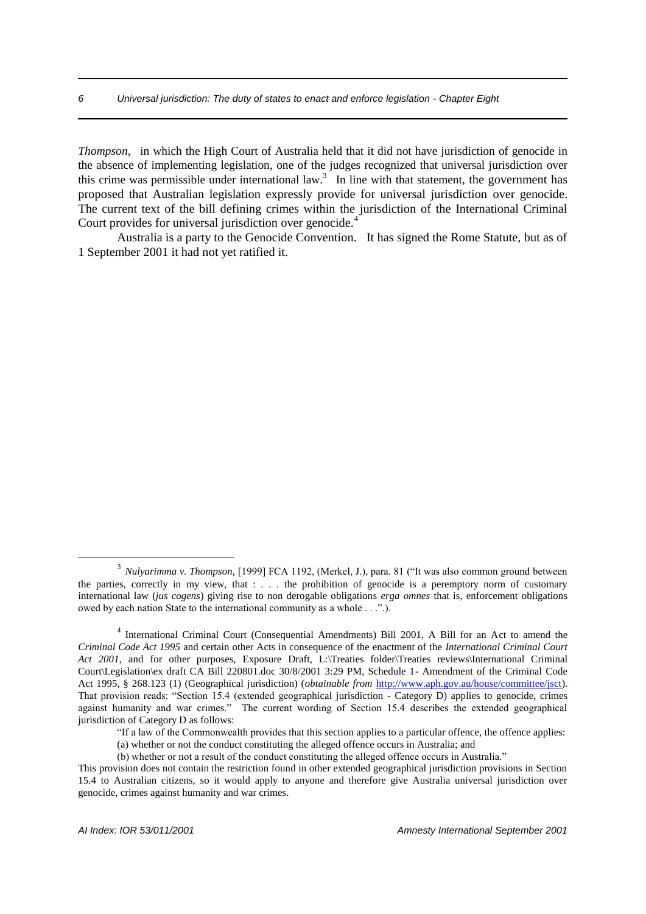*Thompson,* in which the High Court of Australia held that it did not have jurisdiction of genocide in the absence of implementing legislation, one of the judges recognized that universal jurisdiction over this crime was permissible under international law.<sup>3</sup> In line with that statement, the government has proposed that Australian legislation expressly provide for universal jurisdiction over genocide. The current text of the bill defining crimes within the jurisdiction of the International Criminal Court provides for universal jurisdiction over genocide.<sup>4</sup>

Australia is a party to the Genocide Convention. It has signed the Rome Statute, but as of 1 September 2001 it had not yet ratified it.

<sup>3</sup> *Nulyarimma v. Thompson,* [1999] FCA 1192, (Merkel, J.), para. 81 ("It was also common ground between the parties, correctly in my view, that : . . . the prohibition of genocide is a peremptory norm of customary international law (*jus cogens*) giving rise to non derogable obligations *erga omnes* that is, enforcement obligations owed by each nation State to the international community as a whole . . .".).

<sup>&</sup>lt;sup>4</sup> International Criminal Court (Consequential Amendments) Bill 2001, A Bill for an Act to amend the *Criminal Code Act 1995* and certain other Acts in consequence of the enactment of the *International Criminal Court Act 2001,* and for other purposes, Exposure Draft, L:\Treaties folder\Treaties reviews\International Criminal Court\Legislation\ex draft CA Bill 220801.doc 30/8/2001 3:29 PM, Schedule 1- Amendment of the Criminal Code Act 1995, § 268.123 (1) (Geographical jurisdiction) (*obtainable from* http://www.aph.gov.au/house/committee/jsct). That provision reads: "Section 15.4 (extended geographical jurisdiction - Category D) applies to genocide, crimes against humanity and war crimes." The current wording of Section 15.4 describes the extended geographical jurisdiction of Category D as follows:

<sup>&</sup>quot;If a law of the Commonwealth provides that this section applies to a particular offence, the offence applies:

<sup>(</sup>a) whether or not the conduct constituting the alleged offence occurs in Australia; and

<sup>(</sup>b) whether or not a result of the conduct constituting the alleged offence occurs in Australia."

This provision does not contain the restriction found in other extended geographical jurisdiction provisions in Section 15.4 to Australian citizens, so it would apply to anyone and therefore give Australia universal jurisdiction over genocide, crimes against humanity and war crimes.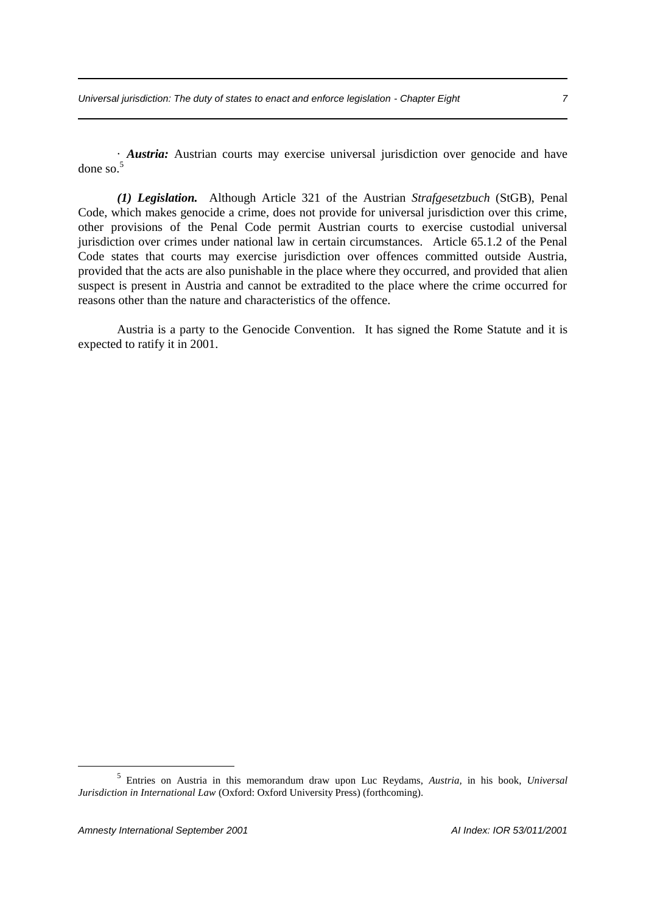· *Austria:* Austrian courts may exercise universal jurisdiction over genocide and have done so $<sup>5</sup>$ </sup>

*(1) Legislation.* Although Article 321 of the Austrian *Strafgesetzbuch* (StGB), Penal Code, which makes genocide a crime, does not provide for universal jurisdiction over this crime, other provisions of the Penal Code permit Austrian courts to exercise custodial universal jurisdiction over crimes under national law in certain circumstances. Article 65.1.2 of the Penal Code states that courts may exercise jurisdiction over offences committed outside Austria, provided that the acts are also punishable in the place where they occurred, and provided that alien suspect is present in Austria and cannot be extradited to the place where the crime occurred for reasons other than the nature and characteristics of the offence.

Austria is a party to the Genocide Convention. It has signed the Rome Statute and it is expected to ratify it in 2001.

<sup>5</sup> Entries on Austria in this memorandum draw upon Luc Reydams, *Austria,* in his book, *Universal Jurisdiction in International Law* (Oxford: Oxford University Press) (forthcoming).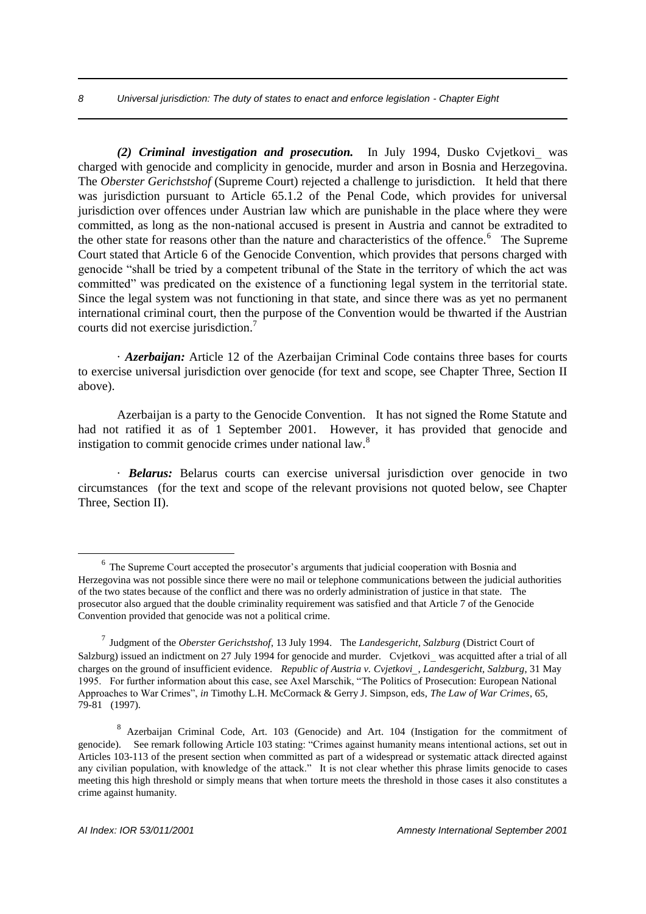#### *8 Universal jurisdiction: The duty of states to enact and enforce legislation - Chapter Eight*

*(2) Criminal investigation and prosecution.* In July 1994, Dusko Cvjetkovi was charged with genocide and complicity in genocide, murder and arson in Bosnia and Herzegovina. The *Oberster Gerichstshof* (Supreme Court) rejected a challenge to jurisdiction. It held that there was jurisdiction pursuant to Article 65.1.2 of the Penal Code, which provides for universal jurisdiction over offences under Austrian law which are punishable in the place where they were committed, as long as the non-national accused is present in Austria and cannot be extradited to the other state for reasons other than the nature and characteristics of the offence.<sup>6</sup> The Supreme Court stated that Article 6 of the Genocide Convention, which provides that persons charged with genocide "shall be tried by a competent tribunal of the State in the territory of which the act was committed" was predicated on the existence of a functioning legal system in the territorial state. Since the legal system was not functioning in that state, and since there was as yet no permanent international criminal court, then the purpose of the Convention would be thwarted if the Austrian courts did not exercise jurisdiction.<sup>7</sup>

· *Azerbaijan:* Article 12 of the Azerbaijan Criminal Code contains three bases for courts to exercise universal jurisdiction over genocide (for text and scope, see Chapter Three, Section II above).

Azerbaijan is a party to the Genocide Convention. It has not signed the Rome Statute and had not ratified it as of 1 September 2001. However, it has provided that genocide and instigation to commit genocide crimes under national law.<sup>8</sup>

· *Belarus:* Belarus courts can exercise universal jurisdiction over genocide in two circumstances (for the text and scope of the relevant provisions not quoted below, see Chapter Three, Section II).

<sup>&</sup>lt;sup>6</sup> The Supreme Court accepted the prosecutor's arguments that judicial cooperation with Bosnia and Herzegovina was not possible since there were no mail or telephone communications between the judicial authorities of the two states because of the conflict and there was no orderly administration of justice in that state. The prosecutor also argued that the double criminality requirement was satisfied and that Article 7 of the Genocide Convention provided that genocide was not a political crime.

<sup>7</sup> Judgment of the *Oberster Gerichstshof*, 13 July 1994. The *Landesgericht, Salzburg* (District Court of Salzburg) issued an indictment on 27 July 1994 for genocide and murder. Cvjetkovi was acquitted after a trial of all charges on the ground of insufficient evidence. *Republic of Austria v. Cvjetkovi*, *Landesgericht, Salzburg*, 31 May 1995. For further information about this case, see Axel Marschik, "The Politics of Prosecution: European National Approaches to War Crimes", *in* Timothy L.H. McCormack & Gerry J. Simpson, eds, *The Law of War Crimes*, 65, 79-81 (1997).

<sup>8</sup> Azerbaijan Criminal Code, Art. 103 (Genocide) and Art. 104 (Instigation for the commitment of genocide). See remark following Article 103 stating: "Crimes against humanity means intentional actions, set out in Articles 103-113 of the present section when committed as part of a widespread or systematic attack directed against any civilian population, with knowledge of the attack." It is not clear whether this phrase limits genocide to cases meeting this high threshold or simply means that when torture meets the threshold in those cases it also constitutes a crime against humanity.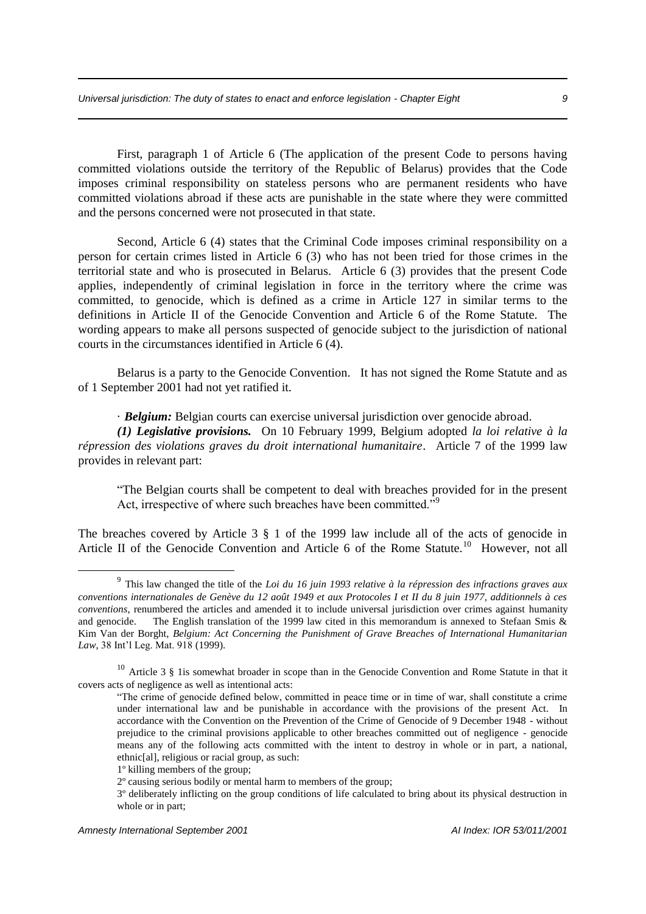First, paragraph 1 of Article 6 (The application of the present Code to persons having committed violations outside the territory of the Republic of Belarus) provides that the Code imposes criminal responsibility on stateless persons who are permanent residents who have committed violations abroad if these acts are punishable in the state where they were committed and the persons concerned were not prosecuted in that state.

Second, Article 6 (4) states that the Criminal Code imposes criminal responsibility on a person for certain crimes listed in Article 6 (3) who has not been tried for those crimes in the territorial state and who is prosecuted in Belarus. Article 6 (3) provides that the present Code applies, independently of criminal legislation in force in the territory where the crime was committed, to genocide, which is defined as a crime in Article 127 in similar terms to the definitions in Article II of the Genocide Convention and Article 6 of the Rome Statute. The wording appears to make all persons suspected of genocide subject to the jurisdiction of national courts in the circumstances identified in Article 6 (4).

Belarus is a party to the Genocide Convention. It has not signed the Rome Statute and as of 1 September 2001 had not yet ratified it.

· *Belgium:* Belgian courts can exercise universal jurisdiction over genocide abroad.

*(1) Legislative provisions.* On 10 February 1999, Belgium adopted *la loi relative à la répression des violations graves du droit international humanitaire*. Article 7 of the 1999 law provides in relevant part:

"The Belgian courts shall be competent to deal with breaches provided for in the present Act, irrespective of where such breaches have been committed."<sup>9</sup>

The breaches covered by Article 3 § 1 of the 1999 law include all of the acts of genocide in Article II of the Genocide Convention and Article 6 of the Rome Statute.<sup>10</sup> However, not all

<sup>9</sup> This law changed the title of the *Loi du 16 juin 1993 relative à la répression des infractions graves aux conventions internationales de Genève du 12 août 1949 et aux Protocoles I et II du 8 juin 1977, additionnels à ces conventions*, renumbered the articles and amended it to include universal jurisdiction over crimes against humanity and genocide. The English translation of the 1999 law cited in this memorandum is annexed to Stefaan Smis & Kim Van der Borght, *Belgium: Act Concerning the Punishment of Grave Breaches of International Humanitarian Law,* 38 Int'l Leg. Mat. 918 (1999).

 $10$  Article 3 § 1is somewhat broader in scope than in the Genocide Convention and Rome Statute in that it covers acts of negligence as well as intentional acts:

<sup>&</sup>quot;The crime of genocide defined below, committed in peace time or in time of war, shall constitute a crime under international law and be punishable in accordance with the provisions of the present Act. In accordance with the Convention on the Prevention of the Crime of Genocide of 9 December 1948 - without prejudice to the criminal provisions applicable to other breaches committed out of negligence - genocide means any of the following acts committed with the intent to destroy in whole or in part, a national, ethnic[al], religious or racial group, as such:

<sup>1</sup>º killing members of the group;

<sup>2</sup>º causing serious bodily or mental harm to members of the group;

<sup>3</sup>º deliberately inflicting on the group conditions of life calculated to bring about its physical destruction in whole or in part;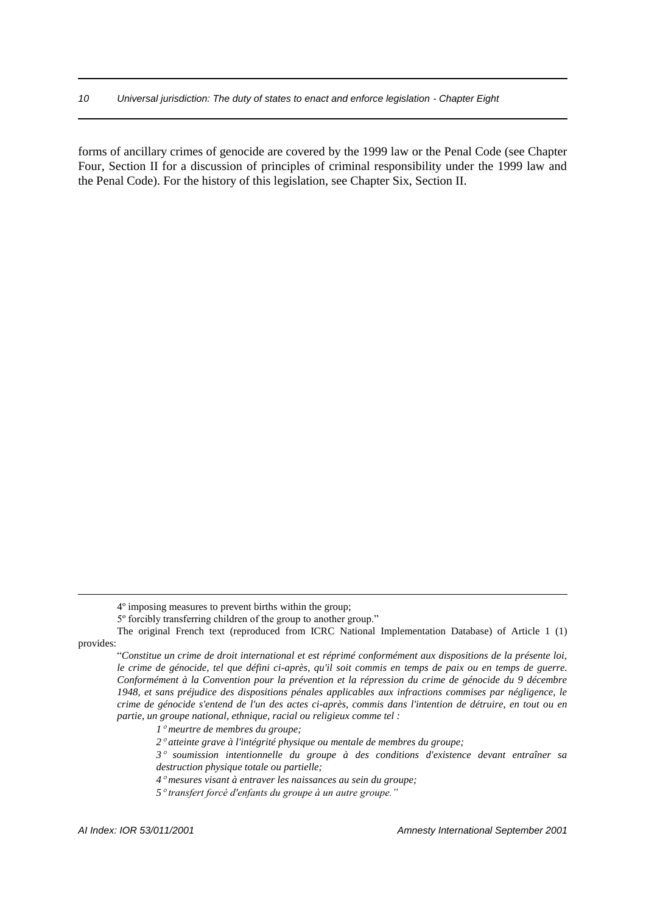forms of ancillary crimes of genocide are covered by the 1999 law or the Penal Code (see Chapter Four, Section II for a discussion of principles of criminal responsibility under the 1999 law and the Penal Code). For the history of this legislation, see Chapter Six, Section II.

*1 meurtre de membres du groupe;*

<sup>4</sup>º imposing measures to prevent births within the group;

<sup>5</sup>º forcibly transferring children of the group to another group."

The original French text (reproduced from ICRC National Implementation Database) of Article 1 (1) provides:

<sup>&</sup>quot;*Constitue un crime de droit international et est réprimé conformément aux dispositions de la présente loi, le crime de génocide, tel que défini ci-après, qu'il soit commis en temps de paix ou en temps de guerre. Conformément à la Convention pour la prévention et la répression du crime de génocide du 9 décembre 1948, et sans préjudice des dispositions pénales applicables aux infractions commises par négligence, le crime de génocide s'entend de l'un des actes ci-après, commis dans l'intention de détruire, en tout ou en partie, un groupe national, ethnique, racial ou religieux comme tel :* 

*<sup>2</sup> atteinte grave à l'intégrité physique ou mentale de membres du groupe;*

*<sup>3</sup> soumission intentionnelle du groupe à des conditions d'existence devant entraîner sa destruction physique totale ou partielle;*

*<sup>4</sup> mesures visant à entraver les naissances au sein du groupe;*

*<sup>5</sup> transfert forcé d'enfants du groupe à un autre groupe."*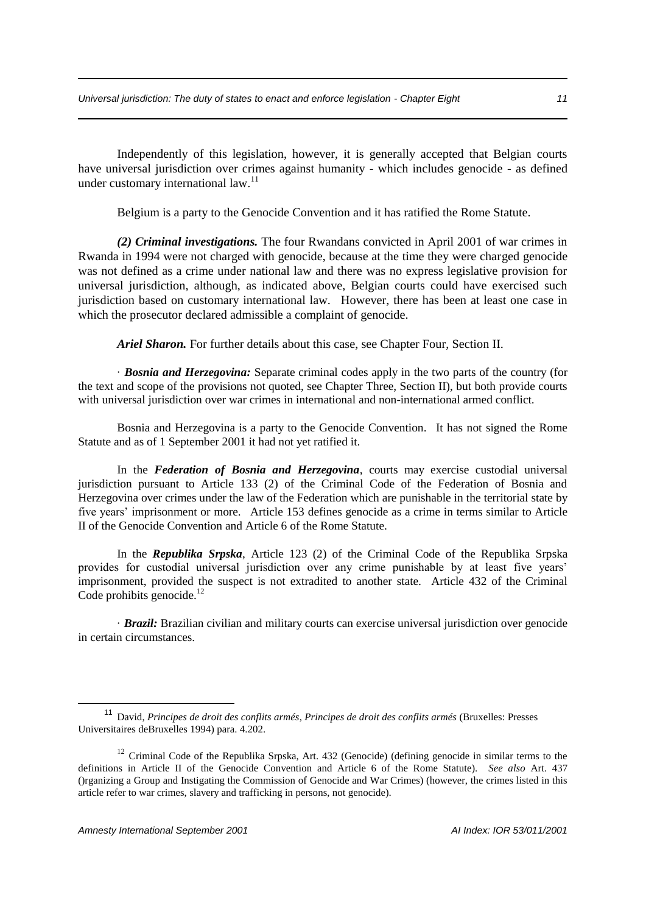Independently of this legislation, however, it is generally accepted that Belgian courts have universal jurisdiction over crimes against humanity - which includes genocide - as defined under customary international law.<sup>11</sup>

Belgium is a party to the Genocide Convention and it has ratified the Rome Statute.

*(2) Criminal investigations.* The four Rwandans convicted in April 2001 of war crimes in Rwanda in 1994 were not charged with genocide, because at the time they were charged genocide was not defined as a crime under national law and there was no express legislative provision for universal jurisdiction, although, as indicated above, Belgian courts could have exercised such jurisdiction based on customary international law. However, there has been at least one case in which the prosecutor declared admissible a complaint of genocide.

*Ariel Sharon.* For further details about this case, see Chapter Four, Section II.

· *Bosnia and Herzegovina:* Separate criminal codes apply in the two parts of the country (for the text and scope of the provisions not quoted, see Chapter Three, Section II), but both provide courts with universal jurisdiction over war crimes in international and non-international armed conflict.

Bosnia and Herzegovina is a party to the Genocide Convention. It has not signed the Rome Statute and as of 1 September 2001 it had not yet ratified it.

In the *Federation of Bosnia and Herzegovina*, courts may exercise custodial universal jurisdiction pursuant to Article 133 (2) of the Criminal Code of the Federation of Bosnia and Herzegovina over crimes under the law of the Federation which are punishable in the territorial state by five years' imprisonment or more. Article 153 defines genocide as a crime in terms similar to Article II of the Genocide Convention and Article 6 of the Rome Statute.

In the *Republika Srpska*, Article 123 (2) of the Criminal Code of the Republika Srpska provides for custodial universal jurisdiction over any crime punishable by at least five years' imprisonment, provided the suspect is not extradited to another state. Article 432 of the Criminal Code prohibits genocide. $12$ 

· *Brazil:* Brazilian civilian and military courts can exercise universal jurisdiction over genocide in certain circumstances.

<sup>11</sup> David, *Principes de droit des conflits armés*, *Principes de droit des conflits armés* (Bruxelles: Presses Universitaires deBruxelles 1994) para. 4.202.

<sup>&</sup>lt;sup>12</sup> Criminal Code of the Republika Srpska, Art. 432 (Genocide) (defining genocide in similar terms to the definitions in Article II of the Genocide Convention and Article 6 of the Rome Statute). *See also* Art. 437 ()rganizing a Group and Instigating the Commission of Genocide and War Crimes) (however, the crimes listed in this article refer to war crimes, slavery and trafficking in persons, not genocide).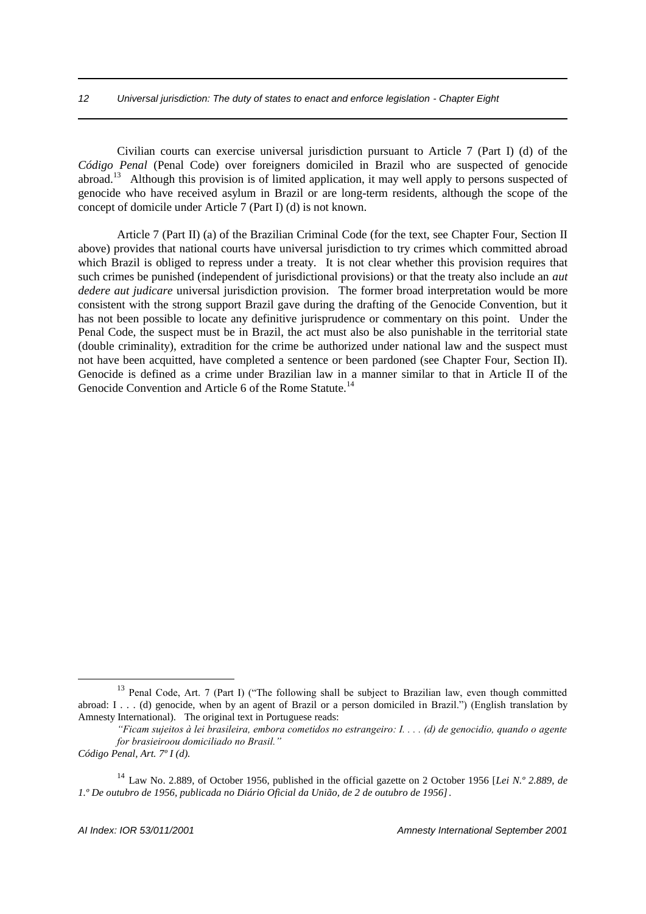#### *12 Universal jurisdiction: The duty of states to enact and enforce legislation - Chapter Eight*

Civilian courts can exercise universal jurisdiction pursuant to Article 7 (Part I) (d) of the *Código Penal* (Penal Code) over foreigners domiciled in Brazil who are suspected of genocide abroad.<sup>13</sup> Although this provision is of limited application, it may well apply to persons suspected of genocide who have received asylum in Brazil or are long-term residents, although the scope of the concept of domicile under Article 7 (Part I) (d) is not known.

Article 7 (Part II) (a) of the Brazilian Criminal Code (for the text, see Chapter Four, Section II above) provides that national courts have universal jurisdiction to try crimes which committed abroad which Brazil is obliged to repress under a treaty. It is not clear whether this provision requires that such crimes be punished (independent of jurisdictional provisions) or that the treaty also include an *aut dedere aut judicare* universal jurisdiction provision. The former broad interpretation would be more consistent with the strong support Brazil gave during the drafting of the Genocide Convention, but it has not been possible to locate any definitive jurisprudence or commentary on this point. Under the Penal Code, the suspect must be in Brazil, the act must also be also punishable in the territorial state (double criminality), extradition for the crime be authorized under national law and the suspect must not have been acquitted, have completed a sentence or been pardoned (see Chapter Four, Section II). Genocide is defined as a crime under Brazilian law in a manner similar to that in Article II of the Genocide Convention and Article 6 of the Rome Statute.<sup>14</sup>

<sup>&</sup>lt;sup>13</sup> Penal Code, Art. 7 (Part I) ("The following shall be subject to Brazilian law, even though committed abroad: I . . . (d) genocide, when by an agent of Brazil or a person domiciled in Brazil.") (English translation by Amnesty International). The original text in Portuguese reads:

*<sup>&</sup>quot;Ficam sujeitos à lei brasileira, embora cometidos no estrangeiro: I. . . . (d) de genocidio, quando o agente for brasieiroou domiciliado no Brasil."*

*Código Penal, Art. 7º I (d).*

<sup>14</sup> Law No. 2.889, of October 1956, published in the official gazette on 2 October 1956 [*Lei N.º 2.889, de 1.º De outubro de 1956, publicada no Diário Oficial da União, de 2 de outubro de 1956]*.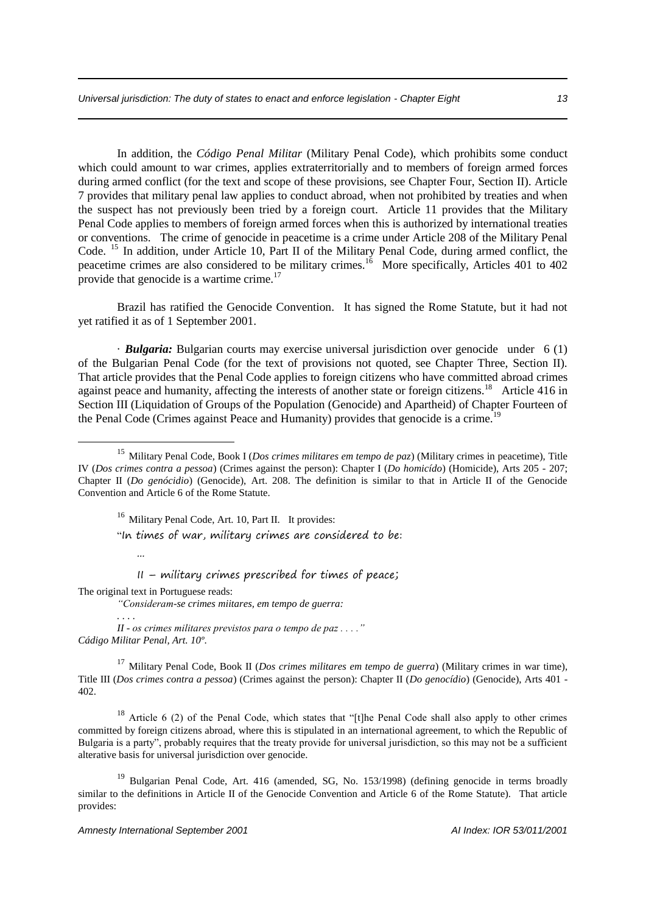In addition, the *Código Penal Militar* (Military Penal Code), which prohibits some conduct which could amount to war crimes, applies extraterritorially and to members of foreign armed forces during armed conflict (for the text and scope of these provisions, see Chapter Four, Section II). Article 7 provides that military penal law applies to conduct abroad, when not prohibited by treaties and when the suspect has not previously been tried by a foreign court. Article 11 provides that the Military Penal Code applies to members of foreign armed forces when this is authorized by international treaties or conventions. The crime of genocide in peacetime is a crime under Article 208 of the Military Penal Code. <sup>15</sup> In addition, under Article 10, Part II of the Military Penal Code, during armed conflict, the peacetime crimes are also considered to be military crimes.<sup>16</sup> More specifically, Articles 401 to 402 provide that genocide is a wartime crime.<sup>17</sup>

Brazil has ratified the Genocide Convention. It has signed the Rome Statute, but it had not yet ratified it as of 1 September 2001.

· *Bulgaria:* Bulgarian courts may exercise universal jurisdiction over genocide under 6 (1) of the Bulgarian Penal Code (for the text of provisions not quoted, see Chapter Three, Section II). That article provides that the Penal Code applies to foreign citizens who have committed abroad crimes against peace and humanity, affecting the interests of another state or foreign citizens.<sup>18</sup> Article 416 in Section III (Liquidation of Groups of the Population (Genocide) and Apartheid) of Chapter Fourteen of the Penal Code (Crimes against Peace and Humanity) provides that genocide is a crime.<sup>19</sup>

<sup>16</sup> Military Penal Code, Art. 10, Part II. It provides:

"In times of war, military crimes are considered to be:

 $II$  – military crimes prescribed for times of peace;

The original text in Portuguese reads:

...

<u>.</u>

*"Consideram-se crimes miitares, em tempo de guerra:*

*. . . . II - os crimes militares previstos para o tempo de paz . . . ." Cádigo Militar Penal, Art. 10º*.

<sup>17</sup> Military Penal Code, Book II (*Dos crimes militares em tempo de guerra*) (Military crimes in war time), Title III (*Dos crimes contra a pessoa*) (Crimes against the person): Chapter II (*Do genocídio*) (Genocide), Arts 401 - 402.

<sup>18</sup> Article 6 (2) of the Penal Code, which states that "[t]he Penal Code shall also apply to other crimes committed by foreign citizens abroad, where this is stipulated in an international agreement, to which the Republic of Bulgaria is a party", probably requires that the treaty provide for universal jurisdiction, so this may not be a sufficient alterative basis for universal jurisdiction over genocide.

<sup>19</sup> Bulgarian Penal Code, Art. 416 (amended, SG, No. 153/1998) (defining genocide in terms broadly similar to the definitions in Article II of the Genocide Convention and Article 6 of the Rome Statute). That article provides:

<sup>15</sup> Military Penal Code, Book I (*Dos crimes militares em tempo de paz*) (Military crimes in peacetime), Title IV (*Dos crimes contra a pessoa*) (Crimes against the person): Chapter I (*Do homicído*) (Homicide), Arts 205 - 207; Chapter II (*Do genócidio*) (Genocide), Art. 208. The definition is similar to that in Article II of the Genocide Convention and Article 6 of the Rome Statute.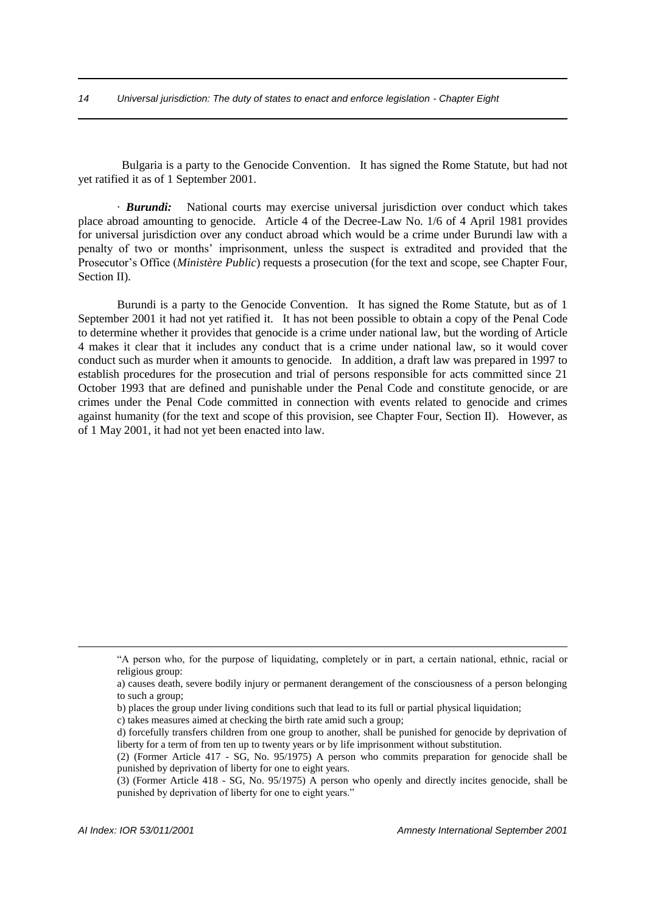Bulgaria is a party to the Genocide Convention. It has signed the Rome Statute, but had not yet ratified it as of 1 September 2001.

· *Burundi:* National courts may exercise universal jurisdiction over conduct which takes place abroad amounting to genocide. Article 4 of the Decree-Law No. 1/6 of 4 April 1981 provides for universal jurisdiction over any conduct abroad which would be a crime under Burundi law with a penalty of two or months' imprisonment, unless the suspect is extradited and provided that the Prosecutor's Office (*Ministère Public*) requests a prosecution (for the text and scope, see Chapter Four, Section II).

Burundi is a party to the Genocide Convention. It has signed the Rome Statute, but as of 1 September 2001 it had not yet ratified it. It has not been possible to obtain a copy of the Penal Code to determine whether it provides that genocide is a crime under national law, but the wording of Article 4 makes it clear that it includes any conduct that is a crime under national law, so it would cover conduct such as murder when it amounts to genocide. In addition, a draft law was prepared in 1997 to establish procedures for the prosecution and trial of persons responsible for acts committed since 21 October 1993 that are defined and punishable under the Penal Code and constitute genocide, or are crimes under the Penal Code committed in connection with events related to genocide and crimes against humanity (for the text and scope of this provision, see Chapter Four, Section II). However, as of 1 May 2001, it had not yet been enacted into law.

<sup>&</sup>quot;A person who, for the purpose of liquidating, completely or in part, a certain national, ethnic, racial or religious group:

a) causes death, severe bodily injury or permanent derangement of the consciousness of a person belonging to such a group;

b) places the group under living conditions such that lead to its full or partial physical liquidation;

c) takes measures aimed at checking the birth rate amid such a group;

d) forcefully transfers children from one group to another, shall be punished for genocide by deprivation of liberty for a term of from ten up to twenty years or by life imprisonment without substitution.

<sup>(2) (</sup>Former Article 417 - SG, No. 95/1975) A person who commits preparation for genocide shall be punished by deprivation of liberty for one to eight years.

<sup>(3) (</sup>Former Article 418 - SG, No. 95/1975) A person who openly and directly incites genocide, shall be punished by deprivation of liberty for one to eight years."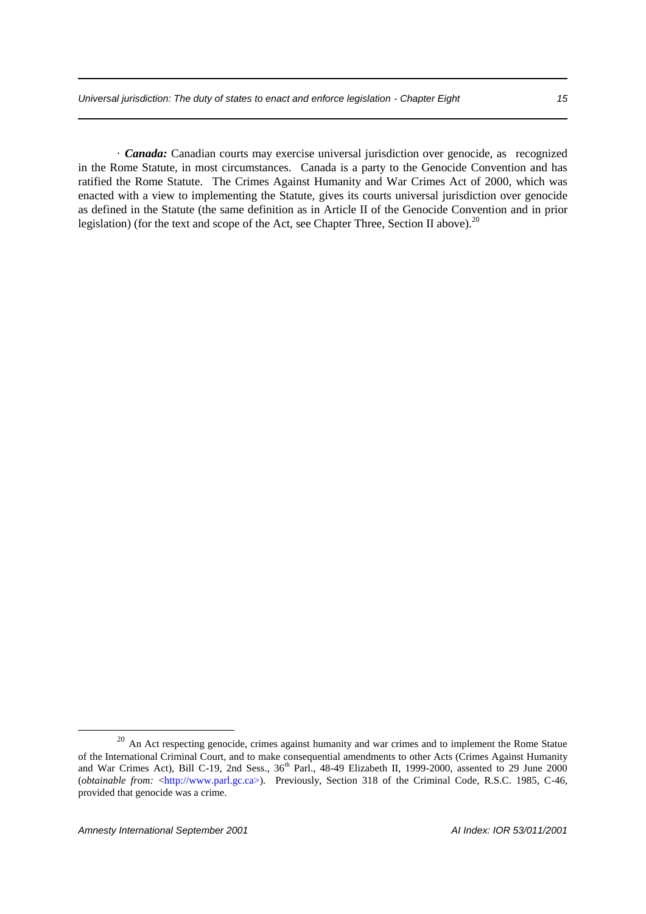· *Canada:* Canadian courts may exercise universal jurisdiction over genocide, as recognized in the Rome Statute, in most circumstances. Canada is a party to the Genocide Convention and has ratified the Rome Statute. The Crimes Against Humanity and War Crimes Act of 2000, which was enacted with a view to implementing the Statute, gives its courts universal jurisdiction over genocide as defined in the Statute (the same definition as in Article II of the Genocide Convention and in prior legislation) (for the text and scope of the Act, see Chapter Three, Section II above).<sup>20</sup>

<sup>&</sup>lt;sup>20</sup> An Act respecting genocide, crimes against humanity and war crimes and to implement the Rome Statue of the International Criminal Court, and to make consequential amendments to other Acts (Crimes Against Humanity and War Crimes Act), Bill C-19, 2nd Sess., 36<sup>th</sup> Parl., 48-49 Elizabeth II, 1999-2000, assented to 29 June 2000 (*obtainable from:* <http://www.parl.gc.ca>). Previously, Section 318 of the Criminal Code, R.S.C. 1985, C-46, provided that genocide was a crime.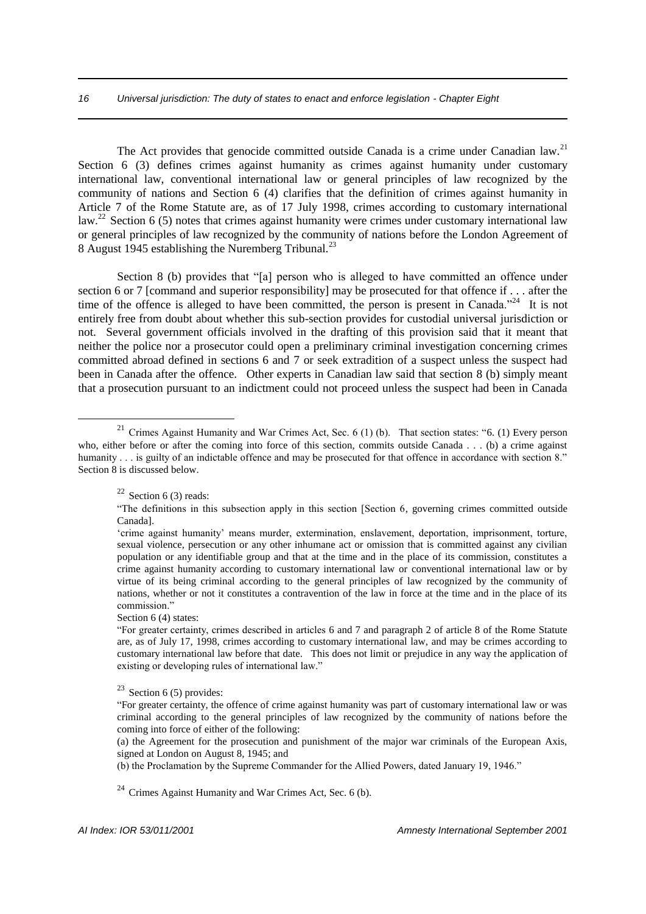#### *16 Universal jurisdiction: The duty of states to enact and enforce legislation - Chapter Eight*

The Act provides that genocide committed outside Canada is a crime under Canadian law.<sup>21</sup> Section 6 (3) defines crimes against humanity as crimes against humanity under customary international law, conventional international law or general principles of law recognized by the community of nations and Section 6 (4) clarifies that the definition of crimes against humanity in Article 7 of the Rome Statute are, as of 17 July 1998, crimes according to customary international law.<sup>22</sup> Section 6 (5) notes that crimes against humanity were crimes under customary international law or general principles of law recognized by the community of nations before the London Agreement of 8 August 1945 establishing the Nuremberg Tribunal.<sup>23</sup>

Section 8 (b) provides that "[a] person who is alleged to have committed an offence under section 6 or 7 [command and superior responsibility] may be prosecuted for that offence if . . . after the time of the offence is alleged to have been committed, the person is present in Canada.<sup> $224$ </sup> It is not entirely free from doubt about whether this sub-section provides for custodial universal jurisdiction or not. Several government officials involved in the drafting of this provision said that it meant that neither the police nor a prosecutor could open a preliminary criminal investigation concerning crimes committed abroad defined in sections 6 and 7 or seek extradition of a suspect unless the suspect had been in Canada after the offence. Other experts in Canadian law said that section 8 (b) simply meant that a prosecution pursuant to an indictment could not proceed unless the suspect had been in Canada

1

Section 6 (4) states:

 $24$  Crimes Against Humanity and War Crimes Act, Sec. 6 (b).

<sup>&</sup>lt;sup>21</sup> Crimes Against Humanity and War Crimes Act, Sec. 6 (1) (b). That section states: "6. (1) Every person who, either before or after the coming into force of this section, commits outside Canada . . . (b) a crime against humanity . . . is guilty of an indictable offence and may be prosecuted for that offence in accordance with section 8." Section 8 is discussed below.

 $22$  Section 6 (3) reads:

<sup>&</sup>quot;The definitions in this subsection apply in this section [Section 6, governing crimes committed outside Canada].

<sup>&#</sup>x27;crime against humanity' means murder, extermination, enslavement, deportation, imprisonment, torture, sexual violence, persecution or any other inhumane act or omission that is committed against any civilian population or any identifiable group and that at the time and in the place of its commission, constitutes a crime against humanity according to customary international law or conventional international law or by virtue of its being criminal according to the general principles of law recognized by the community of nations, whether or not it constitutes a contravention of the law in force at the time and in the place of its commission."

<sup>&</sup>quot;For greater certainty, crimes described in articles 6 and 7 and paragraph 2 of article 8 of the Rome Statute are, as of July 17, 1998, crimes according to customary international law, and may be crimes according to customary international law before that date. This does not limit or prejudice in any way the application of existing or developing rules of international law."

 $23$  Section 6 (5) provides:

<sup>&</sup>quot;For greater certainty, the offence of crime against humanity was part of customary international law or was criminal according to the general principles of law recognized by the community of nations before the coming into force of either of the following:

<sup>(</sup>a) the Agreement for the prosecution and punishment of the major war criminals of the European Axis, signed at London on August 8, 1945; and

<sup>(</sup>b) the Proclamation by the Supreme Commander for the Allied Powers, dated January 19, 1946."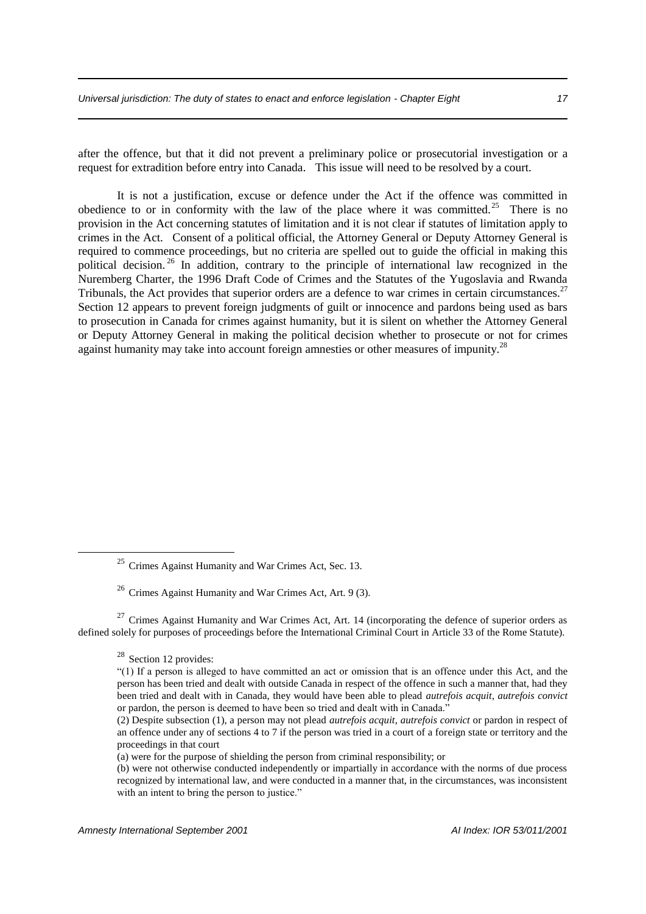after the offence, but that it did not prevent a preliminary police or prosecutorial investigation or a request for extradition before entry into Canada. This issue will need to be resolved by a court.

It is not a justification, excuse or defence under the Act if the offence was committed in obedience to or in conformity with the law of the place where it was committed.<sup>25</sup> There is no provision in the Act concerning statutes of limitation and it is not clear if statutes of limitation apply to crimes in the Act. Consent of a political official, the Attorney General or Deputy Attorney General is required to commence proceedings, but no criteria are spelled out to guide the official in making this political decision.<sup>26</sup> In addition, contrary to the principle of international law recognized in the Nuremberg Charter, the 1996 Draft Code of Crimes and the Statutes of the Yugoslavia and Rwanda Tribunals, the Act provides that superior orders are a defence to war crimes in certain circumstances.<sup>27</sup> Section 12 appears to prevent foreign judgments of guilt or innocence and pardons being used as bars to prosecution in Canada for crimes against humanity, but it is silent on whether the Attorney General or Deputy Attorney General in making the political decision whether to prosecute or not for crimes against humanity may take into account foreign amnesties or other measures of impunity.<sup>28</sup>

<sup>27</sup> Crimes Against Humanity and War Crimes Act, Art. 14 (incorporating the defence of superior orders as defined solely for purposes of proceedings before the International Criminal Court in Article 33 of the Rome Statute).

<sup>25</sup> Crimes Against Humanity and War Crimes Act, Sec. 13.

<sup>26</sup> Crimes Against Humanity and War Crimes Act, Art. 9 (3).

<sup>28</sup> Section 12 provides:

<sup>&</sup>quot;(1) If a person is alleged to have committed an act or omission that is an offence under this Act, and the person has been tried and dealt with outside Canada in respect of the offence in such a manner that, had they been tried and dealt with in Canada, they would have been able to plead *autrefois acquit*, *autrefois convict* or pardon, the person is deemed to have been so tried and dealt with in Canada."

<sup>(2)</sup> Despite subsection (1), a person may not plead *autrefois acquit*, *autrefois convict* or pardon in respect of an offence under any of sections 4 to 7 if the person was tried in a court of a foreign state or territory and the proceedings in that court

<sup>(</sup>a) were for the purpose of shielding the person from criminal responsibility; or

<sup>(</sup>b) were not otherwise conducted independently or impartially in accordance with the norms of due process recognized by international law, and were conducted in a manner that, in the circumstances, was inconsistent with an intent to bring the person to justice."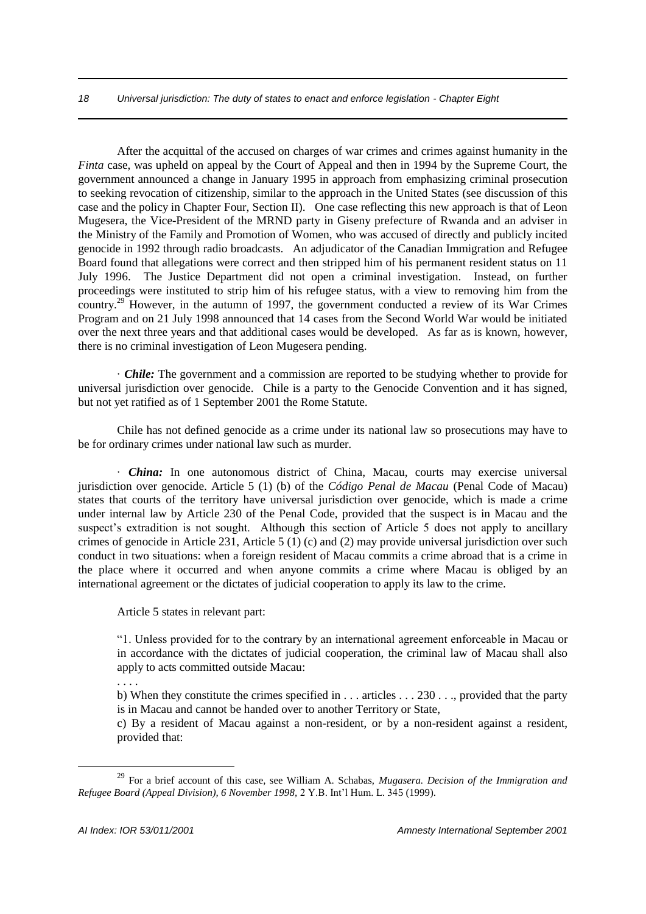#### *18 Universal jurisdiction: The duty of states to enact and enforce legislation - Chapter Eight*

After the acquittal of the accused on charges of war crimes and crimes against humanity in the *Finta* case, was upheld on appeal by the Court of Appeal and then in 1994 by the Supreme Court, the government announced a change in January 1995 in approach from emphasizing criminal prosecution to seeking revocation of citizenship, similar to the approach in the United States (see discussion of this case and the policy in Chapter Four, Section II). One case reflecting this new approach is that of Leon Mugesera, the Vice-President of the MRND party in Giseny prefecture of Rwanda and an adviser in the Ministry of the Family and Promotion of Women, who was accused of directly and publicly incited genocide in 1992 through radio broadcasts. An adjudicator of the Canadian Immigration and Refugee Board found that allegations were correct and then stripped him of his permanent resident status on 11 July 1996. The Justice Department did not open a criminal investigation. Instead, on further proceedings were instituted to strip him of his refugee status, with a view to removing him from the country.<sup>29</sup> However, in the autumn of 1997, the government conducted a review of its War Crimes Program and on 21 July 1998 announced that 14 cases from the Second World War would be initiated over the next three years and that additional cases would be developed. As far as is known, however, there is no criminal investigation of Leon Mugesera pending.

· *Chile:* The government and a commission are reported to be studying whether to provide for universal jurisdiction over genocide. Chile is a party to the Genocide Convention and it has signed, but not yet ratified as of 1 September 2001 the Rome Statute.

Chile has not defined genocide as a crime under its national law so prosecutions may have to be for ordinary crimes under national law such as murder.

· *China:* In one autonomous district of China, Macau, courts may exercise universal jurisdiction over genocide. Article 5 (1) (b) of the *Código Penal de Macau* (Penal Code of Macau) states that courts of the territory have universal jurisdiction over genocide, which is made a crime under internal law by Article 230 of the Penal Code, provided that the suspect is in Macau and the suspect's extradition is not sought. Although this section of Article 5 does not apply to ancillary crimes of genocide in Article 231, Article 5 (1) (c) and (2) may provide universal jurisdiction over such conduct in two situations: when a foreign resident of Macau commits a crime abroad that is a crime in the place where it occurred and when anyone commits a crime where Macau is obliged by an international agreement or the dictates of judicial cooperation to apply its law to the crime.

Article 5 states in relevant part:

"1. Unless provided for to the contrary by an international agreement enforceable in Macau or in accordance with the dictates of judicial cooperation, the criminal law of Macau shall also apply to acts committed outside Macau:

b) When they constitute the crimes specified in . . . articles . . . 230 . . ., provided that the party is in Macau and cannot be handed over to another Territory or State,

c) By a resident of Macau against a non-resident, or by a non-resident against a resident, provided that:

. . . .

<sup>29</sup> For a brief account of this case, see William A. Schabas, *Mugasera. Decision of the Immigration and Refugee Board (Appeal Division), 6 November 1998,* 2 Y.B. Int'l Hum. L. 345 (1999).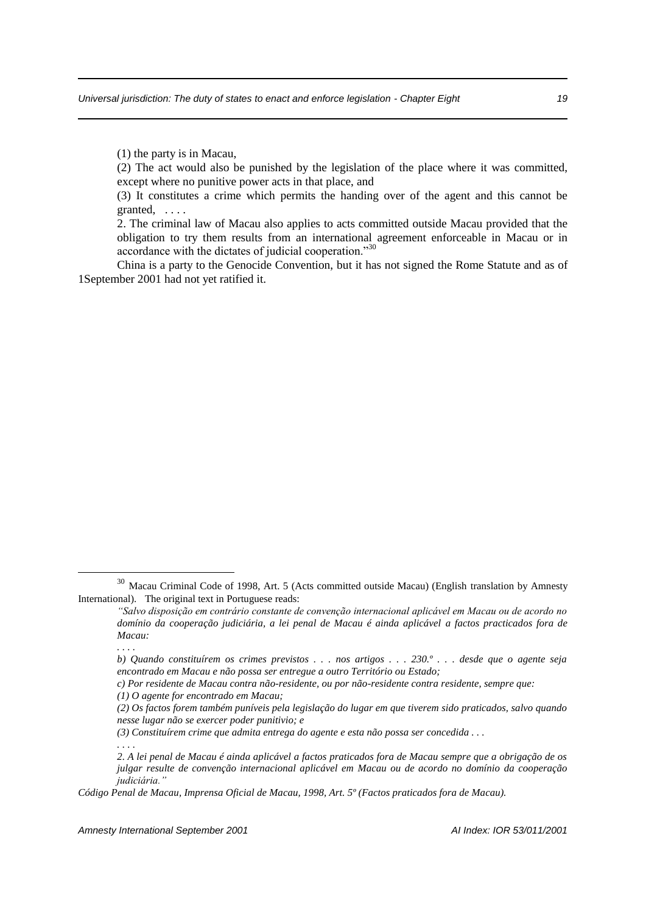(1) the party is in Macau,

(2) The act would also be punished by the legislation of the place where it was committed, except where no punitive power acts in that place, and

(3) It constitutes a crime which permits the handing over of the agent and this cannot be granted, . . . .

2. The criminal law of Macau also applies to acts committed outside Macau provided that the obligation to try them results from an international agreement enforceable in Macau or in accordance with the dictates of judicial cooperation."<sup>30</sup>

China is a party to the Genocide Convention, but it has not signed the Rome Statute and as of 1September 2001 had not yet ratified it.

<sup>30</sup> Macau Criminal Code of 1998, Art. 5 (Acts committed outside Macau) (English translation by Amnesty International). The original text in Portuguese reads:

*<sup>&</sup>quot;Salvo disposição em contrário constante de convenção internacional aplicável em Macau ou de acordo no domínio da cooperação judiciária, a lei penal de Macau é ainda aplicável a factos practicados fora de Macau:*

*<sup>. . . .</sup>*

*b) Quando constituírem os crimes previstos . . . nos artigos . . . 230.º . . . desde que o agente seja encontrado em Macau e não possa ser entregue a outro Território ou Estado;*

*c) Por residente de Macau contra não-residente, ou por não-residente contra residente, sempre que:*

*<sup>(1)</sup> O agente for encontrado em Macau;*

*<sup>(2)</sup> Os factos forem também puníveis pela legislação do lugar em que tiverem sido praticados, salvo quando nesse lugar não se exercer poder punitivio; e*

*<sup>(3)</sup> Constituírem crime que admita entrega do agente e esta não possa ser concedida . . .*

*<sup>. . . .</sup> 2. A lei penal de Macau é ainda aplicável a factos praticados fora de Macau sempre que a obrigação de os julgar resulte de convenção internacional aplicável em Macau ou de acordo no domínio da cooperação judiciária."*

*Código Penal de Macau, Imprensa Oficial de Macau, 1998, Art. 5º (Factos praticados fora de Macau).*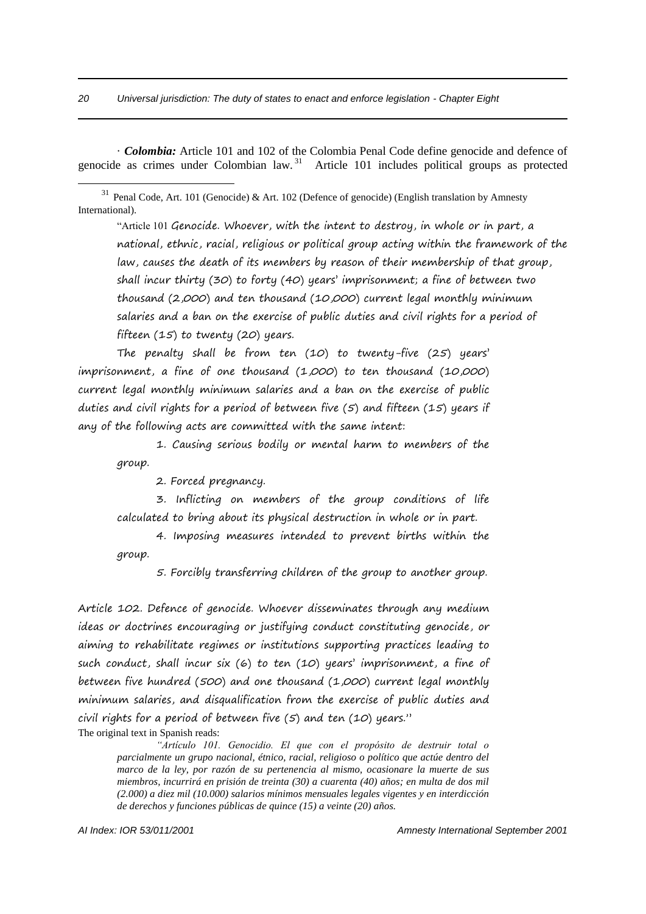· *Colombia:* Article 101 and 102 of the Colombia Penal Code define genocide and defence of genocide as crimes under Colombian law.<sup>31</sup> Article 101 includes political groups as protected

<sup>31</sup> Penal Code, Art. 101 (Genocide) & Art. 102 (Defence of genocide) (English translation by Amnesty International).

"Article 101 Genocide. Whoever, with the intent to destroy, in whole or in part, a national, ethnic, racial, religious or political group acting within the framework of the law, causes the death of its members by reason of their membership of that group, shall incur thirty (30) to forty (40) years' imprisonment; a fine of between two thousand (2,000) and ten thousand (10,000) current legal monthly minimum salaries and a ban on the exercise of public duties and civil rights for a period of fifteen (15) to twenty (20) years.

The penalty shall be from ten (10) to twenty-five (25) years' imprisonment, a fine of one thousand (1,000) to ten thousand (10,000) current legal monthly minimum salaries and a ban on the exercise of public duties and civil rights for a period of between five  $(5)$  and fifteen  $(15)$  years if any of the following acts are committed with the same intent:

1. Causing serious bodily or mental harm to members of the group.

2. Forced pregnancy.

3. Inflicting on members of the group conditions of life calculated to bring about its physical destruction in whole or in part.

4. Imposing measures intended to prevent births within the group.

5. Forcibly transferring children of the group to another group.

Article 102. Defence of genocide. Whoever disseminates through any medium ideas or doctrines encouraging or justifying conduct constituting genocide, or aiming to rehabilitate regimes or institutions supporting practices leading to such conduct, shall incur six (6) to ten (10) years' imprisonment, a fine of between five hundred (500) and one thousand (1,000) current legal monthly minimum salaries, and disqualification from the exercise of public duties and civil rights for a period of between five (5) and ten (10) years." The original text in Spanish reads:

*"Artículo 101. Genocidio. El que con el propósito de destruir total o parcialmente un grupo nacional, étnico, racial, religioso o político que actúe dentro del marco de la ley, por razón de su pertenencia al mismo, ocasionare la muerte de sus miembros, incurrirá en prisión de treinta (30) a cuarenta (40) años; en multa de dos mil (2.000) a diez mil (10.000) salarios mínimos mensuales legales vigentes y en interdicción de derechos y funciones públicas de quince (15) a veinte (20) años.*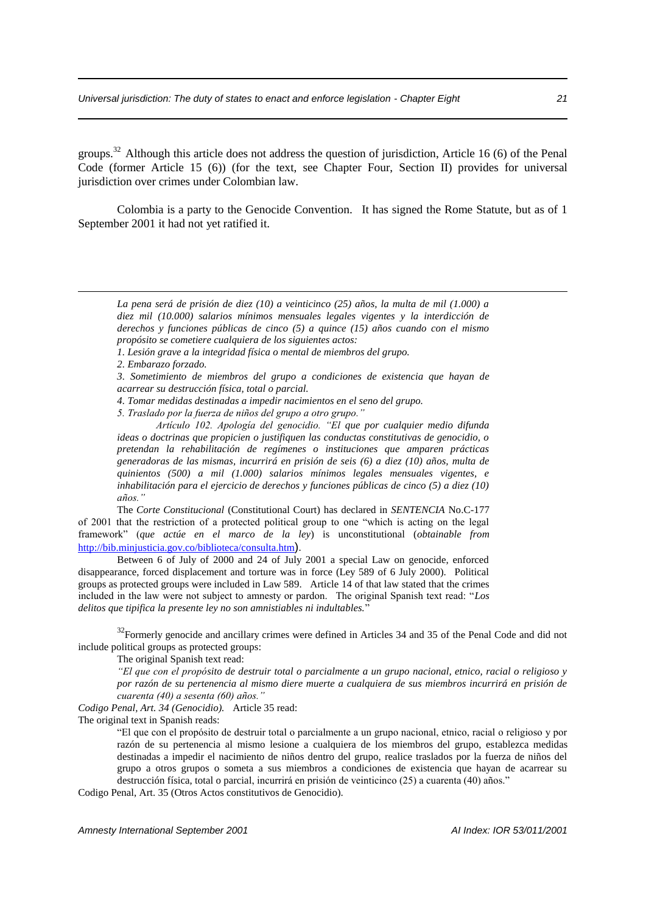groups.<sup>32</sup> Although this article does not address the question of jurisdiction, Article 16 (6) of the Penal Code (former Article 15 (6)) (for the text, see Chapter Four, Section II) provides for universal jurisdiction over crimes under Colombian law.

Colombia is a party to the Genocide Convention. It has signed the Rome Statute, but as of 1 September 2001 it had not yet ratified it.

*2. Embarazo forzado.*

<u>.</u>

*3. Sometimiento de miembros del grupo a condiciones de existencia que hayan de acarrear su destrucción física, total o parcial.*

*4. Tomar medidas destinadas a impedir nacimientos en el seno del grupo.*

*5. Traslado por la fuerza de niños del grupo a otro grupo."*

The *Corte Constitucional* (Constitutional Court) has declared in *SENTENCIA* No.C-177 of 2001 that the restriction of a protected political group to one "which is acting on the legal framework" (*que actúe en el marco de la ley*) is unconstitutional (*obtainable from* http://bib.minjusticia.gov.co/biblioteca/consulta.htm).

Between 6 of July of 2000 and 24 of July 2001 a special Law on genocide, enforced disappearance, forced displacement and torture was in force (Ley 589 of 6 July 2000). Political groups as protected groups were included in Law 589. Article 14 of that law stated that the crimes included in the law were not subject to amnesty or pardon. The original Spanish text read: "*Los delitos que tipifica la presente ley no son amnistiables ni indultables.*"

 $32$ Formerly genocide and ancillary crimes were defined in Articles 34 and 35 of the Penal Code and did not include political groups as protected groups:

The original Spanish text read:

*"El que con el propósito de destruir total o parcialmente a un grupo nacional, etnico, racial o religioso y por razón de su pertenencia al mismo diere muerte a cualquiera de sus miembros incurrirá en prisión de cuarenta (40) a sesenta (60) años."* 

*Codigo Penal, Art. 34 (Genocidio).* Article 35 read:

The original text in Spanish reads:

"El que con el propósito de destruir total o parcialmente a un grupo nacional, etnico, racial o religioso y por razón de su pertenencia al mismo lesione a cualquiera de los miembros del grupo, establezca medidas destinadas a impedir el nacimiento de niños dentro del grupo, realice traslados por la fuerza de niños del grupo a otros grupos o someta a sus miembros a condiciones de existencia que hayan de acarrear su destrucción física, total o parcial, incurrirá en prisión de veinticinco (25) a cuarenta (40) años."

Codigo Penal, Art. 35 (Otros Actos constitutivos de Genocidio).

*La pena será de prisión de diez (10) a veinticinco (25) años, la multa de mil (1.000) a diez mil (10.000) salarios mínimos mensuales legales vigentes y la interdicción de derechos y funciones públicas de cinco (5) a quince (15) años cuando con el mismo propósito se cometiere cualquiera de los siguientes actos:*

*<sup>1.</sup> Lesión grave a la integridad física o mental de miembros del grupo.*

*Artículo 102. Apología del genocidio. "El que por cualquier medio difunda ideas o doctrinas que propicien o justifiquen las conductas constitutivas de genocidio, o pretendan la rehabilitación de regímenes o instituciones que amparen prácticas generadoras de las mismas, incurrirá en prisión de seis (6) a diez (10) años, multa de quinientos (500) a mil (1.000) salarios mínimos legales mensuales vigentes, e inhabilitación para el ejercicio de derechos y funciones públicas de cinco (5) a diez (10) años."*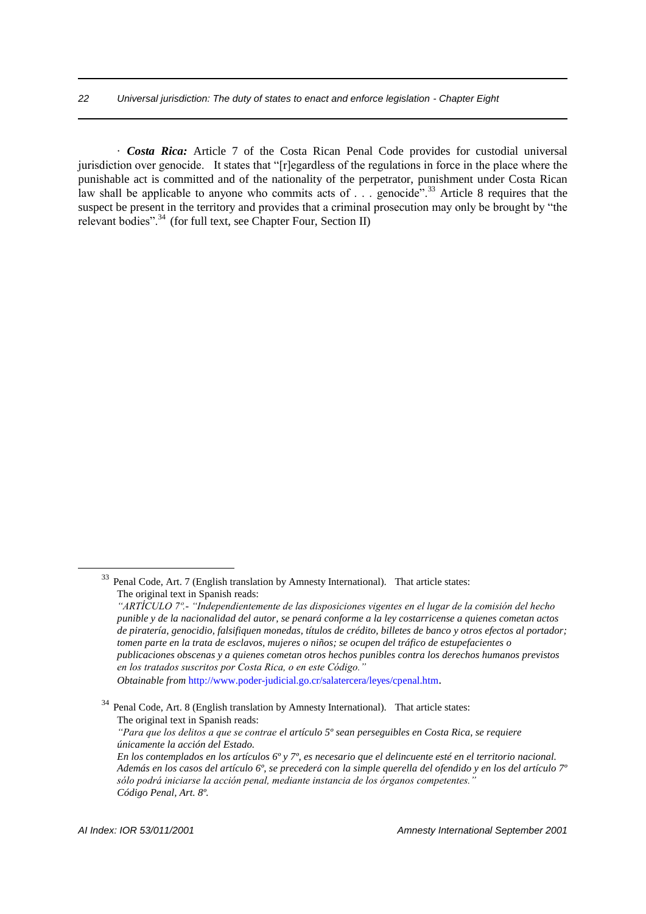· *Costa Rica:* Article 7 of the Costa Rican Penal Code provides for custodial universal jurisdiction over genocide. It states that "[r]egardless of the regulations in force in the place where the punishable act is committed and of the nationality of the perpetrator, punishment under Costa Rican law shall be applicable to anyone who commits acts of . . . genocide<sup>". 33</sup> Article 8 requires that the suspect be present in the territory and provides that a criminal prosecution may only be brought by "the relevant bodies".<sup>34</sup> (for full text, see Chapter Four, Section II)

<sup>33</sup> Penal Code, Art. 7 (English translation by Amnesty International). That article states: The original text in Spanish reads:

*<sup>&</sup>quot;ARTÍCULO 7º.- "Independientemente de las disposiciones vigentes en el lugar de la comisión del hecho punible y de la nacionalidad del autor, se penará conforme a la ley costarricense a quienes cometan actos de piratería, genocidio, falsifiquen monedas, títulos de crédito, billetes de banco y otros efectos al portador; tomen parte en la trata de esclavos, mujeres o niños; se ocupen del tráfico de estupefacientes o publicaciones obscenas y a quienes cometan otros hechos punibles contra los derechos humanos previstos en los tratados suscritos por Costa Rica, o en este Código." Obtainable from* http://www.poder-judicial.go.cr/salatercera/leyes/cpenal.htm.

Penal Code, Art. 8 (English translation by Amnesty International). That article states: The original text in Spanish reads:

*<sup>&</sup>quot;Para que los delitos a que se contrae el artículo 5º sean perseguibles en Costa Rica, se requiere únicamente la acción del Estado.*

*En los contemplados en los artículos 6º y 7º, es necesario que el delincuente esté en el territorio nacional. Además en los casos del artículo 6º, se precederá con la simple querella del ofendido y en los del artículo 7º sólo podrá iniciarse la acción penal, mediante instancia de los órganos competentes." Código Penal, Art. 8º.*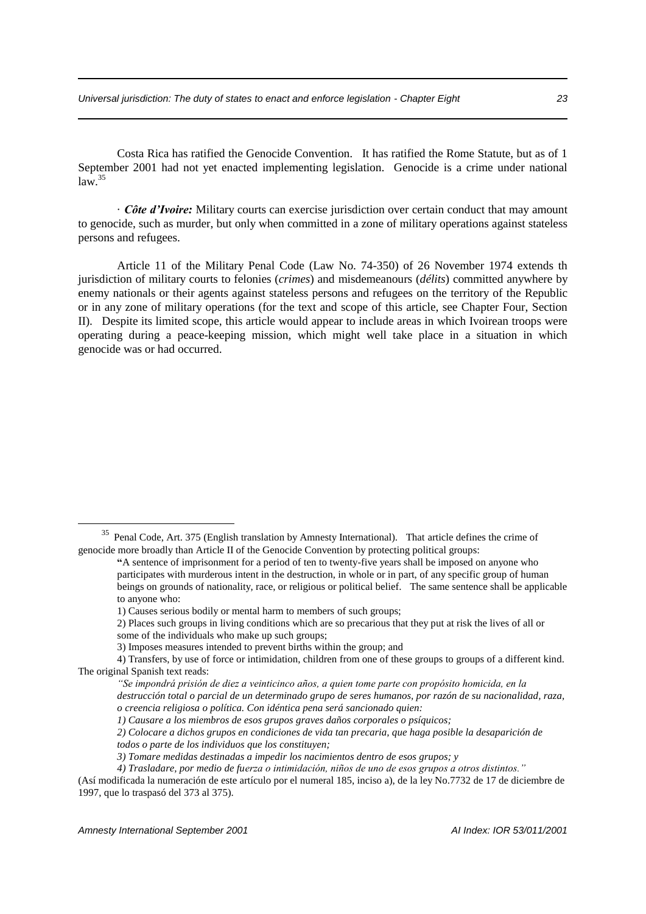Costa Rica has ratified the Genocide Convention. It has ratified the Rome Statute, but as of 1 September 2001 had not yet enacted implementing legislation. Genocide is a crime under national  $law.<sup>35</sup>$ 

· *Côte d'Ivoire:* Military courts can exercise jurisdiction over certain conduct that may amount to genocide, such as murder, but only when committed in a zone of military operations against stateless persons and refugees.

Article 11 of the Military Penal Code (Law No. 74-350) of 26 November 1974 extends th jurisdiction of military courts to felonies (*crimes*) and misdemeanours (*délits*) committed anywhere by enemy nationals or their agents against stateless persons and refugees on the territory of the Republic or in any zone of military operations (for the text and scope of this article, see Chapter Four, Section II). Despite its limited scope, this article would appear to include areas in which Ivoirean troops were operating during a peace-keeping mission, which might well take place in a situation in which genocide was or had occurred.

<sup>&</sup>lt;sup>35</sup> Penal Code, Art. 375 (English translation by Amnesty International). That article defines the crime of genocide more broadly than Article II of the Genocide Convention by protecting political groups:

**<sup>&</sup>quot;**A sentence of imprisonment for a period of ten to twenty-five years shall be imposed on anyone who participates with murderous intent in the destruction, in whole or in part, of any specific group of human beings on grounds of nationality, race, or religious or political belief. The same sentence shall be applicable to anyone who:

<sup>1)</sup> Causes serious bodily or mental harm to members of such groups;

<sup>2)</sup> Places such groups in living conditions which are so precarious that they put at risk the lives of all or some of the individuals who make up such groups;

<sup>3)</sup> Imposes measures intended to prevent births within the group; and

<sup>4)</sup> Transfers, by use of force or intimidation, children from one of these groups to groups of a different kind. The original Spanish text reads:

*<sup>&</sup>quot;Se impondrá prisión de diez a veinticinco años, a quien tome parte con propósito homicida, en la destrucción total o parcial de un determinado grupo de seres humanos, por razón de su nacionalidad, raza,* 

*o creencia religiosa o política. Con idéntica pena será sancionado quien:*

*<sup>1)</sup> Causare a los miembros de esos grupos graves daños corporales o psíquicos;* 

*<sup>2)</sup> Colocare a dichos grupos en condiciones de vida tan precaria, que haga posible la desaparición de todos o parte de los individuos que los constituyen;* 

*<sup>3)</sup> Tomare medidas destinadas a impedir los nacimientos dentro de esos grupos; y* 

*<sup>4)</sup> Trasladare, por medio de fuerza o intimidación, niños de uno de esos grupos a otros distintos."*

<sup>(</sup>Así modificada la numeración de este artículo por el numeral 185, inciso a), de la ley No.7732 de 17 de diciembre de 1997, que lo traspasó del 373 al 375).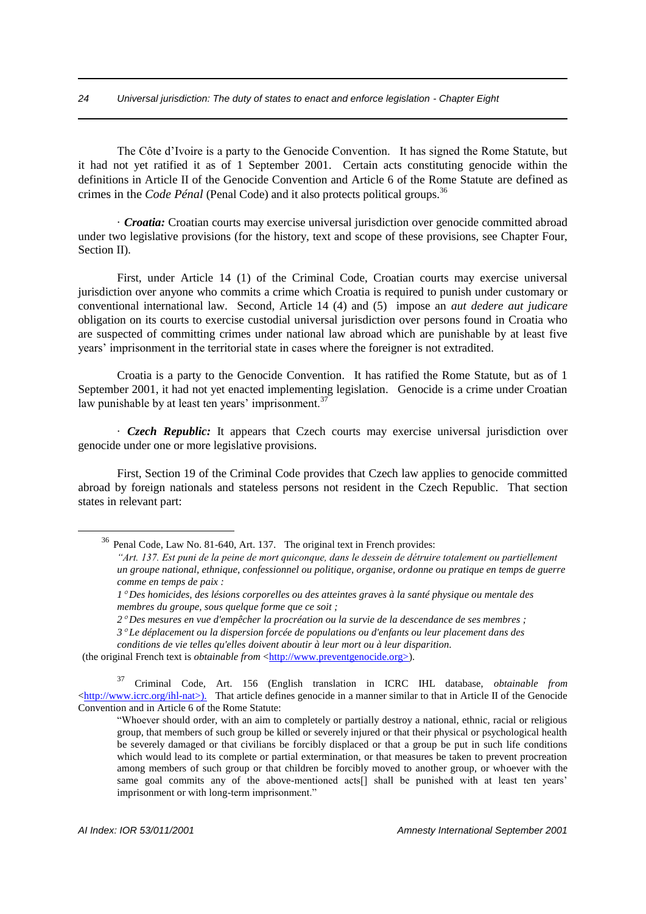The Côte d'Ivoire is a party to the Genocide Convention. It has signed the Rome Statute, but it had not yet ratified it as of 1 September 2001. Certain acts constituting genocide within the definitions in Article II of the Genocide Convention and Article 6 of the Rome Statute are defined as crimes in the *Code Pénal* (Penal Code) and it also protects political groups.<sup>36</sup>

· *Croatia:* Croatian courts may exercise universal jurisdiction over genocide committed abroad under two legislative provisions (for the history, text and scope of these provisions, see Chapter Four, Section II).

First, under Article 14 (1) of the Criminal Code, Croatian courts may exercise universal jurisdiction over anyone who commits a crime which Croatia is required to punish under customary or conventional international law. Second, Article 14 (4) and (5) impose an *aut dedere aut judicare* obligation on its courts to exercise custodial universal jurisdiction over persons found in Croatia who are suspected of committing crimes under national law abroad which are punishable by at least five years' imprisonment in the territorial state in cases where the foreigner is not extradited.

Croatia is a party to the Genocide Convention. It has ratified the Rome Statute, but as of 1 September 2001, it had not yet enacted implementing legislation. Genocide is a crime under Croatian law punishable by at least ten years' imprisonment.<sup>37</sup>

· *Czech Republic:* It appears that Czech courts may exercise universal jurisdiction over genocide under one or more legislative provisions.

First, Section 19 of the Criminal Code provides that Czech law applies to genocide committed abroad by foreign nationals and stateless persons not resident in the Czech Republic. That section states in relevant part:

<sup>&</sup>lt;sup>36</sup> Penal Code, Law No. 81-640, Art. 137. The original text in French provides:

*<sup>&</sup>quot;Art. 137. Est puni de la peine de mort quiconque, dans le dessein de détruire totalement ou partiellement un groupe national, ethnique, confessionnel ou politique, organise, ordonne ou pratique en temps de guerre comme en temps de paix :*

*<sup>1</sup> Des homicides, des lésions corporelles ou des atteintes graves à la santé physique ou mentale des membres du groupe, sous quelque forme que ce soit ;*

*<sup>2</sup> Des mesures en vue d'empêcher la procréation ou la survie de la descendance de ses membres ;*

*<sup>3</sup> Le déplacement ou la dispersion forcée de populations ou d'enfants ou leur placement dans des* 

*conditions de vie telles qu'elles doivent aboutir à leur mort ou à leur disparition.*

<sup>(</sup>the original French text is *obtainable from* <http://www.preventgenocide.org>).

<sup>37</sup> Criminal Code, Art. 156 (English translation in ICRC IHL database, *obtainable from* <http://www.icrc.org/ihl-nat>). That article defines genocide in a manner similar to that in Article II of the Genocide Convention and in Article 6 of the Rome Statute:

<sup>&</sup>quot;Whoever should order, with an aim to completely or partially destroy a national, ethnic, racial or religious group, that members of such group be killed or severely injured or that their physical or psychological health be severely damaged or that civilians be forcibly displaced or that a group be put in such life conditions which would lead to its complete or partial extermination, or that measures be taken to prevent procreation among members of such group or that children be forcibly moved to another group, or whoever with the same goal commits any of the above-mentioned acts[] shall be punished with at least ten years' imprisonment or with long-term imprisonment."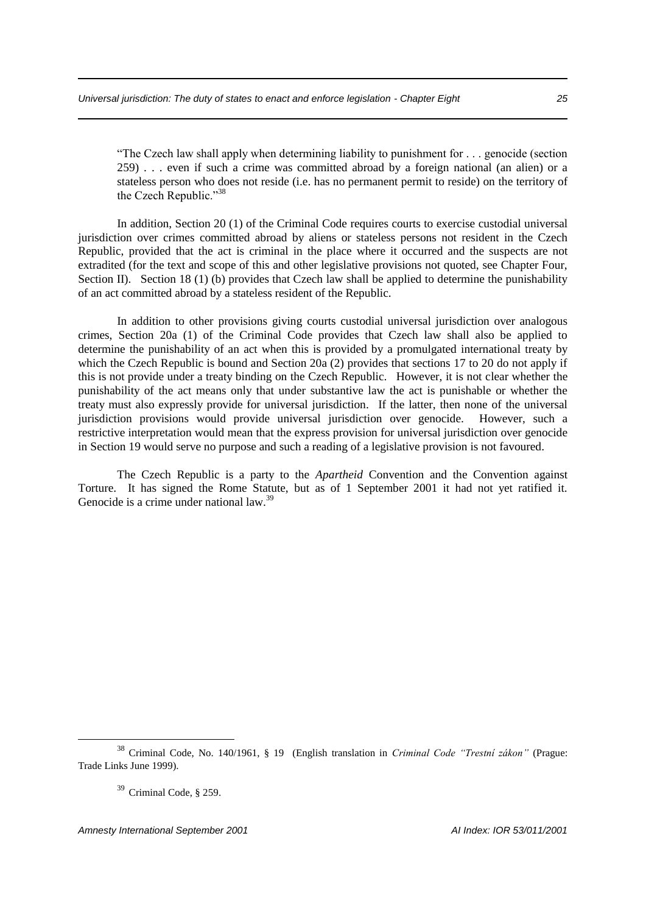"The Czech law shall apply when determining liability to punishment for . . . genocide (section 259) . . . even if such a crime was committed abroad by a foreign national (an alien) or a stateless person who does not reside (i.e. has no permanent permit to reside) on the territory of the Czech Republic."<sup>38</sup>

In addition, Section 20 (1) of the Criminal Code requires courts to exercise custodial universal jurisdiction over crimes committed abroad by aliens or stateless persons not resident in the Czech Republic, provided that the act is criminal in the place where it occurred and the suspects are not extradited (for the text and scope of this and other legislative provisions not quoted, see Chapter Four, Section II). Section 18 (1) (b) provides that Czech law shall be applied to determine the punishability of an act committed abroad by a stateless resident of the Republic.

In addition to other provisions giving courts custodial universal jurisdiction over analogous crimes, Section 20a (1) of the Criminal Code provides that Czech law shall also be applied to determine the punishability of an act when this is provided by a promulgated international treaty by which the Czech Republic is bound and Section 20a (2) provides that sections 17 to 20 do not apply if this is not provide under a treaty binding on the Czech Republic. However, it is not clear whether the punishability of the act means only that under substantive law the act is punishable or whether the treaty must also expressly provide for universal jurisdiction. If the latter, then none of the universal jurisdiction provisions would provide universal jurisdiction over genocide. However, such a restrictive interpretation would mean that the express provision for universal jurisdiction over genocide in Section 19 would serve no purpose and such a reading of a legislative provision is not favoured.

The Czech Republic is a party to the *Apartheid* Convention and the Convention against Torture. It has signed the Rome Statute, but as of 1 September 2001 it had not yet ratified it. Genocide is a crime under national law.<sup>39</sup>

<sup>38</sup> Criminal Code, No. 140/1961, § 19 (English translation in *Criminal Code "Trestní zákon"* (Prague: Trade Links June 1999).

<sup>39</sup> Criminal Code, § 259.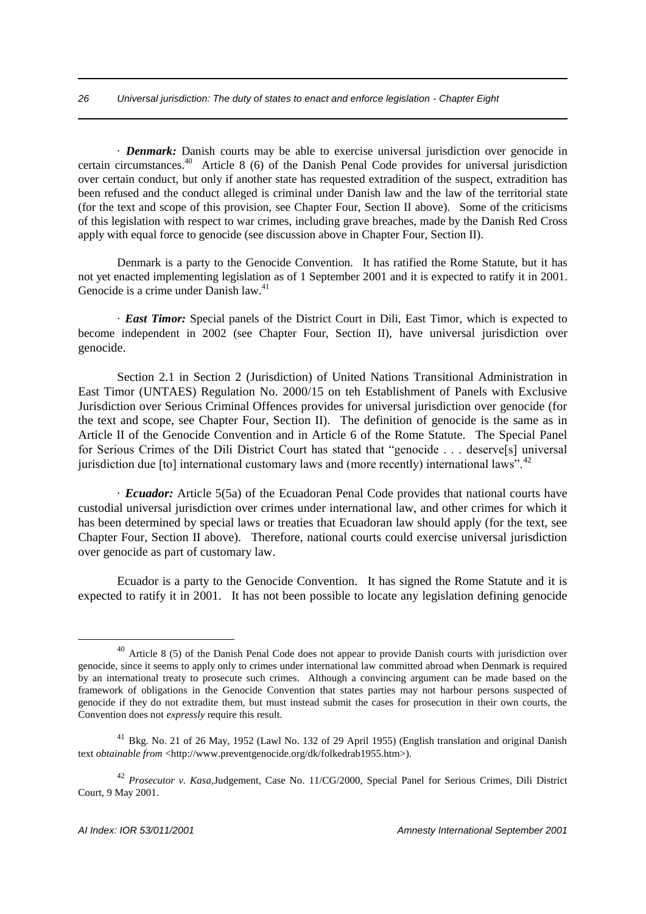· *Denmark:* Danish courts may be able to exercise universal jurisdiction over genocide in certain circumstances.<sup>40</sup> Article 8 (6) of the Danish Penal Code provides for universal jurisdiction over certain conduct, but only if another state has requested extradition of the suspect, extradition has been refused and the conduct alleged is criminal under Danish law and the law of the territorial state (for the text and scope of this provision, see Chapter Four, Section II above). Some of the criticisms of this legislation with respect to war crimes, including grave breaches, made by the Danish Red Cross apply with equal force to genocide (see discussion above in Chapter Four, Section II).

Denmark is a party to the Genocide Convention. It has ratified the Rome Statute, but it has not yet enacted implementing legislation as of 1 September 2001 and it is expected to ratify it in 2001. Genocide is a crime under Danish law.<sup>41</sup>

· *East Timor:* Special panels of the District Court in Dili, East Timor, which is expected to become independent in 2002 (see Chapter Four, Section II), have universal jurisdiction over genocide.

Section 2.1 in Section 2 (Jurisdiction) of United Nations Transitional Administration in East Timor (UNTAES) Regulation No. 2000/15 on teh Establishment of Panels with Exclusive Jurisdiction over Serious Criminal Offences provides for universal jurisdiction over genocide (for the text and scope, see Chapter Four, Section II). The definition of genocide is the same as in Article II of the Genocide Convention and in Article 6 of the Rome Statute. The Special Panel for Serious Crimes of the Dili District Court has stated that "genocide . . . deserve[s] universal jurisdiction due  $\lceil$  to  $\rceil$  international customary laws and (more recently) international laws".<sup>42</sup>

· *Ecuador:* Article 5(5a) of the Ecuadoran Penal Code provides that national courts have custodial universal jurisdiction over crimes under international law, and other crimes for which it has been determined by special laws or treaties that Ecuadoran law should apply (for the text, see Chapter Four, Section II above). Therefore, national courts could exercise universal jurisdiction over genocide as part of customary law.

Ecuador is a party to the Genocide Convention. It has signed the Rome Statute and it is expected to ratify it in 2001. It has not been possible to locate any legislation defining genocide

<sup>&</sup>lt;sup>40</sup> Article 8 (5) of the Danish Penal Code does not appear to provide Danish courts with jurisdiction over genocide, since it seems to apply only to crimes under international law committed abroad when Denmark is required by an international treaty to prosecute such crimes. Although a convincing argument can be made based on the framework of obligations in the Genocide Convention that states parties may not harbour persons suspected of genocide if they do not extradite them, but must instead submit the cases for prosecution in their own courts, the Convention does not *expressly* require this result.

<sup>41</sup> Bkg. No. 21 of 26 May, 1952 (Lawl No. 132 of 29 April 1955) (English translation and original Danish text *obtainable from* <http://www.preventgenocide.org/dk/folkedrab1955.htm>).

<sup>42</sup> *Prosecutor v. Kasa,*Judgement, Case No. 11/CG/2000, Special Panel for Serious Crimes, Dili District Court, 9 May 2001.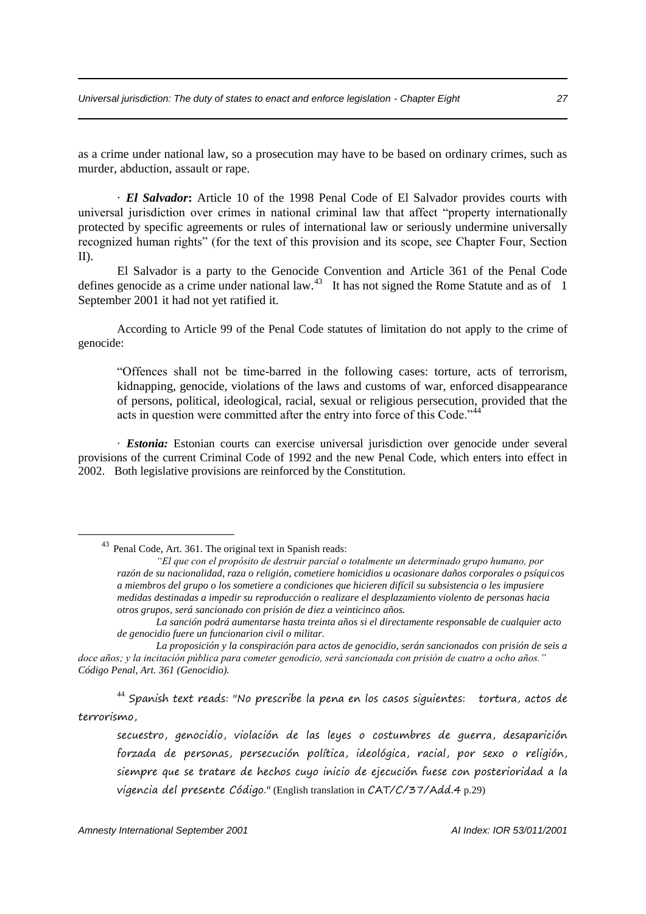as a crime under national law, so a prosecution may have to be based on ordinary crimes, such as murder, abduction, assault or rape.

· *El Salvador***:** Article 10 of the 1998 Penal Code of El Salvador provides courts with universal jurisdiction over crimes in national criminal law that affect "property internationally protected by specific agreements or rules of international law or seriously undermine universally recognized human rights" (for the text of this provision and its scope, see Chapter Four, Section II).

El Salvador is a party to the Genocide Convention and Article 361 of the Penal Code defines genocide as a crime under national law.<sup>43</sup> It has not signed the Rome Statute and as of 1 September 2001 it had not yet ratified it.

According to Article 99 of the Penal Code statutes of limitation do not apply to the crime of genocide:

"Offences shall not be time-barred in the following cases: torture, acts of terrorism, kidnapping, genocide, violations of the laws and customs of war, enforced disappearance of persons, political, ideological, racial, sexual or religious persecution, provided that the acts in question were committed after the entry into force of this Code."<sup>44</sup>

· *Estonia:* Estonian courts can exercise universal jurisdiction over genocide under several provisions of the current Criminal Code of 1992 and the new Penal Code, which enters into effect in 2002. Both legislative provisions are reinforced by the Constitution.

 $44$  Spanish text reads: "No prescribe la pena en los casos siguientes: tortura, actos de terrorismo,

secuestro, genocidio, violación de las leyes o costumbres de guerra, desaparición forzada de personas, persecución política, ideológica, racial, por sexo o religión, siempre que se tratare de hechos cuyo inicio de ejecución fuese con posterioridad a la vigencia del presente Código." (English translation in CAT/C/37/Add.4 p.29)

<sup>43</sup> Penal Code, Art. 361. The original text in Spanish reads:

*<sup>&</sup>quot;El que con el propósito de destruir parcial o totalmente un determinado grupo humano, por razón de su nacionalidad, raza o religión, cometiere homicidios u ocasionare daños corporales o psíquicos a miembros del grupo o los sometiere a condiciones que hicieren difícil su subsistencia o les impusiere medidas destinadas a impedir su reproducción o realizare el desplazamiento violento de personas hacia otros grupos, será sancionado con prisión de diez a veinticinco años.*

*La sanción podrá aumentarse hasta treinta años si el directamente responsable de cualquier acto de genocidio fuere un funcionarion civil o militar.*

*La proposición y la conspiración para actos de genocidio, serán sancionados con prisión de seis a doce años; y la incitación pública para cometer genodicio, será sancionada con prisión de cuatro a ocho años." Código Penal, Art. 361 (Genocidio).*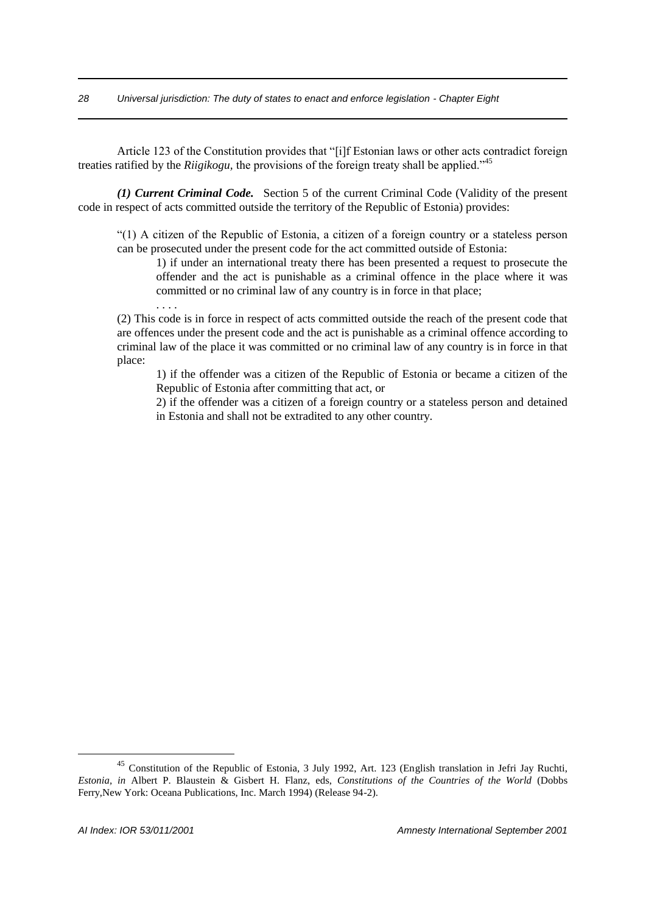Article 123 of the Constitution provides that "[i]f Estonian laws or other acts contradict foreign treaties ratified by the *Riigikogu,* the provisions of the foreign treaty shall be applied."<sup>45</sup>

*(1) Current Criminal Code.* Section 5 of the current Criminal Code (Validity of the present code in respect of acts committed outside the territory of the Republic of Estonia) provides:

"(1) A citizen of the Republic of Estonia, a citizen of a foreign country or a stateless person can be prosecuted under the present code for the act committed outside of Estonia:

1) if under an international treaty there has been presented a request to prosecute the offender and the act is punishable as a criminal offence in the place where it was committed or no criminal law of any country is in force in that place;

(2) This code is in force in respect of acts committed outside the reach of the present code that are offences under the present code and the act is punishable as a criminal offence according to criminal law of the place it was committed or no criminal law of any country is in force in that place:

1) if the offender was a citizen of the Republic of Estonia or became a citizen of the Republic of Estonia after committing that act, or

2) if the offender was a citizen of a foreign country or a stateless person and detained in Estonia and shall not be extradited to any other country.

. . . .

<sup>45</sup> Constitution of the Republic of Estonia, 3 July 1992, Art. 123 (English translation in Jefri Jay Ruchti, *Estonia, in* Albert P. Blaustein & Gisbert H. Flanz, eds, *Constitutions of the Countries of the World* (Dobbs Ferry,New York: Oceana Publications, Inc. March 1994) (Release 94-2).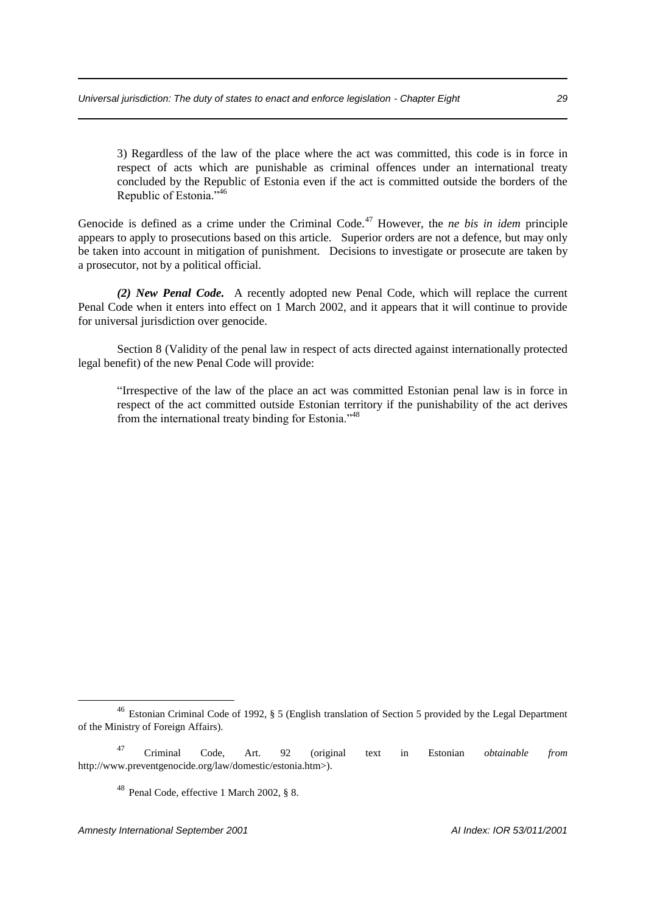3) Regardless of the law of the place where the act was committed, this code is in force in respect of acts which are punishable as criminal offences under an international treaty concluded by the Republic of Estonia even if the act is committed outside the borders of the Republic of Estonia."46

Genocide is defined as a crime under the Criminal Code.<sup>47</sup> However, the *ne bis in idem* principle appears to apply to prosecutions based on this article. Superior orders are not a defence, but may only be taken into account in mitigation of punishment. Decisions to investigate or prosecute are taken by a prosecutor, not by a political official.

*(2) New Penal Code.* A recently adopted new Penal Code, which will replace the current Penal Code when it enters into effect on 1 March 2002, and it appears that it will continue to provide for universal jurisdiction over genocide.

Section 8 (Validity of the penal law in respect of acts directed against internationally protected legal benefit) of the new Penal Code will provide:

"Irrespective of the law of the place an act was committed Estonian penal law is in force in respect of the act committed outside Estonian territory if the punishability of the act derives from the international treaty binding for Estonia."<sup>48</sup>

<sup>46</sup> Estonian Criminal Code of 1992, § 5 (English translation of Section 5 provided by the Legal Department of the Ministry of Foreign Affairs).

<sup>47</sup> Criminal Code, Art. 92 (original text in Estonian *obtainable from* http://www.preventgenocide.org/law/domestic/estonia.htm>).

<sup>48</sup> Penal Code, effective 1 March 2002, § 8.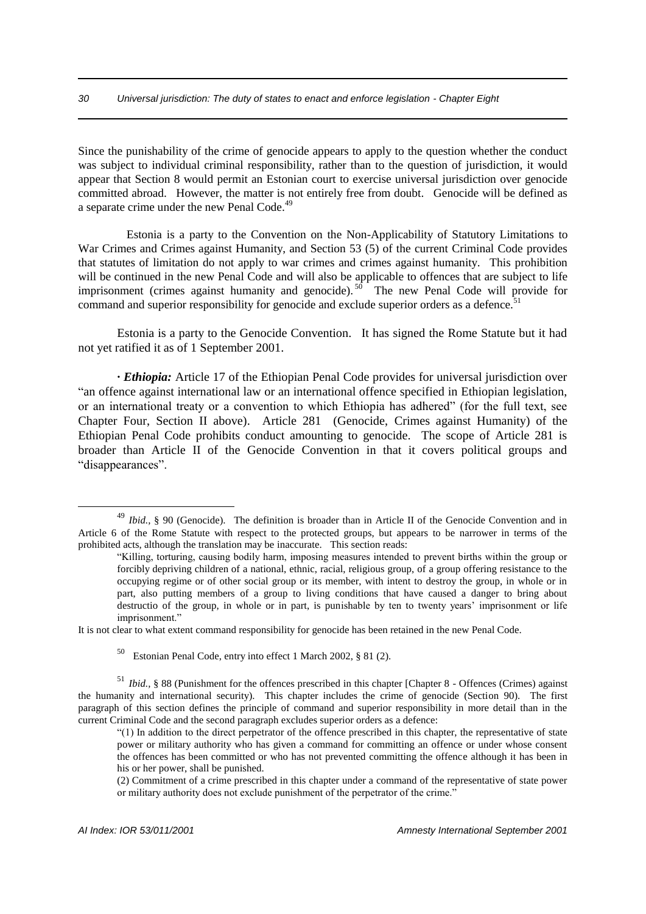Since the punishability of the crime of genocide appears to apply to the question whether the conduct was subject to individual criminal responsibility, rather than to the question of jurisdiction, it would appear that Section 8 would permit an Estonian court to exercise universal jurisdiction over genocide committed abroad. However, the matter is not entirely free from doubt. Genocide will be defined as a separate crime under the new Penal Code.<sup>49</sup>

 Estonia is a party to the Convention on the Non-Applicability of Statutory Limitations to War Crimes and Crimes against Humanity, and Section 53 (5) of the current Criminal Code provides that statutes of limitation do not apply to war crimes and crimes against humanity. This prohibition will be continued in the new Penal Code and will also be applicable to offences that are subject to life imprisonment (crimes against humanity and genocide).<sup>50</sup> The new Penal Code will provide for command and superior responsibility for genocide and exclude superior orders as a defence.<sup>5</sup>

Estonia is a party to the Genocide Convention. It has signed the Rome Statute but it had not yet ratified it as of 1 September 2001.

*· Ethiopia:* Article 17 of the Ethiopian Penal Code provides for universal jurisdiction over "an offence against international law or an international offence specified in Ethiopian legislation, or an international treaty or a convention to which Ethiopia has adhered" (for the full text, see Chapter Four, Section II above). Article 281 (Genocide, Crimes against Humanity) of the Ethiopian Penal Code prohibits conduct amounting to genocide. The scope of Article 281 is broader than Article II of the Genocide Convention in that it covers political groups and "disappearances".

It is not clear to what extent command responsibility for genocide has been retained in the new Penal Code.

50 Estonian Penal Code, entry into effect 1 March 2002, § 81 (2).

<sup>51</sup> *Ibid.,* § 88 (Punishment for the offences prescribed in this chapter [Chapter 8 - Offences (Crimes) against the humanity and international security). This chapter includes the crime of genocide (Section 90). The first paragraph of this section defines the principle of command and superior responsibility in more detail than in the current Criminal Code and the second paragraph excludes superior orders as a defence:

<sup>&</sup>lt;sup>49</sup> *Ibid.*, § 90 (Genocide). The definition is broader than in Article II of the Genocide Convention and in Article 6 of the Rome Statute with respect to the protected groups, but appears to be narrower in terms of the prohibited acts, although the translation may be inaccurate. This section reads:

<sup>&</sup>quot;Killing, torturing, causing bodily harm, imposing measures intended to prevent births within the group or forcibly depriving children of a national, ethnic, racial, religious group, of a group offering resistance to the occupying regime or of other social group or its member, with intent to destroy the group, in whole or in part, also putting members of a group to living conditions that have caused a danger to bring about destructio of the group, in whole or in part, is punishable by ten to twenty years' imprisonment or life imprisonment."

<sup>&</sup>quot;(1) In addition to the direct perpetrator of the offence prescribed in this chapter, the representative of state power or military authority who has given a command for committing an offence or under whose consent the offences has been committed or who has not prevented committing the offence although it has been in his or her power, shall be punished.

<sup>(2)</sup> Commitment of a crime prescribed in this chapter under a command of the representative of state power or military authority does not exclude punishment of the perpetrator of the crime."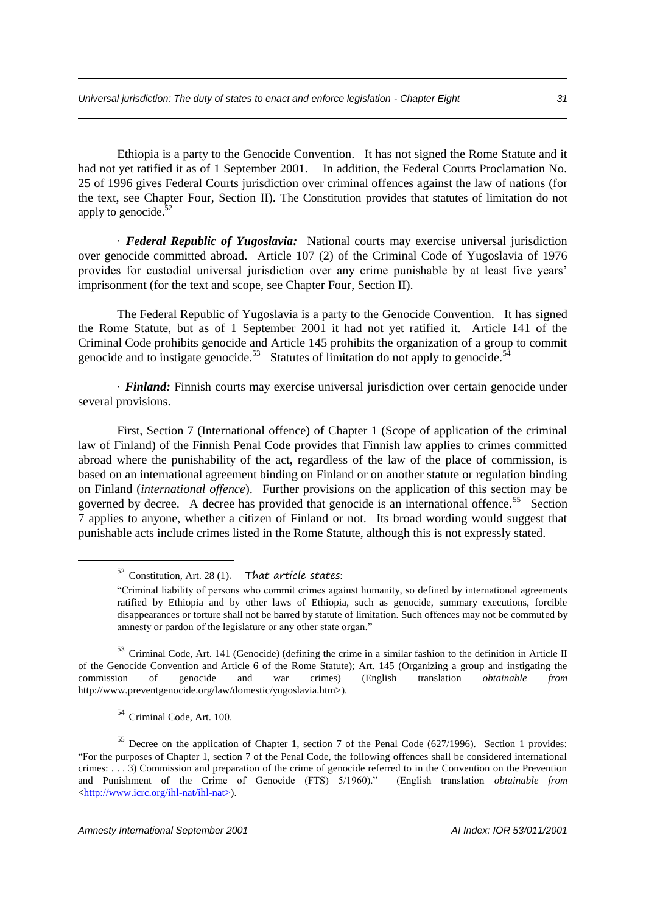Ethiopia is a party to the Genocide Convention. It has not signed the Rome Statute and it had not yet ratified it as of 1 September 2001. In addition, the Federal Courts Proclamation No. 25 of 1996 gives Federal Courts jurisdiction over criminal offences against the law of nations (for the text, see Chapter Four, Section II). The Constitution provides that statutes of limitation do not apply to genocide. $52$ 

· *Federal Republic of Yugoslavia:* National courts may exercise universal jurisdiction over genocide committed abroad. Article 107 (2) of the Criminal Code of Yugoslavia of 1976 provides for custodial universal jurisdiction over any crime punishable by at least five years' imprisonment (for the text and scope, see Chapter Four, Section II).

The Federal Republic of Yugoslavia is a party to the Genocide Convention. It has signed the Rome Statute, but as of 1 September 2001 it had not yet ratified it. Article 141 of the Criminal Code prohibits genocide and Article 145 prohibits the organization of a group to commit genocide and to instigate genocide.<sup>53</sup> Statutes of limitation do not apply to genocide.<sup>54</sup>

· *Finland:* Finnish courts may exercise universal jurisdiction over certain genocide under several provisions.

First, Section 7 (International offence) of Chapter 1 (Scope of application of the criminal law of Finland) of the Finnish Penal Code provides that Finnish law applies to crimes committed abroad where the punishability of the act, regardless of the law of the place of commission, is based on an international agreement binding on Finland or on another statute or regulation binding on Finland (*international offence*). Further provisions on the application of this section may be governed by decree. A decree has provided that genocide is an international offence.<sup>55</sup> Section 7 applies to anyone, whether a citizen of Finland or not. Its broad wording would suggest that punishable acts include crimes listed in the Rome Statute, although this is not expressly stated.

 $52$  Constitution, Art. 28 (1). That article states:

<sup>54</sup> Criminal Code, Art. 100.

1

<sup>55</sup> Decree on the application of Chapter 1, section 7 of the Penal Code (627/1996). Section 1 provides: "For the purposes of Chapter 1, section 7 of the Penal Code, the following offences shall be considered international crimes: . . . 3) Commission and preparation of the crime of genocide referred to in the Convention on the Prevention and Punishment of the Crime of Genocide (FTS) 5/1960)." (English translation *obtainable from* <http://www.icrc.org/ihl-nat/ihl-nat>).

<sup>&</sup>quot;Criminal liability of persons who commit crimes against humanity, so defined by international agreements ratified by Ethiopia and by other laws of Ethiopia, such as genocide, summary executions, forcible disappearances or torture shall not be barred by statute of limitation. Such offences may not be commuted by amnesty or pardon of the legislature or any other state organ."

<sup>&</sup>lt;sup>53</sup> Criminal Code, Art. 141 (Genocide) (defining the crime in a similar fashion to the definition in Article II of the Genocide Convention and Article 6 of the Rome Statute); Art. 145 (Organizing a group and instigating the commission of genocide and war crimes) (English translation *obtainable from* http://www.preventgenocide.org/law/domestic/yugoslavia.htm>).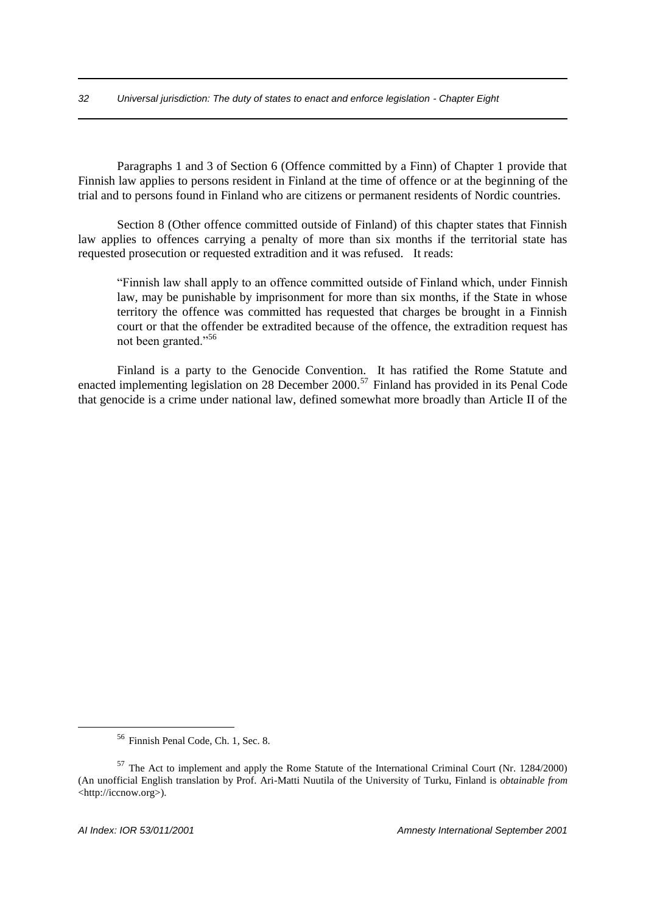Paragraphs 1 and 3 of Section 6 (Offence committed by a Finn) of Chapter 1 provide that Finnish law applies to persons resident in Finland at the time of offence or at the beginning of the trial and to persons found in Finland who are citizens or permanent residents of Nordic countries.

Section 8 (Other offence committed outside of Finland) of this chapter states that Finnish law applies to offences carrying a penalty of more than six months if the territorial state has requested prosecution or requested extradition and it was refused. It reads:

"Finnish law shall apply to an offence committed outside of Finland which, under Finnish law, may be punishable by imprisonment for more than six months, if the State in whose territory the offence was committed has requested that charges be brought in a Finnish court or that the offender be extradited because of the offence, the extradition request has not been granted."<sup>56</sup>

Finland is a party to the Genocide Convention. It has ratified the Rome Statute and enacted implementing legislation on 28 December  $2000$ .<sup>57</sup> Finland has provided in its Penal Code that genocide is a crime under national law, defined somewhat more broadly than Article II of the

<sup>56</sup> Finnish Penal Code, Ch. 1, Sec. 8.

<sup>57</sup> The Act to implement and apply the Rome Statute of the International Criminal Court (Nr. 1284/2000) (An unofficial English translation by Prof. Ari-Matti Nuutila of the University of Turku, Finland is *obtainable from* <http://iccnow.org>).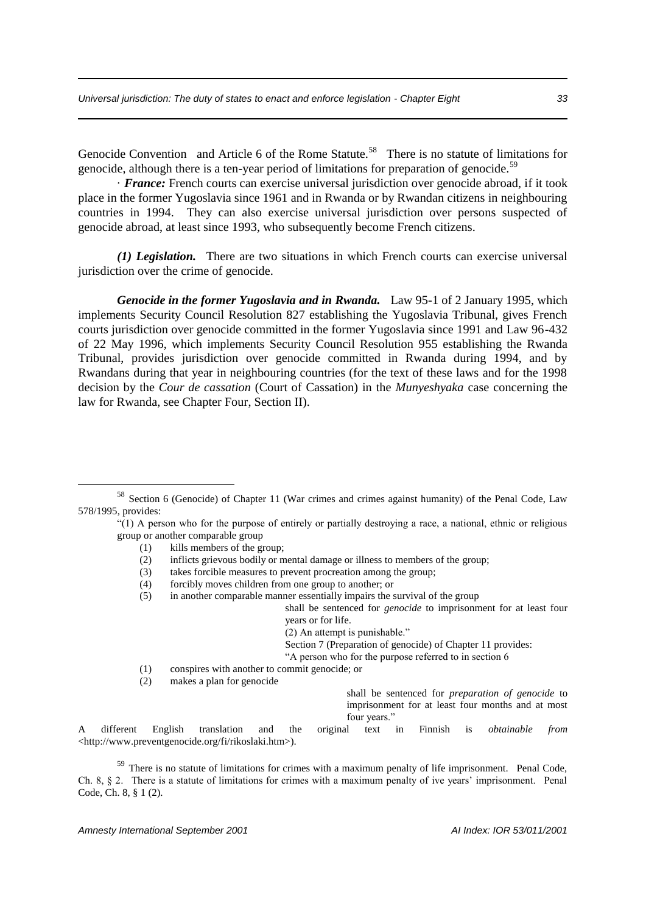Genocide Convention and Article 6 of the Rome Statute.<sup>58</sup> There is no statute of limitations for genocide, although there is a ten-year period of limitations for preparation of genocide.<sup>59</sup>

· *France:* French courts can exercise universal jurisdiction over genocide abroad, if it took place in the former Yugoslavia since 1961 and in Rwanda or by Rwandan citizens in neighbouring countries in 1994. They can also exercise universal jurisdiction over persons suspected of genocide abroad, at least since 1993, who subsequently become French citizens.

*(1) Legislation.* There are two situations in which French courts can exercise universal jurisdiction over the crime of genocide.

*Genocide in the former Yugoslavia and in Rwanda.* Law 95-1 of 2 January 1995, which implements Security Council Resolution 827 establishing the Yugoslavia Tribunal, gives French courts jurisdiction over genocide committed in the former Yugoslavia since 1991 and Law 96-432 of 22 May 1996, which implements Security Council Resolution 955 establishing the Rwanda Tribunal, provides jurisdiction over genocide committed in Rwanda during 1994, and by Rwandans during that year in neighbouring countries (for the text of these laws and for the 1998 decision by the *Cour de cassation* (Court of Cassation) in the *Munyeshyaka* case concerning the law for Rwanda, see Chapter Four, Section II).

(1) kills members of the group;

<u>.</u>

- (2) inflicts grievous bodily or mental damage or illness to members of the group;
- (3) takes forcible measures to prevent procreation among the group;
- (4) forcibly moves children from one group to another; or
- (5) in another comparable manner essentially impairs the survival of the group

shall be sentenced for *genocide* to imprisonment for at least four years or for life.

(2) An attempt is punishable."

Section 7 (Preparation of genocide) of Chapter 11 provides:

"A person who for the purpose referred to in section 6

- (1) conspires with another to commit genocide; or
- (2) makes a plan for genocide

shall be sentenced for *preparation of genocide* to imprisonment for at least four months and at most four years."

A different English translation and the original text in Finnish is *obtainable from* <http://www.preventgenocide.org/fi/rikoslaki.htm>).

<sup>59</sup> There is no statute of limitations for crimes with a maximum penalty of life imprisonment. Penal Code, Ch. 8, § 2. There is a statute of limitations for crimes with a maximum penalty of ive years' imprisonment. Penal Code, Ch. 8, § 1 (2).

<sup>58</sup> Section 6 (Genocide) of Chapter 11 (War crimes and crimes against humanity) of the Penal Code, Law 578/1995, provides:

<sup>&</sup>quot;(1) A person who for the purpose of entirely or partially destroying a race, a national, ethnic or religious group or another comparable group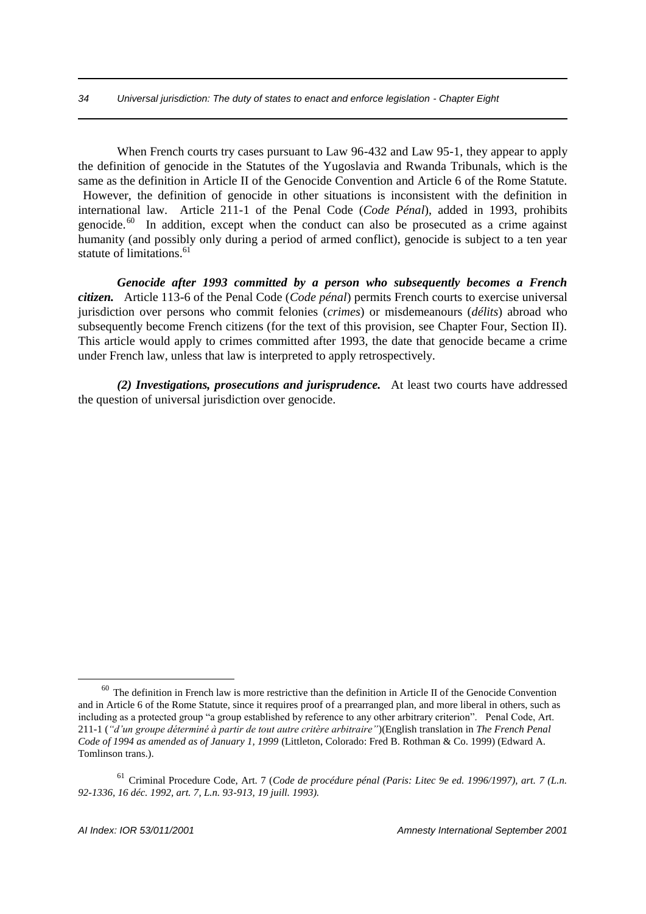When French courts try cases pursuant to Law 96-432 and Law 95-1, they appear to apply the definition of genocide in the Statutes of the Yugoslavia and Rwanda Tribunals, which is the same as the definition in Article II of the Genocide Convention and Article 6 of the Rome Statute. However, the definition of genocide in other situations is inconsistent with the definition in international law. Article 211-1 of the Penal Code (*Code Pénal*), added in 1993, prohibits genocide.<sup>60</sup> In addition, except when the conduct can also be prosecuted as a crime against humanity (and possibly only during a period of armed conflict), genocide is subject to a ten year statute of limitations.<sup>61</sup>

*Genocide after 1993 committed by a person who subsequently becomes a French citizen.* Article 113-6 of the Penal Code (*Code pénal*) permits French courts to exercise universal jurisdiction over persons who commit felonies (*crimes*) or misdemeanours (*délits*) abroad who subsequently become French citizens (for the text of this provision, see Chapter Four, Section II). This article would apply to crimes committed after 1993, the date that genocide became a crime under French law, unless that law is interpreted to apply retrospectively.

*(2) Investigations, prosecutions and jurisprudence.* At least two courts have addressed the question of universal jurisdiction over genocide.

 $60$  The definition in French law is more restrictive than the definition in Article II of the Genocide Convention and in Article 6 of the Rome Statute, since it requires proof of a prearranged plan, and more liberal in others, such as including as a protected group "a group established by reference to any other arbitrary criterion". Penal Code, Art. 211-1 (*"d'un groupe déterminé à partir de tout autre critère arbitraire"*)(English translation in *The French Penal Code of 1994 as amended as of January 1, 1999* (Littleton, Colorado: Fred B. Rothman & Co. 1999) (Edward A. Tomlinson trans.).

<sup>61</sup> Criminal Procedure Code, Art. 7 (*Code de procédure pénal (Paris: Litec 9e ed. 1996/1997), art. 7 (L.n. 92-1336, 16 déc. 1992, art. 7, L.n. 93-913, 19 juill. 1993).*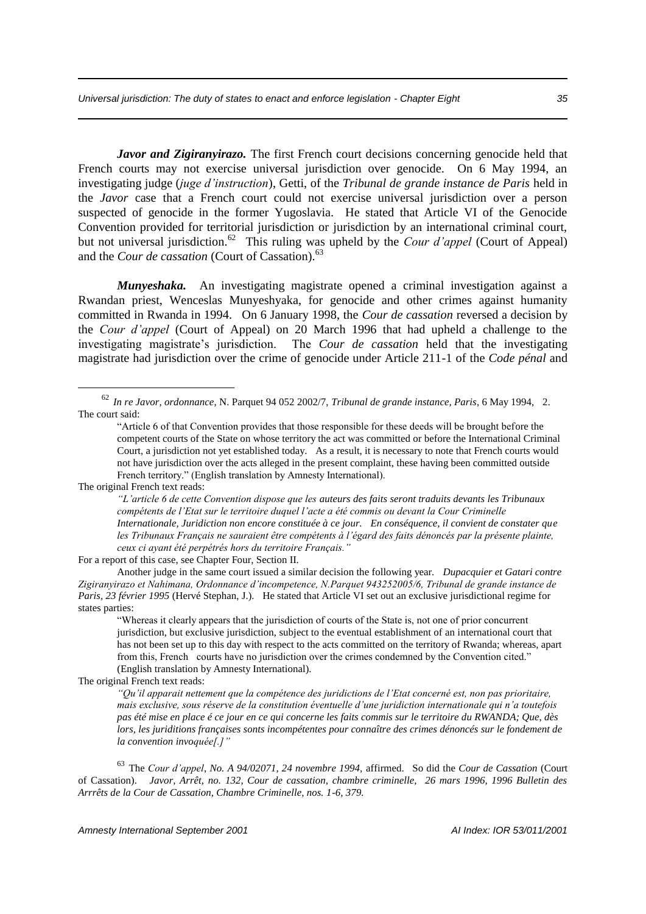*Javor and Zigiranyirazo.* The first French court decisions concerning genocide held that French courts may not exercise universal jurisdiction over genocide. On 6 May 1994, an investigating judge (*juge d'instruction*), Getti, of the *Tribunal de grande instance de Paris* held in the *Javor* case that a French court could not exercise universal jurisdiction over a person suspected of genocide in the former Yugoslavia. He stated that Article VI of the Genocide Convention provided for territorial jurisdiction or jurisdiction by an international criminal court, but not universal jurisdiction.<sup>62</sup> This ruling was upheld by the *Cour d'appel* (Court of Appeal) and the *Cour de cassation* (Court of Cassation).<sup>63</sup>

*Munyeshaka.* An investigating magistrate opened a criminal investigation against a Rwandan priest, Wenceslas Munyeshyaka, for genocide and other crimes against humanity committed in Rwanda in 1994. On 6 January 1998, the *Cour de cassation* reversed a decision by the *Cour d'appel* (Court of Appeal) on 20 March 1996 that had upheld a challenge to the investigating magistrate's jurisdiction. The *Cour de cassation* held that the investigating magistrate had jurisdiction over the crime of genocide under Article 211-1 of the *Code pénal* and

<u>.</u>

*"L'article 6 de cette Convention dispose que les auteurs des faits seront traduits devants les Tribunaux compétents de l'Etat sur le territoire duquel l'acte a été commis ou devant la Cour Criminelle Internationale, Juridiction non encore constituée à ce jour. En conséquence, il convient de constater que les Tribunaux Français ne sauraient être compétents à l'égard des faits dénoncés par la présente plainte, ceux ci ayant été perpétrés hors du territoire Français."*

For a report of this case, see Chapter Four, Section II.

Another judge in the same court issued a similar decision the following year. *Dupacquier et Gatari contre Zigiranyirazo et Nahimana, Ordonnance d'incompetence, N.Parquet 943252005/6, Tribunal de grande instance de Paris, 23 février 1995* (Hervé Stephan, J.). He stated that Article VI set out an exclusive jurisdictional regime for states parties:

"Whereas it clearly appears that the jurisdiction of courts of the State is, not one of prior concurrent jurisdiction, but exclusive jurisdiction, subject to the eventual establishment of an international court that has not been set up to this day with respect to the acts committed on the territory of Rwanda; whereas, apart from this, French courts have no jurisdiction over the crimes condemned by the Convention cited." (English translation by Amnesty International).

The original French text reads:

*"Qu'il apparait nettement que la compétence des juridictions de l'Etat concerné est, non pas prioritaire, mais exclusive, sous réserve de la constitution éventuelle d'une juridiction internationale qui n'a toutefois pas été mise en place é ce jour en ce qui concerne les faits commis sur le territoire du RWANDA; Que, dès lors, les juriditions françaises sonts incompétentes pour connaître des crimes dénoncés sur le fondement de la convention invoquée[.]"*

<sup>63</sup> The *Cour d'appel*, *No. A 94/02071, 24 novembre 1994,* affirmed. So did the *Cour de Cassation* (Court of Cassation). *Javor, Arrêt, no. 132, Cour de cassation, chambre criminelle, 26 mars 1996, 1996 Bulletin des Arrrêts de la Cour de Cassation, Chambre Criminelle, nos. 1-6, 379.*

<sup>62</sup> *In re Javor*, *ordonnance*, N. Parquet 94 052 2002/7, *Tribunal de grande instance, Paris*, 6 May 1994, 2. The court said:

<sup>&</sup>quot;Article 6 of that Convention provides that those responsible for these deeds will be brought before the competent courts of the State on whose territory the act was committed or before the International Criminal Court, a jurisdiction not yet established today. As a result, it is necessary to note that French courts would not have jurisdiction over the acts alleged in the present complaint, these having been committed outside French territory." (English translation by Amnesty International).

The original French text reads: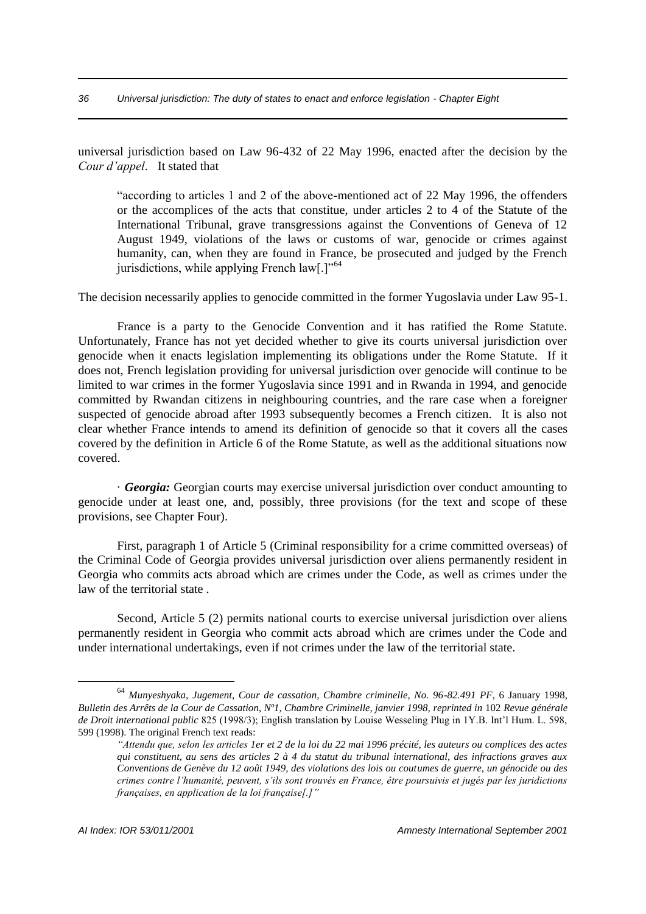universal jurisdiction based on Law 96-432 of 22 May 1996, enacted after the decision by the *Cour d'appel*. It stated that

"according to articles 1 and 2 of the above-mentioned act of 22 May 1996, the offenders or the accomplices of the acts that constitue, under articles 2 to 4 of the Statute of the International Tribunal, grave transgressions against the Conventions of Geneva of 12 August 1949, violations of the laws or customs of war, genocide or crimes against humanity, can, when they are found in France, be prosecuted and judged by the French jurisdictions, while applying French law[.]"<sup>64</sup>

The decision necessarily applies to genocide committed in the former Yugoslavia under Law 95-1.

France is a party to the Genocide Convention and it has ratified the Rome Statute. Unfortunately, France has not yet decided whether to give its courts universal jurisdiction over genocide when it enacts legislation implementing its obligations under the Rome Statute. If it does not, French legislation providing for universal jurisdiction over genocide will continue to be limited to war crimes in the former Yugoslavia since 1991 and in Rwanda in 1994, and genocide committed by Rwandan citizens in neighbouring countries, and the rare case when a foreigner suspected of genocide abroad after 1993 subsequently becomes a French citizen. It is also not clear whether France intends to amend its definition of genocide so that it covers all the cases covered by the definition in Article 6 of the Rome Statute, as well as the additional situations now covered.

· *Georgia:* Georgian courts may exercise universal jurisdiction over conduct amounting to genocide under at least one, and, possibly, three provisions (for the text and scope of these provisions, see Chapter Four).

First, paragraph 1 of Article 5 (Criminal responsibility for a crime committed overseas) of the Criminal Code of Georgia provides universal jurisdiction over aliens permanently resident in Georgia who commits acts abroad which are crimes under the Code, as well as crimes under the law of the territorial state .

Second, Article 5 (2) permits national courts to exercise universal jurisdiction over aliens permanently resident in Georgia who commit acts abroad which are crimes under the Code and under international undertakings, even if not crimes under the law of the territorial state.

<sup>64</sup> *Munyeshyaka*, *Jugement, Cour de cassation, Chambre criminelle, No. 96-82.491 PF*, 6 January 1998, *Bulletin des Arrêts de la Cour de Cassation, Nº1, Chambre Criminelle, janvier 1998, reprinted in* 102 *Revue générale de Droit international public* 825 (1998/3); English translation by Louise Wesseling Plug in 1Y.B. Int'l Hum. L. 598, 599 (1998). The original French text reads:

*<sup>&</sup>quot;Attendu que, selon les articles 1er et 2 de la loi du 22 mai 1996 précité, les auteurs ou complices des actes qui constituent, au sens des articles 2 à 4 du statut du tribunal international, des infractions graves aux Conventions de Genève du 12 août 1949, des violations des lois ou coutumes de guerre, un génocide ou des crimes contre l'humanité, peuvent, s'ils sont trouvés en France, être poursuivis et jugés par les juridictions françaises, en application de la loi française[.]"*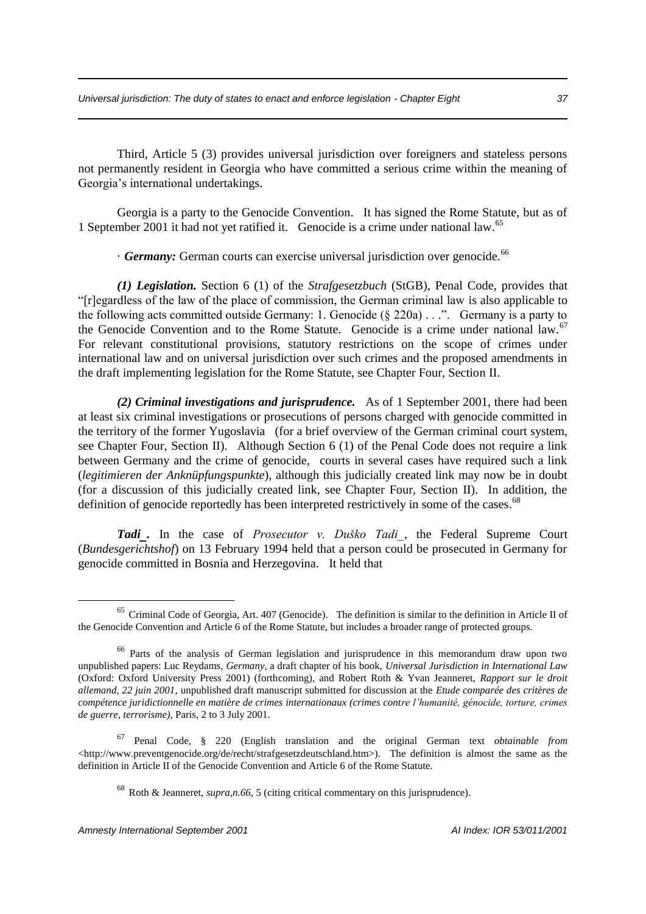Third, Article 5 (3) provides universal jurisdiction over foreigners and stateless persons not permanently resident in Georgia who have committed a serious crime within the meaning of Georgia's international undertakings.

Georgia is a party to the Genocide Convention. It has signed the Rome Statute, but as of 1 September 2001 it had not yet ratified it. Genocide is a crime under national law.<sup>65</sup>

· **Germany:** German courts can exercise universal jurisdiction over genocide.<sup>66</sup>

*(1) Legislation.* Section 6 (1) of the *Strafgesetzbuch* (StGB), Penal Code, provides that "[r]egardless of the law of the place of commission, the German criminal law is also applicable to the following acts committed outside Germany: 1. Genocide  $(\S$  220a) . . .". Germany is a party to the Genocide Convention and to the Rome Statute. Genocide is a crime under national law.<sup>67</sup> For relevant constitutional provisions, statutory restrictions on the scope of crimes under international law and on universal jurisdiction over such crimes and the proposed amendments in the draft implementing legislation for the Rome Statute, see Chapter Four, Section II.

*(2) Criminal investigations and jurisprudence.* As of 1 September 2001, there had been at least six criminal investigations or prosecutions of persons charged with genocide committed in the territory of the former Yugoslavia (for a brief overview of the German criminal court system, see Chapter Four, Section II). Although Section 6 (1) of the Penal Code does not require a link between Germany and the crime of genocide, courts in several cases have required such a link (*legitimieren der Anknüpfungspunkte*), although this judicially created link may now be in doubt (for a discussion of this judicially created link, see Chapter Four, Section II). In addition, the definition of genocide reportedly has been interpreted restrictively in some of the cases.<sup>68</sup>

*Tadi.* In the case of *Prosecutor v. Duško Tadi*, the Federal Supreme Court (*Bundesgerichtshof*) on 13 February 1994 held that a person could be prosecuted in Germany for genocide committed in Bosnia and Herzegovina. It held that

<sup>65</sup> Criminal Code of Georgia, Art. 407 (Genocide). The definition is similar to the definition in Article II of the Genocide Convention and Article 6 of the Rome Statute, but includes a broader range of protected groups.

<sup>&</sup>lt;sup>66</sup> Parts of the analysis of German legislation and jurisprudence in this memorandum draw upon two unpublished papers: Luc Reydams, *Germany,* a draft chapter of his book, *Universal Jurisdiction in International Law* (Oxford: Oxford University Press 2001) (forthcoming), and Robert Roth & Yvan Jeanneret, *Rapport sur le droit allemand, 22 juin 2001,* unpublished draft manuscript submitted for discussion at the *Etude comparée des critères de compétence juridictionnelle en matière de crimes internationaux (crimes contre l'humanité, génocide, torture, crimes de guerre, terrorisme)*, Paris, 2 to 3 July 2001.

<sup>67</sup> Penal Code, § 220 (English translation and the original German text *obtainable from* <http://www.preventgenocide.org/de/recht/strafgesetzdeutschland.htm>). The definition is almost the same as the definition in Article II of the Genocide Convention and Article 6 of the Rome Statute.

<sup>68</sup> Roth & Jeanneret, *supra,n.66,* 5 (citing critical commentary on this jurisprudence).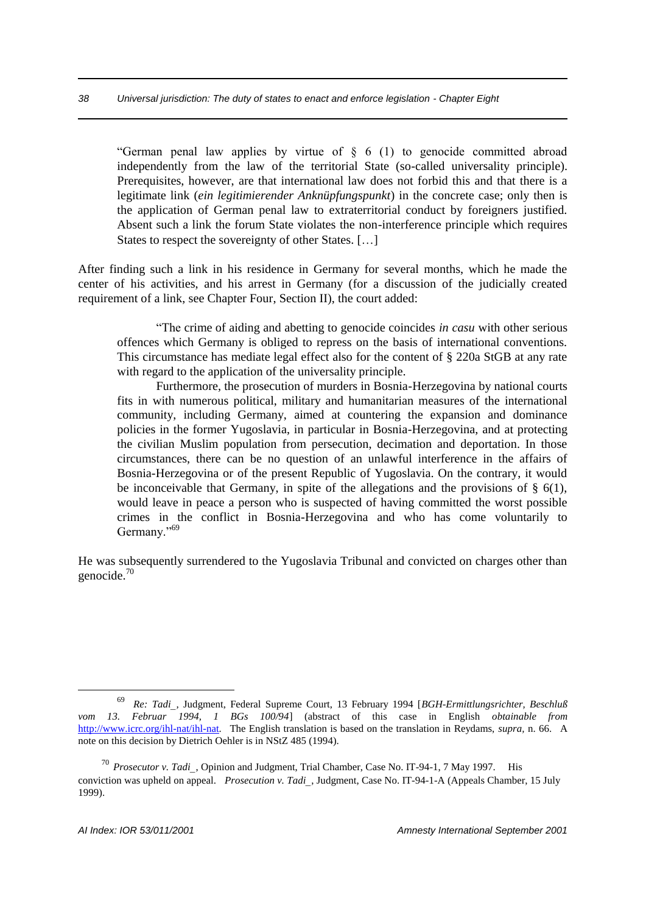"German penal law applies by virtue of  $\frac{1}{2}$  6 (1) to genocide committed abroad independently from the law of the territorial State (so-called universality principle). Prerequisites, however, are that international law does not forbid this and that there is a legitimate link (*ein legitimierender Anknüpfungspunkt*) in the concrete case; only then is the application of German penal law to extraterritorial conduct by foreigners justified. Absent such a link the forum State violates the non-interference principle which requires States to respect the sovereignty of other States. [...]

After finding such a link in his residence in Germany for several months, which he made the center of his activities, and his arrest in Germany (for a discussion of the judicially created requirement of a link, see Chapter Four, Section II), the court added:

"The crime of aiding and abetting to genocide coincides *in casu* with other serious offences which Germany is obliged to repress on the basis of international conventions. This circumstance has mediate legal effect also for the content of § 220a StGB at any rate with regard to the application of the universality principle.

Furthermore, the prosecution of murders in Bosnia-Herzegovina by national courts fits in with numerous political, military and humanitarian measures of the international community, including Germany, aimed at countering the expansion and dominance policies in the former Yugoslavia, in particular in Bosnia-Herzegovina, and at protecting the civilian Muslim population from persecution, decimation and deportation. In those circumstances, there can be no question of an unlawful interference in the affairs of Bosnia-Herzegovina or of the present Republic of Yugoslavia. On the contrary, it would be inconceivable that Germany, in spite of the allegations and the provisions of  $\S$  6(1), would leave in peace a person who is suspected of having committed the worst possible crimes in the conflict in Bosnia-Herzegovina and who has come voluntarily to Germany."<sup>69</sup>

He was subsequently surrendered to the Yugoslavia Tribunal and convicted on charges other than genocide.<sup>70</sup>

<sup>69</sup> *Re: Tadi,* Judgment, Federal Supreme Court, 13 February 1994 [*BGH-Ermittlungsrichter, Beschluß vom 13. Februar 1994, 1 BGs 100/94*] (abstract of this case in English *obtainable from* http://www.icrc.org/ihl-nat/ihl-nat. The English translation is based on the translation in Reydams, *supra,* n. 66. A note on this decision by Dietrich Oehler is in NStZ 485 (1994).

<sup>70</sup> *Prosecutor v. Tadi*, Opinion and Judgment, Trial Chamber, Case No. IT-94-1, 7 May 1997. His conviction was upheld on appeal. *Prosecution v. Tadi*, Judgment, Case No. IT-94-1-A (Appeals Chamber, 15 July 1999).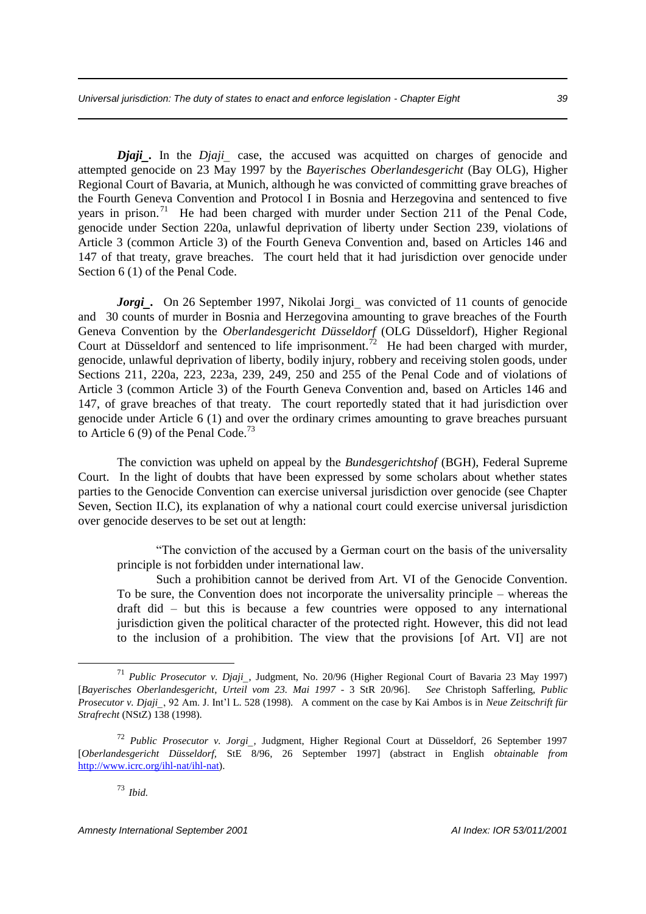*Djaji.* In the *Djaji* case, the accused was acquitted on charges of genocide and attempted genocide on 23 May 1997 by the *Bayerisches Oberlandesgericht* (Bay OLG), Higher Regional Court of Bavaria, at Munich, although he was convicted of committing grave breaches of the Fourth Geneva Convention and Protocol I in Bosnia and Herzegovina and sentenced to five years in prison.<sup>71</sup> He had been charged with murder under Section 211 of the Penal Code, genocide under Section 220a, unlawful deprivation of liberty under Section 239, violations of Article 3 (common Article 3) of the Fourth Geneva Convention and, based on Articles 146 and 147 of that treaty, grave breaches. The court held that it had jurisdiction over genocide under Section 6 (1) of the Penal Code.

*Jorgi.* On 26 September 1997, Nikolai Jorgi was convicted of 11 counts of genocide and 30 counts of murder in Bosnia and Herzegovina amounting to grave breaches of the Fourth Geneva Convention by the *Oberlandesgericht Düsseldorf* (OLG Düsseldorf), Higher Regional Court at Düsseldorf and sentenced to life imprisonment.<sup>72</sup> He had been charged with murder, genocide, unlawful deprivation of liberty, bodily injury, robbery and receiving stolen goods, under Sections 211, 220a, 223, 223a, 239, 249, 250 and 255 of the Penal Code and of violations of Article 3 (common Article 3) of the Fourth Geneva Convention and, based on Articles 146 and 147, of grave breaches of that treaty. The court reportedly stated that it had jurisdiction over genocide under Article 6 (1) and over the ordinary crimes amounting to grave breaches pursuant to Article 6 (9) of the Penal Code.<sup>73</sup>

The conviction was upheld on appeal by the *Bundesgerichtshof* (BGH), Federal Supreme Court. In the light of doubts that have been expressed by some scholars about whether states parties to the Genocide Convention can exercise universal jurisdiction over genocide (see Chapter Seven, Section II.C), its explanation of why a national court could exercise universal jurisdiction over genocide deserves to be set out at length:

"The conviction of the accused by a German court on the basis of the universality principle is not forbidden under international law.

Such a prohibition cannot be derived from Art. VI of the Genocide Convention. To be sure, the Convention does not incorporate the universality principle – whereas the draft did – but this is because a few countries were opposed to any international jurisdiction given the political character of the protected right. However, this did not lead to the inclusion of a prohibition. The view that the provisions [of Art. VI] are not

<sup>71</sup> *Public Prosecutor v. Djaji*, Judgment, No. 20/96 (Higher Regional Court of Bavaria 23 May 1997) [*Bayerisches Oberlandesgericht*, *Urteil vom 23. Mai 1997* - 3 StR 20/96]. *See* Christoph Safferling, *Public Prosecutor v. Djaji*, 92 Am. J. Int'l L. 528 (1998). A comment on the case by Kai Ambos is in *Neue Zeitschrift für Strafrecht* (NStZ) 138 (1998).

<sup>72</sup> *Public Prosecutor v. Jorgi,* Judgment, Higher Regional Court at Düsseldorf, 26 September 1997 [*Oberlandesgericht Düsseldorf,* StE 8/96, 26 September 1997] (abstract in English *obtainable from* http://www.icrc.org/ihl-nat/ihl-nat).

<sup>73</sup> *Ibid.*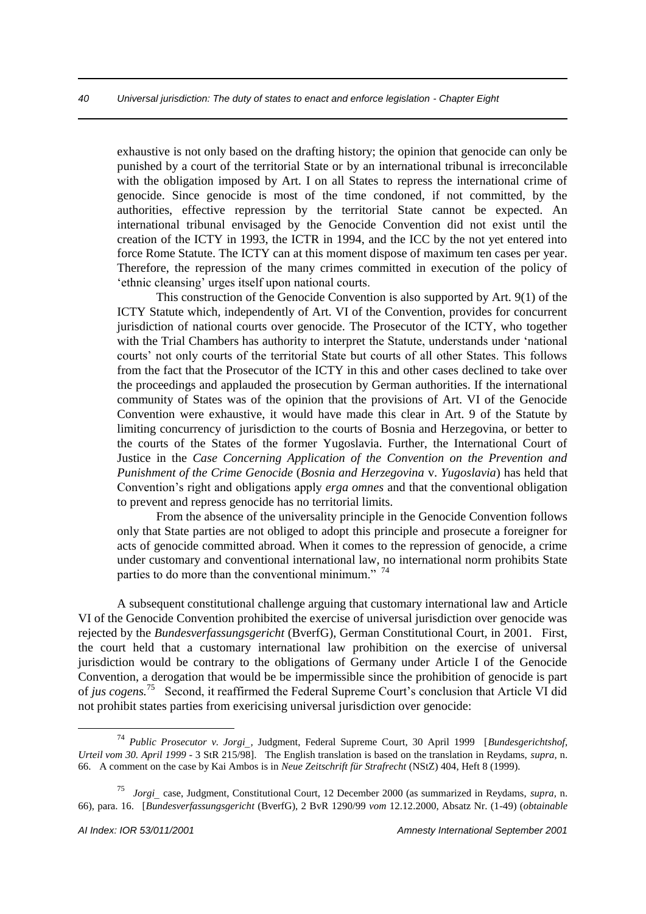exhaustive is not only based on the drafting history; the opinion that genocide can only be punished by a court of the territorial State or by an international tribunal is irreconcilable with the obligation imposed by Art. I on all States to repress the international crime of genocide. Since genocide is most of the time condoned, if not committed, by the authorities, effective repression by the territorial State cannot be expected. An international tribunal envisaged by the Genocide Convention did not exist until the creation of the ICTY in 1993, the ICTR in 1994, and the ICC by the not yet entered into force Rome Statute. The ICTY can at this moment dispose of maximum ten cases per year. Therefore, the repression of the many crimes committed in execution of the policy of 'ethnic cleansing' urges itself upon national courts.

This construction of the Genocide Convention is also supported by Art. 9(1) of the ICTY Statute which, independently of Art. VI of the Convention, provides for concurrent jurisdiction of national courts over genocide. The Prosecutor of the ICTY, who together with the Trial Chambers has authority to interpret the Statute, understands under 'national courts' not only courts of the territorial State but courts of all other States. This follows from the fact that the Prosecutor of the ICTY in this and other cases declined to take over the proceedings and applauded the prosecution by German authorities. If the international community of States was of the opinion that the provisions of Art. VI of the Genocide Convention were exhaustive, it would have made this clear in Art. 9 of the Statute by limiting concurrency of jurisdiction to the courts of Bosnia and Herzegovina, or better to the courts of the States of the former Yugoslavia. Further, the International Court of Justice in the *Case Concerning Application of the Convention on the Prevention and Punishment of the Crime Genocide* (*Bosnia and Herzegovina* v. *Yugoslavia*) has held that Convention's right and obligations apply *erga omnes* and that the conventional obligation to prevent and repress genocide has no territorial limits.

From the absence of the universality principle in the Genocide Convention follows only that State parties are not obliged to adopt this principle and prosecute a foreigner for acts of genocide committed abroad. When it comes to the repression of genocide, a crime under customary and conventional international law, no international norm prohibits State parties to do more than the conventional minimum."  $74$ 

A subsequent constitutional challenge arguing that customary international law and Article VI of the Genocide Convention prohibited the exercise of universal jurisdiction over genocide was rejected by the *Bundesverfassungsgericht* (BverfG), German Constitutional Court, in 2001. First, the court held that a customary international law prohibition on the exercise of universal jurisdiction would be contrary to the obligations of Germany under Article I of the Genocide Convention, a derogation that would be be impermissible since the prohibition of genocide is part of *jus cogens.*<sup>75</sup> Second, it reaffirmed the Federal Supreme Court's conclusion that Article VI did not prohibit states parties from exericising universal jurisdiction over genocide:

<sup>74</sup> *Public Prosecutor v. Jorgi,* Judgment, Federal Supreme Court, 30 April 1999 [*Bundesgerichtshof*, *Urteil vom 30. April 1999* - 3 StR 215/98]. The English translation is based on the translation in Reydams, *supra,* n. 66. A comment on the case by Kai Ambos is in *Neue Zeitschrift für Strafrecht* (NStZ) 404, Heft 8 (1999).

<sup>75</sup> *Jorgi* case, Judgment, Constitutional Court, 12 December 2000 (as summarized in Reydams, *supra,* n. 66), para. 16. [*Bundesverfassungsgericht* (BverfG), 2 BvR 1290/99 *vom* 12.12.2000, Absatz Nr. (1-49) (*obtainable*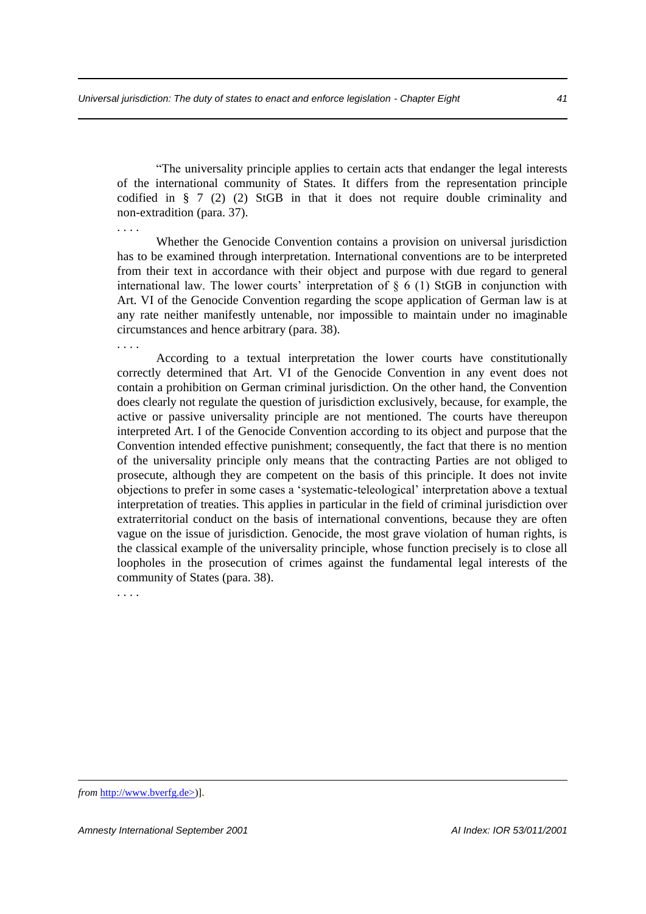"The universality principle applies to certain acts that endanger the legal interests of the international community of States. It differs from the representation principle codified in  $\S 7$  (2) (2) StGB in that it does not require double criminality and non-extradition (para. 37).

. . . . Whether the Genocide Convention contains a provision on universal jurisdiction has to be examined through interpretation. International conventions are to be interpreted from their text in accordance with their object and purpose with due regard to general international law. The lower courts' interpretation of § 6 (1) StGB in conjunction with Art. VI of the Genocide Convention regarding the scope application of German law is at any rate neither manifestly untenable, nor impossible to maintain under no imaginable circumstances and hence arbitrary (para. 38). . . . .

According to a textual interpretation the lower courts have constitutionally correctly determined that Art. VI of the Genocide Convention in any event does not contain a prohibition on German criminal jurisdiction. On the other hand, the Convention does clearly not regulate the question of jurisdiction exclusively, because, for example, the active or passive universality principle are not mentioned. The courts have thereupon interpreted Art. I of the Genocide Convention according to its object and purpose that the Convention intended effective punishment; consequently, the fact that there is no mention of the universality principle only means that the contracting Parties are not obliged to prosecute, although they are competent on the basis of this principle. It does not invite objections to prefer in some cases a 'systematic-teleological' interpretation above a textual interpretation of treaties. This applies in particular in the field of criminal jurisdiction over extraterritorial conduct on the basis of international conventions, because they are often vague on the issue of jurisdiction. Genocide, the most grave violation of human rights, is the classical example of the universality principle, whose function precisely is to close all loopholes in the prosecution of crimes against the fundamental legal interests of the community of States (para. 38).

. . . .

*from* http://www.bverfg.de>)].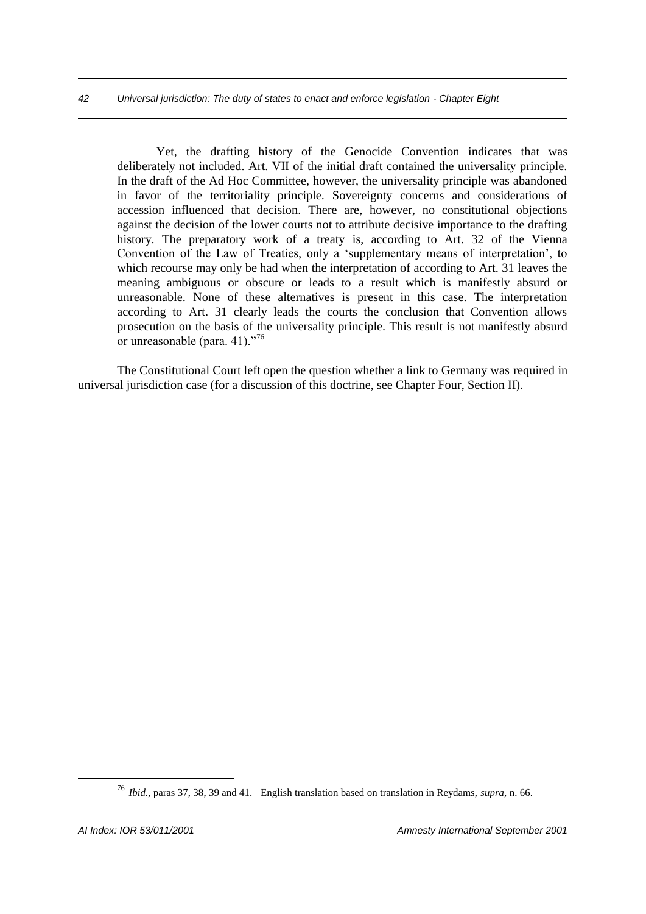Yet, the drafting history of the Genocide Convention indicates that was deliberately not included. Art. VII of the initial draft contained the universality principle. In the draft of the Ad Hoc Committee, however, the universality principle was abandoned in favor of the territoriality principle. Sovereignty concerns and considerations of accession influenced that decision. There are, however, no constitutional objections against the decision of the lower courts not to attribute decisive importance to the drafting history. The preparatory work of a treaty is, according to Art. 32 of the Vienna Convention of the Law of Treaties, only a 'supplementary means of interpretation', to which recourse may only be had when the interpretation of according to Art. 31 leaves the meaning ambiguous or obscure or leads to a result which is manifestly absurd or unreasonable. None of these alternatives is present in this case. The interpretation according to Art. 31 clearly leads the courts the conclusion that Convention allows prosecution on the basis of the universality principle. This result is not manifestly absurd or unreasonable (para. 41)."<sup>76</sup>

The Constitutional Court left open the question whether a link to Germany was required in universal jurisdiction case (for a discussion of this doctrine, see Chapter Four, Section II).

<sup>76</sup> *Ibid.,* paras 37, 38, 39 and 41. English translation based on translation in Reydams, *supra,* n. 66.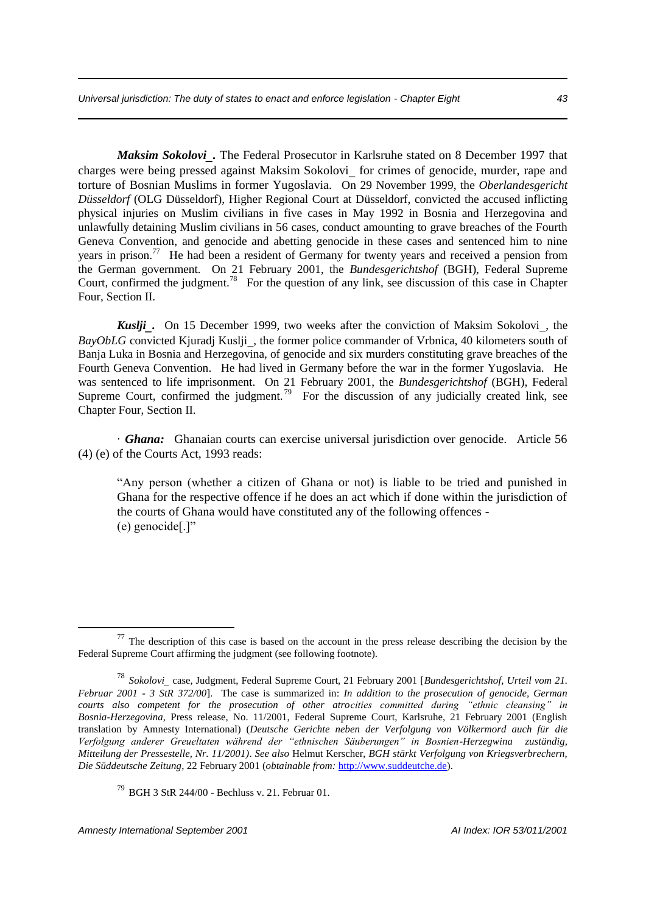*Maksim Sokolovi.* The Federal Prosecutor in Karlsruhe stated on 8 December 1997 that charges were being pressed against Maksim Sokolovi\_ for crimes of genocide, murder, rape and torture of Bosnian Muslims in former Yugoslavia. On 29 November 1999, the *Oberlandesgericht Düsseldorf* (OLG Düsseldorf), Higher Regional Court at Düsseldorf, convicted the accused inflicting physical injuries on Muslim civilians in five cases in May 1992 in Bosnia and Herzegovina and unlawfully detaining Muslim civilians in 56 cases, conduct amounting to grave breaches of the Fourth Geneva Convention, and genocide and abetting genocide in these cases and sentenced him to nine years in prison.<sup>77</sup> He had been a resident of Germany for twenty years and received a pension from the German government. On 21 February 2001, the *Bundesgerichtshof* (BGH), Federal Supreme Court, confirmed the judgment.<sup>78</sup> For the question of any link, see discussion of this case in Chapter Four, Section II.

*Kuslji.* On 15 December 1999, two weeks after the conviction of Maksim Sokolovi, the *BayObLG* convicted Kjuradj Kuslji, the former police commander of Vrbnica, 40 kilometers south of Banja Luka in Bosnia and Herzegovina, of genocide and six murders constituting grave breaches of the Fourth Geneva Convention. He had lived in Germany before the war in the former Yugoslavia. He was sentenced to life imprisonment. On 21 February 2001, the *Bundesgerichtshof* (BGH), Federal Supreme Court, confirmed the judgment.<sup>79</sup> For the discussion of any judicially created link, see Chapter Four, Section II.

· *Ghana:* Ghanaian courts can exercise universal jurisdiction over genocide. Article 56 (4) (e) of the Courts Act, 1993 reads:

"Any person (whether a citizen of Ghana or not) is liable to be tried and punished in Ghana for the respective offence if he does an act which if done within the jurisdiction of the courts of Ghana would have constituted any of the following offences - (e) genocide[.]"

 $77$  The description of this case is based on the account in the press release describing the decision by the Federal Supreme Court affirming the judgment (see following footnote).

<sup>78</sup> *Sokolovi* case, Judgment, Federal Supreme Court, 21 February 2001 [*Bundesgerichtshof*, *Urteil vom 21. Februar 2001 - 3 StR 372/00*]. The case is summarized in: *In addition to the prosecution of genocide, German courts also competent for the prosecution of other atrocities committed during "ethnic cleansing" in Bosnia-Herzegovina,* Press release, No. 11/2001, Federal Supreme Court, Karlsruhe, 21 February 2001 (English translation by Amnesty International) (*Deutsche Gerichte neben der Verfolgung von Völkermord auch für die Verfolgung anderer Greueltaten während der "ethnischen Säuberungen" in Bosnien-Herzegwina zuständig, Mitteilung der Pressestelle, Nr. 11/2001)*. *See also* Helmut Kerscher, *BGH stärkt Verfolgung von Kriegsverbrechern, Die Süddeutsche Zeitung*, 22 February 2001 (*obtainable from:* http://www.suddeutche.de).

<sup>79</sup> BGH 3 StR 244/00 - Bechluss v. 21. Februar 01.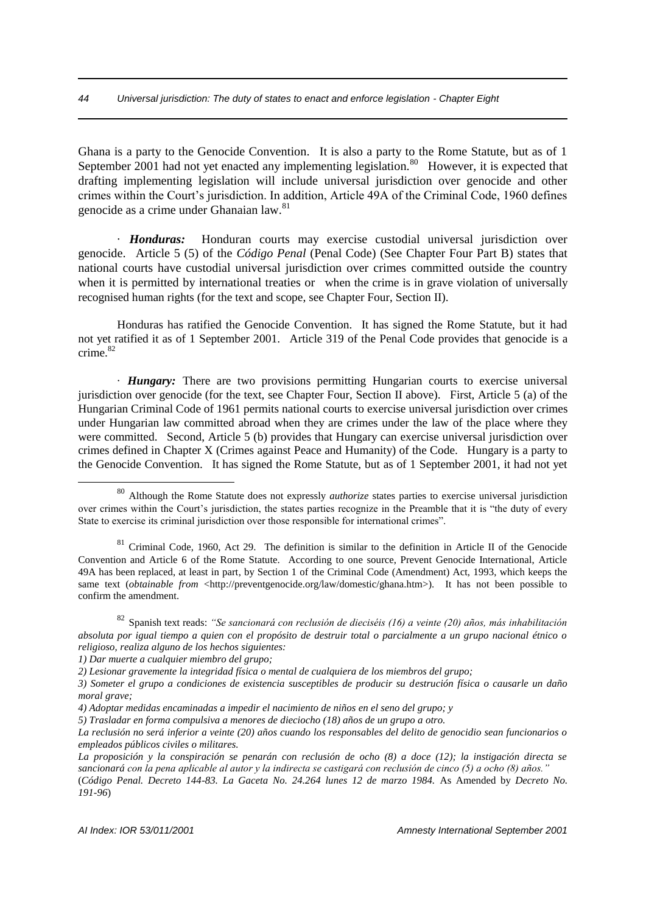Ghana is a party to the Genocide Convention. It is also a party to the Rome Statute, but as of 1 September 2001 had not yet enacted any implementing legislation.<sup>80</sup> However, it is expected that drafting implementing legislation will include universal jurisdiction over genocide and other crimes within the Court's jurisdiction. In addition, Article 49A of the Criminal Code, 1960 defines genocide as a crime under Ghanaian law.<sup>81</sup>

· *Honduras:* Honduran courts may exercise custodial universal jurisdiction over genocide. Article 5 (5) of the *Código Penal* (Penal Code) (See Chapter Four Part B) states that national courts have custodial universal jurisdiction over crimes committed outside the country when it is permitted by international treaties or when the crime is in grave violation of universally recognised human rights (for the text and scope, see Chapter Four, Section II).

Honduras has ratified the Genocide Convention. It has signed the Rome Statute, but it had not yet ratified it as of 1 September 2001. Article 319 of the Penal Code provides that genocide is a  $\text{c$ rime $82$ 

· *Hungary:* There are two provisions permitting Hungarian courts to exercise universal jurisdiction over genocide (for the text, see Chapter Four, Section II above). First, Article 5 (a) of the Hungarian Criminal Code of 1961 permits national courts to exercise universal jurisdiction over crimes under Hungarian law committed abroad when they are crimes under the law of the place where they were committed. Second, Article 5 (b) provides that Hungary can exercise universal jurisdiction over crimes defined in Chapter X (Crimes against Peace and Humanity) of the Code. Hungary is a party to the Genocide Convention. It has signed the Rome Statute, but as of 1 September 2001, it had not yet

<sup>80</sup> Although the Rome Statute does not expressly *authorize* states parties to exercise universal jurisdiction over crimes within the Court's jurisdiction, the states parties recognize in the Preamble that it is "the duty of every State to exercise its criminal jurisdiction over those responsible for international crimes".

 $81$  Criminal Code, 1960, Act 29. The definition is similar to the definition in Article II of the Genocide Convention and Article 6 of the Rome Statute. According to one source, Prevent Genocide International, Article 49A has been replaced, at least in part, by Section 1 of the Criminal Code (Amendment) Act, 1993, which keeps the same text (*obtainable from* <http://preventgenocide.org/law/domestic/ghana.htm>). It has not been possible to confirm the amendment.

<sup>82</sup> Spanish text reads: *"Se sancionará con reclusión de dieciséis (16) a veinte (20) años, más inhabilitación absoluta por igual tiempo a quien con el propósito de destruir total o parcialmente a un grupo nacional étnico o religioso, realiza alguno de los hechos siguientes:*

*<sup>1)</sup> Dar muerte a cualquier miembro del grupo;*

*<sup>2)</sup> Lesionar gravemente la integridad física o mental de cualquiera de los miembros del grupo;*

*<sup>3)</sup> Someter el grupo a condiciones de existencia susceptibles de producir su destrución física o causarle un daño moral grave;*

*<sup>4)</sup> Adoptar medidas encaminadas a impedir el nacimiento de niños en el seno del grupo; y*

*<sup>5)</sup> Trasladar en forma compulsiva a menores de dieciocho (18) años de un grupo a otro.*

*La reclusión no será inferior a veinte (20) años cuando los responsables del delito de genocidio sean funcionarios o empleados públicos civiles o militares.*

*La proposición y la conspiración se penarán con reclusión de ocho (8) a doce (12); la instigación directa se sancionará con la pena aplicable al autor y la indirecta se castigará con reclusión de cinco (5) a ocho (8) años."* (*Código Penal. Decreto 144-83. La Gaceta No. 24.264 lunes 12 de marzo 1984.* As Amended by *Decreto No.* 

*<sup>191-96</sup>*)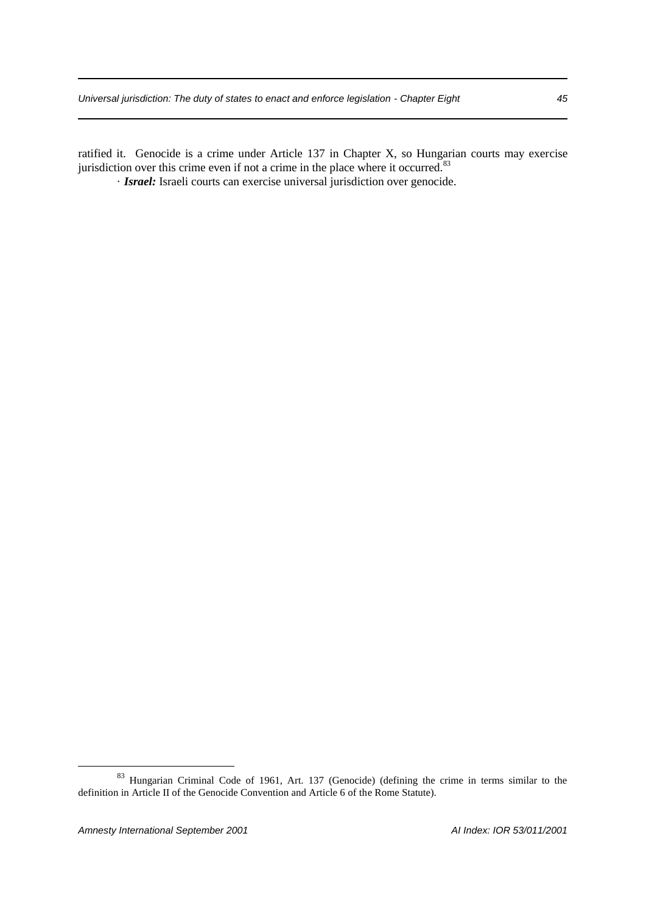ratified it. Genocide is a crime under Article 137 in Chapter X, so Hungarian courts may exercise jurisdiction over this crime even if not a crime in the place where it occurred.<sup>83</sup>

· *Israel:* Israeli courts can exercise universal jurisdiction over genocide.

<sup>&</sup>lt;sup>83</sup> Hungarian Criminal Code of 1961, Art. 137 (Genocide) (defining the crime in terms similar to the definition in Article II of the Genocide Convention and Article 6 of the Rome Statute).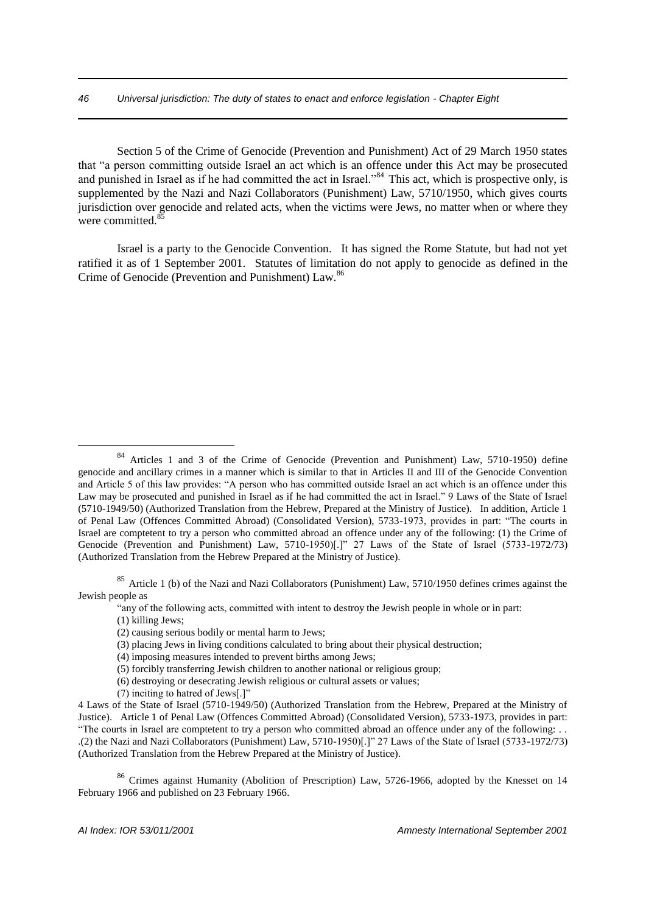Section 5 of the Crime of Genocide (Prevention and Punishment) Act of 29 March 1950 states that "a person committing outside Israel an act which is an offence under this Act may be prosecuted and punished in Israel as if he had committed the act in Israel.<sup>84</sup> This act, which is prospective only, is supplemented by the Nazi and Nazi Collaborators (Punishment) Law, 5710/1950, which gives courts jurisdiction over genocide and related acts, when the victims were Jews, no matter when or where they were committed.<sup>8</sup>

Israel is a party to the Genocide Convention. It has signed the Rome Statute, but had not yet ratified it as of 1 September 2001. Statutes of limitation do not apply to genocide as defined in the Crime of Genocide (Prevention and Punishment) Law.<sup>86</sup>

<sup>85</sup> Article 1 (b) of the Nazi and Nazi Collaborators (Punishment) Law, 5710/1950 defines crimes against the Jewish people as

"any of the following acts, committed with intent to destroy the Jewish people in whole or in part:

(1) killing Jews;

<u>.</u>

- (5) forcibly transferring Jewish children to another national or religious group;
- (6) destroying or desecrating Jewish religious or cultural assets or values;
- (7) inciting to hatred of Jews[.]"

<sup>86</sup> Crimes against Humanity (Abolition of Prescription) Law, 5726-1966, adopted by the Knesset on 14 February 1966 and published on 23 February 1966.

<sup>84</sup> Articles 1 and 3 of the Crime of Genocide (Prevention and Punishment) Law, 5710-1950) define genocide and ancillary crimes in a manner which is similar to that in Articles II and III of the Genocide Convention and Article 5 of this law provides: "A person who has committed outside Israel an act which is an offence under this Law may be prosecuted and punished in Israel as if he had committed the act in Israel." 9 Laws of the State of Israel (5710-1949/50) (Authorized Translation from the Hebrew, Prepared at the Ministry of Justice). In addition, Article 1 of Penal Law (Offences Committed Abroad) (Consolidated Version), 5733-1973, provides in part: "The courts in Israel are comptetent to try a person who committed abroad an offence under any of the following: (1) the Crime of Genocide (Prevention and Punishment) Law, 5710-1950)[.]" 27 Laws of the State of Israel (5733-1972/73) (Authorized Translation from the Hebrew Prepared at the Ministry of Justice).

<sup>(2)</sup> causing serious bodily or mental harm to Jews; (3) placing Jews in living conditions calculated to bring about their physical destruction;

<sup>(4)</sup> imposing measures intended to prevent births among Jews;

<sup>4</sup> Laws of the State of Israel (5710-1949/50) (Authorized Translation from the Hebrew, Prepared at the Ministry of Justice). Article 1 of Penal Law (Offences Committed Abroad) (Consolidated Version), 5733-1973, provides in part: "The courts in Israel are comptetent to try a person who committed abroad an offence under any of the following: . . .(2) the Nazi and Nazi Collaborators (Punishment) Law, 5710-1950)[.]" 27 Laws of the State of Israel (5733-1972/73) (Authorized Translation from the Hebrew Prepared at the Ministry of Justice).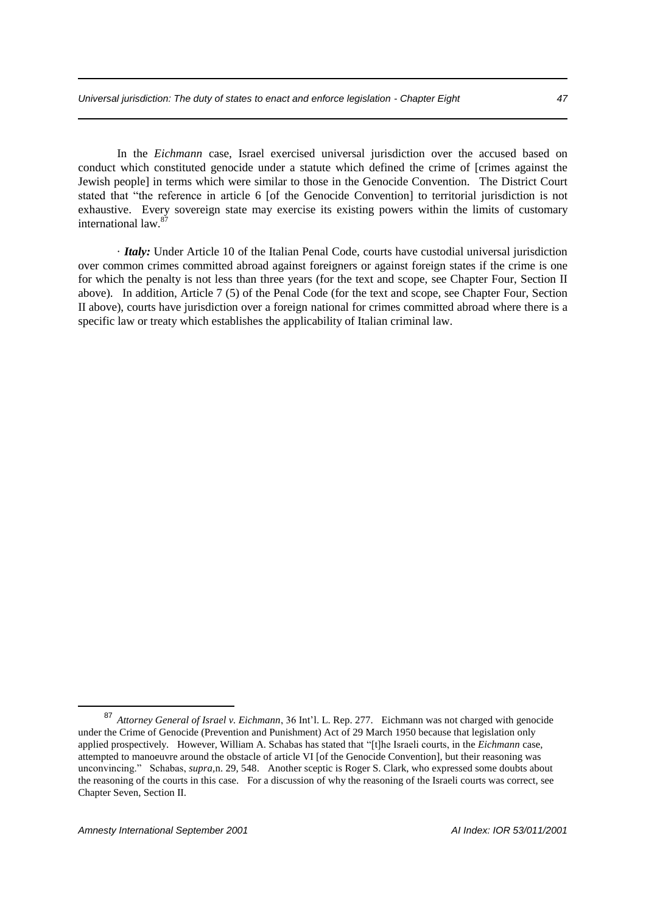In the *Eichmann* case, Israel exercised universal jurisdiction over the accused based on conduct which constituted genocide under a statute which defined the crime of [crimes against the Jewish people] in terms which were similar to those in the Genocide Convention. The District Court stated that "the reference in article 6 [of the Genocide Convention] to territorial jurisdiction is not exhaustive. Every sovereign state may exercise its existing powers within the limits of customary international law.<sup>87</sup>

· *Italy:* Under Article 10 of the Italian Penal Code, courts have custodial universal jurisdiction over common crimes committed abroad against foreigners or against foreign states if the crime is one for which the penalty is not less than three years (for the text and scope, see Chapter Four, Section II above). In addition, Article 7 (5) of the Penal Code (for the text and scope, see Chapter Four, Section II above), courts have jurisdiction over a foreign national for crimes committed abroad where there is a specific law or treaty which establishes the applicability of Italian criminal law.

<sup>87</sup> *Attorney General of Israel v. Eichmann*, 36 Int'l. L. Rep. 277. Eichmann was not charged with genocide under the Crime of Genocide (Prevention and Punishment) Act of 29 March 1950 because that legislation only applied prospectively. However, William A. Schabas has stated that "[t]he Israeli courts, in the *Eichmann* case, attempted to manoeuvre around the obstacle of article VI [of the Genocide Convention], but their reasoning was unconvincing." Schabas, *supra,*n. 29, 548. Another sceptic is Roger S. Clark, who expressed some doubts about the reasoning of the courts in this case. For a discussion of why the reasoning of the Israeli courts was correct, see Chapter Seven, Section II.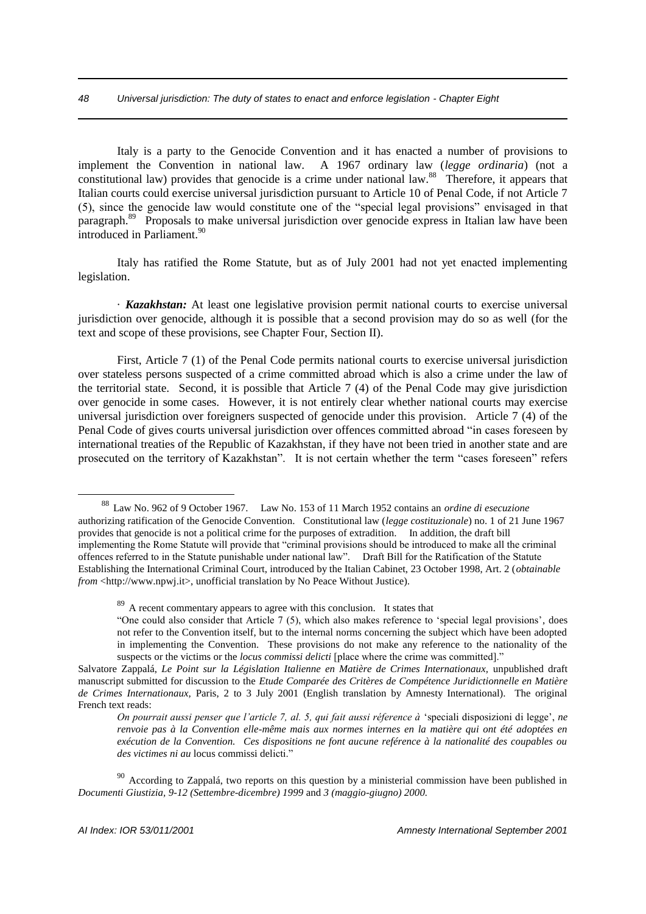Italy is a party to the Genocide Convention and it has enacted a number of provisions to implement the Convention in national law. A 1967 ordinary law (*legge ordinaria*) (not a constitutional law) provides that genocide is a crime under national law.<sup>88</sup> Therefore, it appears that Italian courts could exercise universal jurisdiction pursuant to Article 10 of Penal Code, if not Article 7 (5), since the genocide law would constitute one of the "special legal provisions" envisaged in that paragraph.<sup>89</sup> Proposals to make universal jurisdiction over genocide express in Italian law have been introduced in Parliament.<sup>90</sup>

Italy has ratified the Rome Statute, but as of July 2001 had not yet enacted implementing legislation.

· *Kazakhstan:* At least one legislative provision permit national courts to exercise universal jurisdiction over genocide, although it is possible that a second provision may do so as well (for the text and scope of these provisions, see Chapter Four, Section II).

First, Article 7 (1) of the Penal Code permits national courts to exercise universal jurisdiction over stateless persons suspected of a crime committed abroad which is also a crime under the law of the territorial state. Second, it is possible that Article 7 (4) of the Penal Code may give jurisdiction over genocide in some cases. However, it is not entirely clear whether national courts may exercise universal jurisdiction over foreigners suspected of genocide under this provision. Article 7 (4) of the Penal Code of gives courts universal jurisdiction over offences committed abroad "in cases foreseen by international treaties of the Republic of Kazakhstan, if they have not been tried in another state and are prosecuted on the territory of Kazakhstan". It is not certain whether the term "cases foreseen" refers

<sup>88</sup> Law No. 962 of 9 October 1967. Law No. 153 of 11 March 1952 contains an *ordine di esecuzione* authorizing ratification of the Genocide Convention. Constitutional law (*legge costituzionale*) no. 1 of 21 June 1967 provides that genocide is not a political crime for the purposes of extradition. In addition, the draft bill implementing the Rome Statute will provide that "criminal provisions should be introduced to make all the criminal offences referred to in the Statute punishable under national law". Draft Bill for the Ratification of the Statute Establishing the International Criminal Court, introduced by the Italian Cabinet, 23 October 1998, Art. 2 (*obtainable from* <http://www.npwj.it>, unofficial translation by No Peace Without Justice).

<sup>&</sup>lt;sup>89</sup> A recent commentary appears to agree with this conclusion. It states that

<sup>&</sup>quot;One could also consider that Article 7 (5), which also makes reference to 'special legal provisions', does not refer to the Convention itself, but to the internal norms concerning the subject which have been adopted in implementing the Convention. These provisions do not make any reference to the nationality of the suspects or the victims or the *locus commissi delicti* [place where the crime was committed]."

Salvatore Zappalá, *Le Point sur la Législation Italienne en Matière de Crimes Internationaux,* unpublished draft manuscript submitted for discussion to the *Etude Comparée des Critères de Compétence Juridictionnelle en Matière de Crimes Internationaux,* Paris, 2 to 3 July 2001 (English translation by Amnesty International). The original French text reads:

*On pourrait aussi penser que l'article 7, al. 5, qui fait aussi réference à* 'speciali disposizioni di legge', *ne renvoie pas à la Convention elle-même mais aux normes internes en la matière qui ont été adoptées en exécution de la Convention. Ces dispositions ne font aucune reférence à la nationalité des coupables ou des victimes ni au* locus commissi delicti."

<sup>&</sup>lt;sup>90</sup> According to Zappalá, two reports on this question by a ministerial commission have been published in *Documenti Giustizia, 9-12 (Settembre-dicembre) 1999* and *3 (maggio-giugno) 2000.*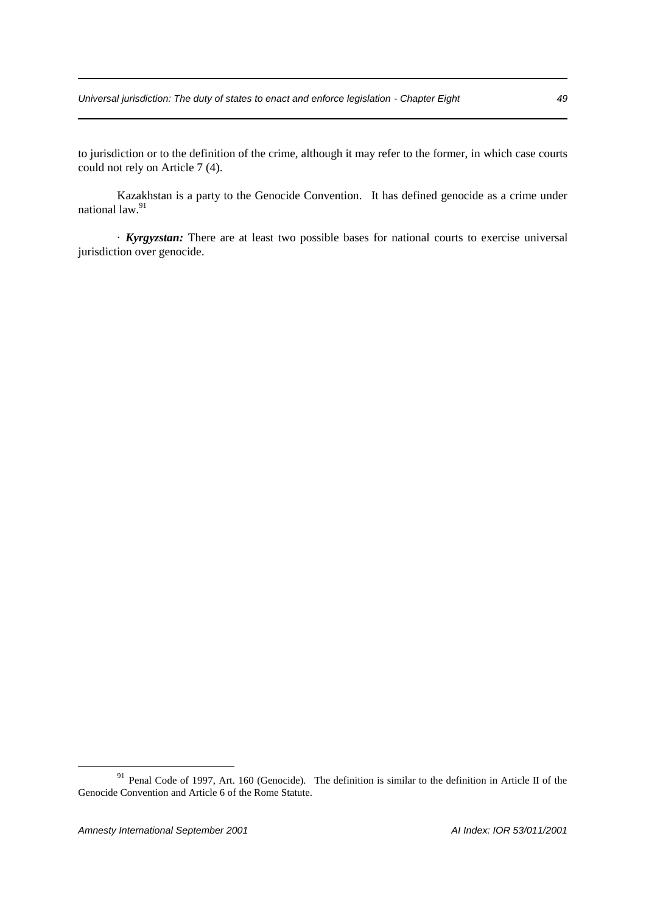to jurisdiction or to the definition of the crime, although it may refer to the former, in which case courts could not rely on Article 7 (4).

Kazakhstan is a party to the Genocide Convention. It has defined genocide as a crime under national law.<sup>91</sup>

· *Kyrgyzstan:* There are at least two possible bases for national courts to exercise universal jurisdiction over genocide.

<sup>&</sup>lt;sup>91</sup> Penal Code of 1997, Art. 160 (Genocide). The definition is similar to the definition in Article II of the Genocide Convention and Article 6 of the Rome Statute.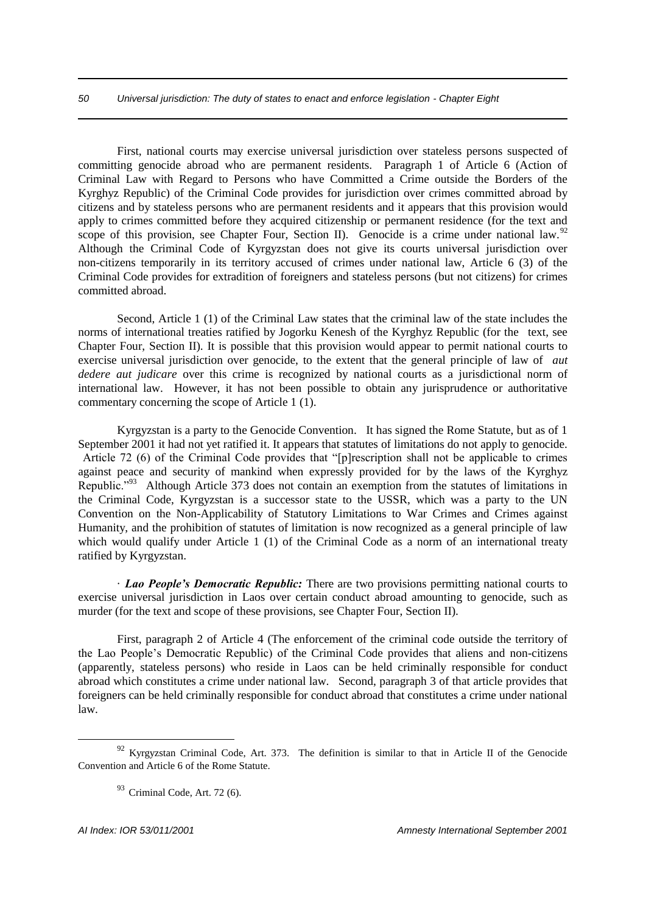## *50 Universal jurisdiction: The duty of states to enact and enforce legislation - Chapter Eight*

First, national courts may exercise universal jurisdiction over stateless persons suspected of committing genocide abroad who are permanent residents. Paragraph 1 of Article 6 (Action of Criminal Law with Regard to Persons who have Committed a Crime outside the Borders of the Kyrghyz Republic) of the Criminal Code provides for jurisdiction over crimes committed abroad by citizens and by stateless persons who are permanent residents and it appears that this provision would apply to crimes committed before they acquired citizenship or permanent residence (for the text and scope of this provision, see Chapter Four, Section II). Genocide is a crime under national law.<sup>92</sup> Although the Criminal Code of Kyrgyzstan does not give its courts universal jurisdiction over non-citizens temporarily in its territory accused of crimes under national law, Article 6 (3) of the Criminal Code provides for extradition of foreigners and stateless persons (but not citizens) for crimes committed abroad.

Second, Article 1 (1) of the Criminal Law states that the criminal law of the state includes the norms of international treaties ratified by Jogorku Kenesh of the Kyrghyz Republic (for the text, see Chapter Four, Section II). It is possible that this provision would appear to permit national courts to exercise universal jurisdiction over genocide, to the extent that the general principle of law of *aut dedere aut judicare* over this crime is recognized by national courts as a jurisdictional norm of international law. However, it has not been possible to obtain any jurisprudence or authoritative commentary concerning the scope of Article 1 (1).

Kyrgyzstan is a party to the Genocide Convention. It has signed the Rome Statute, but as of 1 September 2001 it had not yet ratified it. It appears that statutes of limitations do not apply to genocide. Article 72 (6) of the Criminal Code provides that "[p]rescription shall not be applicable to crimes against peace and security of mankind when expressly provided for by the laws of the Kyrghyz Republic."<sup>93</sup> Although Article 373 does not contain an exemption from the statutes of limitations in the Criminal Code, Kyrgyzstan is a successor state to the USSR, which was a party to the UN Convention on the Non-Applicability of Statutory Limitations to War Crimes and Crimes against Humanity, and the prohibition of statutes of limitation is now recognized as a general principle of law which would qualify under Article 1 (1) of the Criminal Code as a norm of an international treaty ratified by Kyrgyzstan.

· *Lao People's Democratic Republic:* There are two provisions permitting national courts to exercise universal jurisdiction in Laos over certain conduct abroad amounting to genocide, such as murder (for the text and scope of these provisions, see Chapter Four, Section II).

First, paragraph 2 of Article 4 (The enforcement of the criminal code outside the territory of the Lao People's Democratic Republic) of the Criminal Code provides that aliens and non-citizens (apparently, stateless persons) who reside in Laos can be held criminally responsible for conduct abroad which constitutes a crime under national law. Second, paragraph 3 of that article provides that foreigners can be held criminally responsible for conduct abroad that constitutes a crime under national law.

 $92$  Kyrgyzstan Criminal Code, Art. 373. The definition is similar to that in Article II of the Genocide Convention and Article 6 of the Rome Statute.

 $93$  Criminal Code, Art. 72 (6).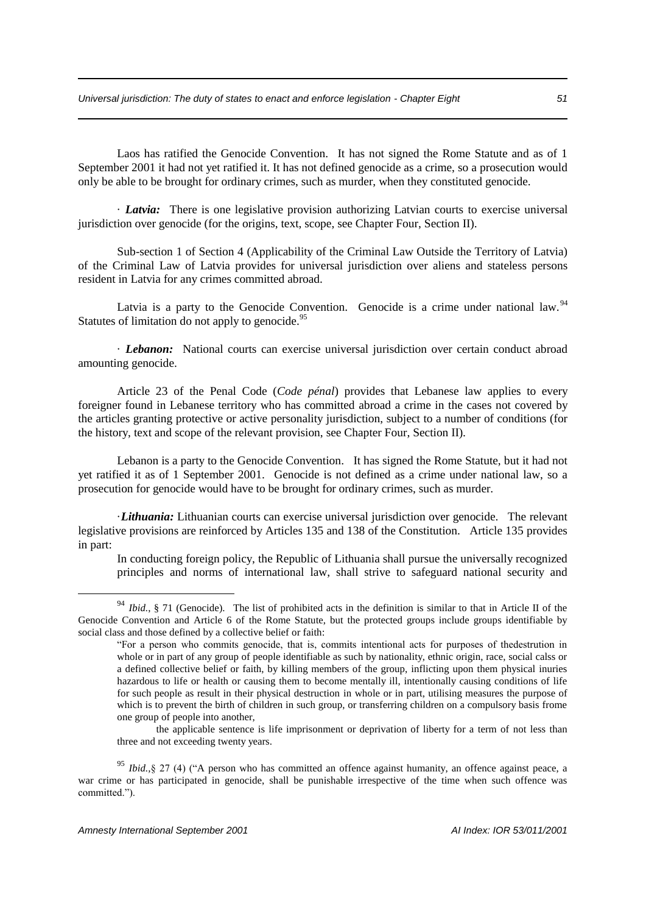Laos has ratified the Genocide Convention. It has not signed the Rome Statute and as of 1 September 2001 it had not yet ratified it. It has not defined genocide as a crime, so a prosecution would only be able to be brought for ordinary crimes, such as murder, when they constituted genocide.

· *Latvia:* There is one legislative provision authorizing Latvian courts to exercise universal jurisdiction over genocide (for the origins, text, scope, see Chapter Four, Section II).

Sub-section 1 of Section 4 (Applicability of the Criminal Law Outside the Territory of Latvia) of the Criminal Law of Latvia provides for universal jurisdiction over aliens and stateless persons resident in Latvia for any crimes committed abroad.

Latvia is a party to the Genocide Convention. Genocide is a crime under national law.<sup>94</sup> Statutes of limitation do not apply to genocide.<sup>95</sup>

· *Lebanon:* National courts can exercise universal jurisdiction over certain conduct abroad amounting genocide.

Article 23 of the Penal Code (*Code pénal*) provides that Lebanese law applies to every foreigner found in Lebanese territory who has committed abroad a crime in the cases not covered by the articles granting protective or active personality jurisdiction, subject to a number of conditions (for the history, text and scope of the relevant provision, see Chapter Four, Section II).

Lebanon is a party to the Genocide Convention. It has signed the Rome Statute, but it had not yet ratified it as of 1 September 2001. Genocide is not defined as a crime under national law, so a prosecution for genocide would have to be brought for ordinary crimes, such as murder.

·*Lithuania:* Lithuanian courts can exercise universal jurisdiction over genocide. The relevant legislative provisions are reinforced by Articles 135 and 138 of the Constitution. Article 135 provides in part:

In conducting foreign policy, the Republic of Lithuania shall pursue the universally recognized principles and norms of international law, shall strive to safeguard national security and

<sup>94</sup> *Ibid.*, § 71 (Genocide). The list of prohibited acts in the definition is similar to that in Article II of the Genocide Convention and Article 6 of the Rome Statute, but the protected groups include groups identifiable by social class and those defined by a collective belief or faith:

<sup>&</sup>quot;For a person who commits genocide, that is, commits intentional acts for purposes of thedestrution in whole or in part of any group of people identifiable as such by nationality, ethnic origin, race, social calss or a defined collective belief or faith, by killing members of the group, inflicting upon them physical inuries hazardous to life or health or causing them to become mentally ill, intentionally causing conditions of life for such people as result in their physical destruction in whole or in part, utilising measures the purpose of which is to prevent the birth of children in such group, or transferring children on a compulsory basis frome one group of people into another,

the applicable sentence is life imprisonment or deprivation of liberty for a term of not less than three and not exceeding twenty years.

<sup>&</sup>lt;sup>95</sup> *Ibid.*, § 27 (4) ("A person who has committed an offence against humanity, an offence against peace, a war crime or has participated in genocide, shall be punishable irrespective of the time when such offence was committed.").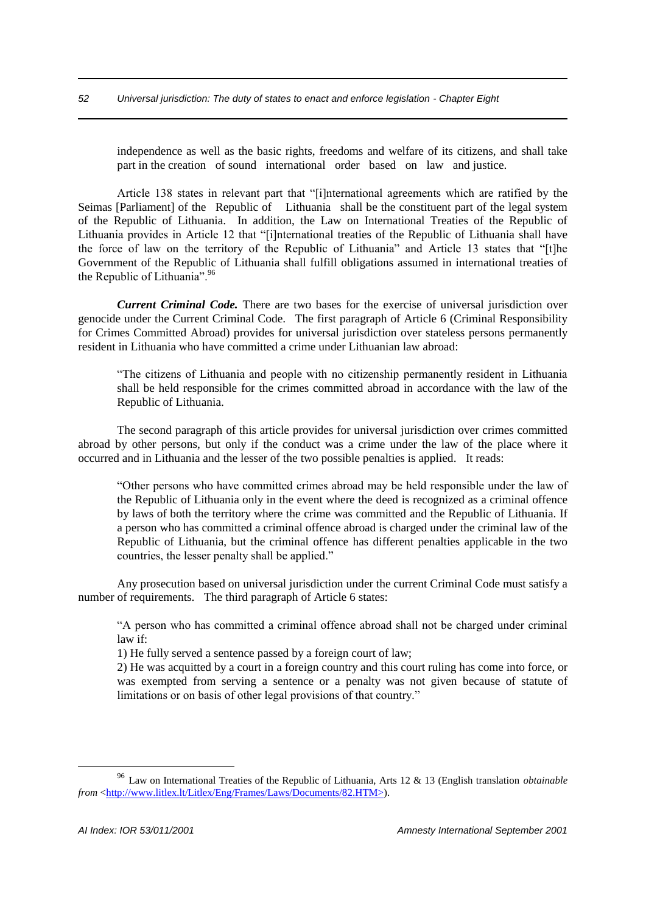## *52 Universal jurisdiction: The duty of states to enact and enforce legislation - Chapter Eight*

independence as well as the basic rights, freedoms and welfare of its citizens, and shall take part in the creation of sound international order based on law and justice.

Article 138 states in relevant part that "[i]nternational agreements which are ratified by the Seimas [Parliament] of the Republic of Lithuania shall be the constituent part of the legal system of the Republic of Lithuania. In addition, the Law on International Treaties of the Republic of Lithuania provides in Article 12 that "[i]nternational treaties of the Republic of Lithuania shall have the force of law on the territory of the Republic of Lithuania" and Article 13 states that "[t]he Government of the Republic of Lithuania shall fulfill obligations assumed in international treaties of the Republic of Lithuania".<sup>96</sup>

*Current Criminal Code.* There are two bases for the exercise of universal jurisdiction over genocide under the Current Criminal Code. The first paragraph of Article 6 (Criminal Responsibility for Crimes Committed Abroad) provides for universal jurisdiction over stateless persons permanently resident in Lithuania who have committed a crime under Lithuanian law abroad:

"The citizens of Lithuania and people with no citizenship permanently resident in Lithuania shall be held responsible for the crimes committed abroad in accordance with the law of the Republic of Lithuania.

The second paragraph of this article provides for universal jurisdiction over crimes committed abroad by other persons, but only if the conduct was a crime under the law of the place where it occurred and in Lithuania and the lesser of the two possible penalties is applied. It reads:

"Other persons who have committed crimes abroad may be held responsible under the law of the Republic of Lithuania only in the event where the deed is recognized as a criminal offence by laws of both the territory where the crime was committed and the Republic of Lithuania. If a person who has committed a criminal offence abroad is charged under the criminal law of the Republic of Lithuania, but the criminal offence has different penalties applicable in the two countries, the lesser penalty shall be applied."

Any prosecution based on universal jurisdiction under the current Criminal Code must satisfy a number of requirements. The third paragraph of Article 6 states:

"A person who has committed a criminal offence abroad shall not be charged under criminal law if:

1) He fully served a sentence passed by a foreign court of law;

2) He was acquitted by a court in a foreign country and this court ruling has come into force, or was exempted from serving a sentence or a penalty was not given because of statute of limitations or on basis of other legal provisions of that country."

<sup>96</sup> Law on International Treaties of the Republic of Lithuania, Arts 12 & 13 (English translation *obtainable from* <http://www.litlex.lt/Litlex/Eng/Frames/Laws/Documents/82.HTM>).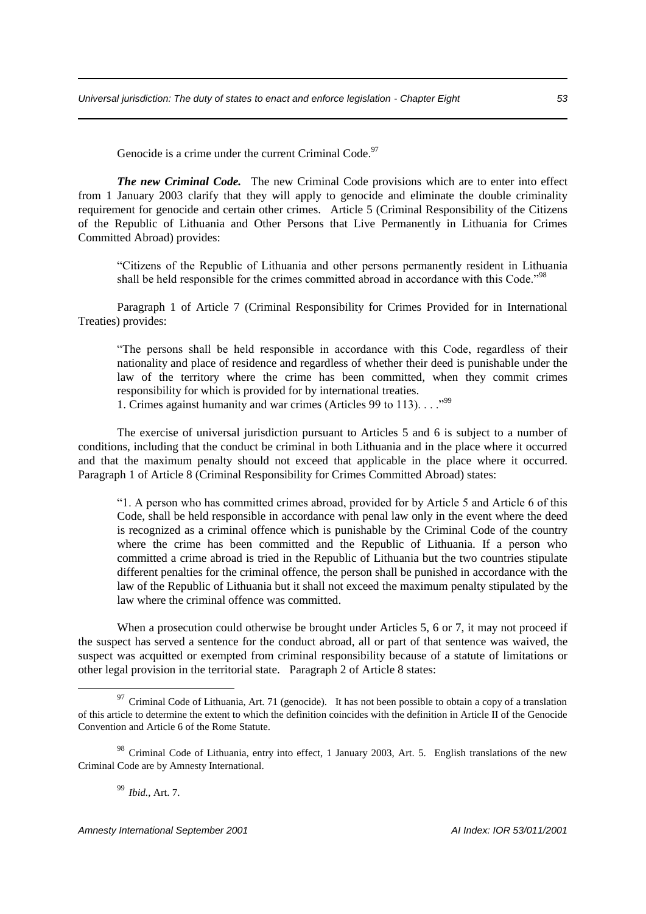Genocide is a crime under the current Criminal Code.<sup>97</sup>

*The new Criminal Code.* The new Criminal Code provisions which are to enter into effect from 1 January 2003 clarify that they will apply to genocide and eliminate the double criminality requirement for genocide and certain other crimes. Article 5 (Criminal Responsibility of the Citizens of the Republic of Lithuania and Other Persons that Live Permanently in Lithuania for Crimes Committed Abroad) provides:

"Citizens of the Republic of Lithuania and other persons permanently resident in Lithuania shall be held responsible for the crimes committed abroad in accordance with this Code."<sup>98</sup>

Paragraph 1 of Article 7 (Criminal Responsibility for Crimes Provided for in International Treaties) provides:

"The persons shall be held responsible in accordance with this Code, regardless of their nationality and place of residence and regardless of whether their deed is punishable under the law of the territory where the crime has been committed, when they commit crimes responsibility for which is provided for by international treaties.

1. Crimes against humanity and war crimes (Articles 99 to 113). . . ."<sup>99</sup>

The exercise of universal jurisdiction pursuant to Articles 5 and 6 is subject to a number of conditions, including that the conduct be criminal in both Lithuania and in the place where it occurred and that the maximum penalty should not exceed that applicable in the place where it occurred. Paragraph 1 of Article 8 (Criminal Responsibility for Crimes Committed Abroad) states:

"1. A person who has committed crimes abroad, provided for by Article 5 and Article 6 of this Code, shall be held responsible in accordance with penal law only in the event where the deed is recognized as a criminal offence which is punishable by the Criminal Code of the country where the crime has been committed and the Republic of Lithuania. If a person who committed a crime abroad is tried in the Republic of Lithuania but the two countries stipulate different penalties for the criminal offence, the person shall be punished in accordance with the law of the Republic of Lithuania but it shall not exceed the maximum penalty stipulated by the law where the criminal offence was committed.

When a prosecution could otherwise be brought under Articles 5, 6 or 7, it may not proceed if the suspect has served a sentence for the conduct abroad, all or part of that sentence was waived, the suspect was acquitted or exempted from criminal responsibility because of a statute of limitations or other legal provision in the territorial state. Paragraph 2 of Article 8 states:

<sup>99</sup> *Ibid.,* Art. 7.

<u>.</u>

*Amnesty International September 2001 AI Index: IOR 53/011/2001*

 $97$  Criminal Code of Lithuania, Art. 71 (genocide). It has not been possible to obtain a copy of a translation of this article to determine the extent to which the definition coincides with the definition in Article II of the Genocide Convention and Article 6 of the Rome Statute.

<sup>&</sup>lt;sup>98</sup> Criminal Code of Lithuania, entry into effect, 1 January 2003, Art. 5. English translations of the new Criminal Code are by Amnesty International.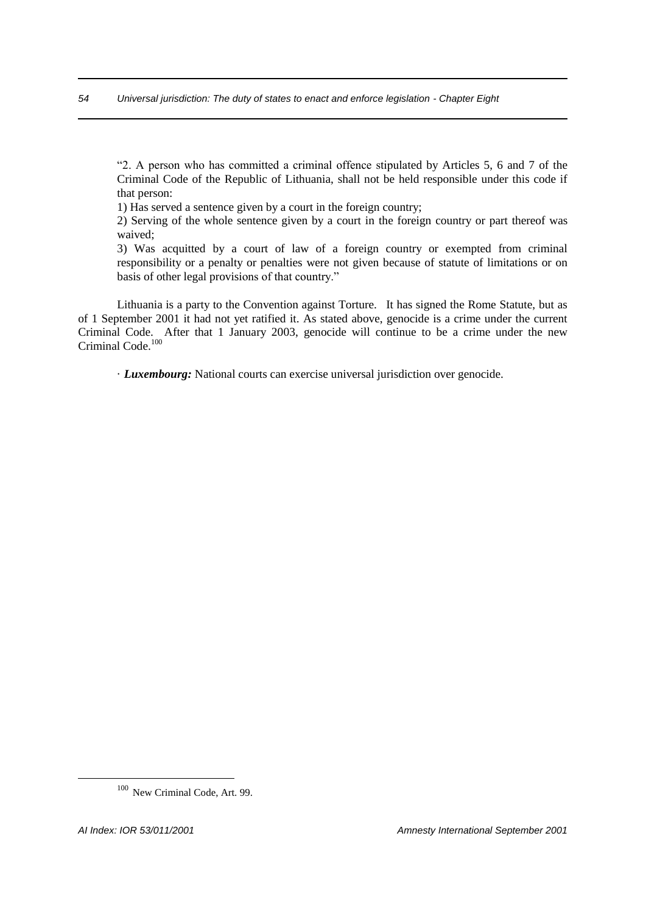"2. A person who has committed a criminal offence stipulated by Articles 5, 6 and 7 of the Criminal Code of the Republic of Lithuania, shall not be held responsible under this code if that person:

1) Has served a sentence given by a court in the foreign country;

2) Serving of the whole sentence given by a court in the foreign country or part thereof was waived;

3) Was acquitted by a court of law of a foreign country or exempted from criminal responsibility or a penalty or penalties were not given because of statute of limitations or on basis of other legal provisions of that country."

Lithuania is a party to the Convention against Torture. It has signed the Rome Statute, but as of 1 September 2001 it had not yet ratified it. As stated above, genocide is a crime under the current Criminal Code. After that 1 January 2003, genocide will continue to be a crime under the new Criminal Code.<sup>100</sup>

· *Luxembourg:* National courts can exercise universal jurisdiction over genocide.

<sup>100</sup> New Criminal Code, Art. 99.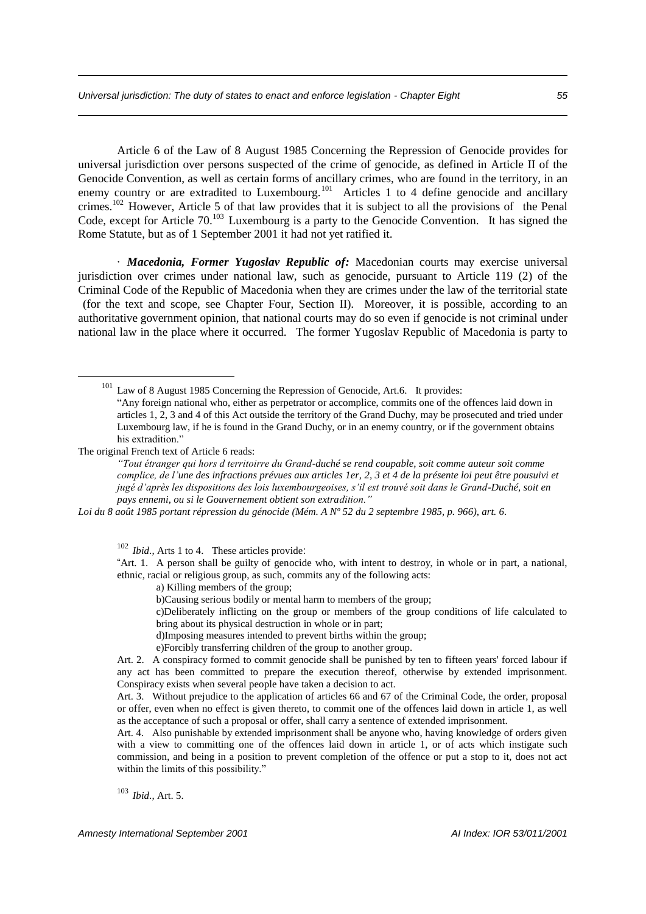Article 6 of the Law of 8 August 1985 Concerning the Repression of Genocide provides for universal jurisdiction over persons suspected of the crime of genocide, as defined in Article II of the Genocide Convention, as well as certain forms of ancillary crimes, who are found in the territory, in an enemy country or are extradited to Luxembourg.<sup>101</sup> Articles 1 to 4 define genocide and ancillary crimes.<sup>102</sup> However, Article 5 of that law provides that it is subject to all the provisions of the Penal Code, except for Article 70.<sup>103</sup> Luxembourg is a party to the Genocide Convention. It has signed the Rome Statute, but as of 1 September 2001 it had not yet ratified it.

· *Macedonia, Former Yugoslav Republic of:* Macedonian courts may exercise universal jurisdiction over crimes under national law, such as genocide, pursuant to Article 119 (2) of the Criminal Code of the Republic of Macedonia when they are crimes under the law of the territorial state (for the text and scope, see Chapter Four, Section II). Moreover, it is possible, according to an authoritative government opinion, that national courts may do so even if genocide is not criminal under national law in the place where it occurred. The former Yugoslav Republic of Macedonia is party to

The original French text of Article 6 reads:

1

*"Tout étranger qui hors d territoirre du Grand-duché se rend coupable, soit comme auteur soit comme complice, de l'une des infractions prévues aux articles 1er, 2, 3 et 4 de la présente loi peut être pousuivi et jugé d'après les dispositions des lois luxembourgeoises, s'il est trouvé soit dans le Grand-Duché, soit en pays ennemi, ou si le Gouvernement obtient son extradition."*

*Loi du 8 août 1985 portant répression du génocide (Mém. A Nº 52 du 2 septembre 1985, p. 966), art. 6.*

<sup>102</sup> *Ibid.*, Arts 1 to 4. These articles provide:

"Art. 1. A person shall be guilty of genocide who, with intent to destroy, in whole or in part, a national, ethnic, racial or religious group, as such, commits any of the following acts:

a) Killing members of the group;

b)Causing serious bodily or mental harm to members of the group;

c)Deliberately inflicting on the group or members of the group conditions of life calculated to bring about its physical destruction in whole or in part;

d)Imposing measures intended to prevent births within the group;

e)Forcibly transferring children of the group to another group.

Art. 2. A conspiracy formed to commit genocide shall be punished by ten to fifteen years' forced labour if any act has been committed to prepare the execution thereof, otherwise by extended imprisonment. Conspiracy exists when several people have taken a decision to act.

Art. 3. Without prejudice to the application of articles 66 and 67 of the Criminal Code, the order, proposal or offer, even when no effect is given thereto, to commit one of the offences laid down in article 1, as well as the acceptance of such a proposal or offer, shall carry a sentence of extended imprisonment.

Art. 4. Also punishable by extended imprisonment shall be anyone who, having knowledge of orders given with a view to committing one of the offences laid down in article 1, or of acts which instigate such commission, and being in a position to prevent completion of the offence or put a stop to it, does not act within the limits of this possibility."

<sup>103</sup> *Ibid.,* Art. 5.

*Amnesty International September 2001 AI Index: IOR 53/011/2001*

<sup>&</sup>lt;sup>101</sup> Law of 8 August 1985 Concerning the Repression of Genocide, Art.6. It provides:

<sup>&</sup>quot;Any foreign national who, either as perpetrator or accomplice, commits one of the offences laid down in articles 1, 2, 3 and 4 of this Act outside the territory of the Grand Duchy, may be prosecuted and tried under Luxembourg law, if he is found in the Grand Duchy, or in an enemy country, or if the government obtains his extradition.'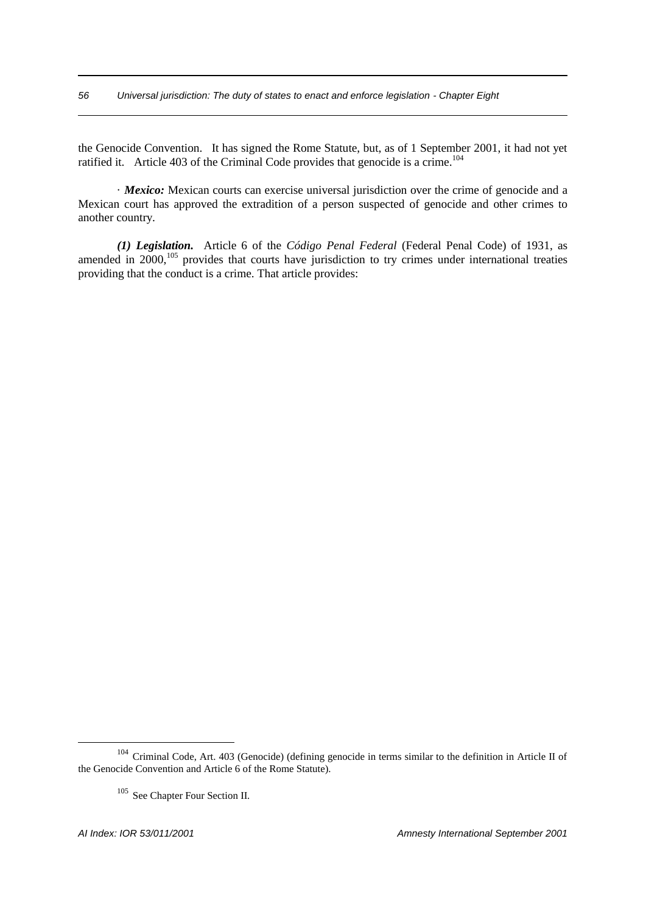the Genocide Convention. It has signed the Rome Statute, but, as of 1 September 2001, it had not yet ratified it. Article 403 of the Criminal Code provides that genocide is a crime.<sup>104</sup>

· *Mexico:* Mexican courts can exercise universal jurisdiction over the crime of genocide and a Mexican court has approved the extradition of a person suspected of genocide and other crimes to another country.

*(1) Legislation.* Article 6 of the *Código Penal Federal* (Federal Penal Code) of 1931, as amended in  $2000$ ,<sup>105</sup> provides that courts have jurisdiction to try crimes under international treaties providing that the conduct is a crime. That article provides:

<sup>104</sup> Criminal Code, Art. 403 (Genocide) (defining genocide in terms similar to the definition in Article II of the Genocide Convention and Article 6 of the Rome Statute).

<sup>105</sup> See Chapter Four Section II.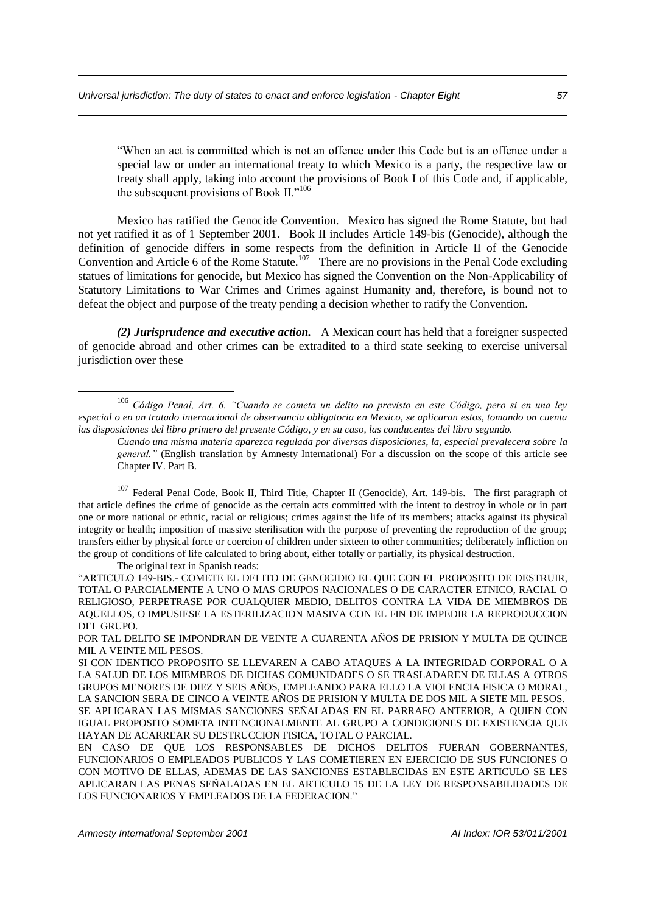"When an act is committed which is not an offence under this Code but is an offence under a special law or under an international treaty to which Mexico is a party, the respective law or treaty shall apply, taking into account the provisions of Book I of this Code and, if applicable, the subsequent provisions of Book II."<sup>106</sup>

Mexico has ratified the Genocide Convention. Mexico has signed the Rome Statute, but had not yet ratified it as of 1 September 2001. Book II includes Article 149-bis (Genocide), although the definition of genocide differs in some respects from the definition in Article II of the Genocide Convention and Article 6 of the Rome Statute.<sup>107</sup> There are no provisions in the Penal Code excluding statues of limitations for genocide, but Mexico has signed the Convention on the Non-Applicability of Statutory Limitations to War Crimes and Crimes against Humanity and, therefore, is bound not to defeat the object and purpose of the treaty pending a decision whether to ratify the Convention.

*(2) Jurisprudence and executive action.* A Mexican court has held that a foreigner suspected of genocide abroad and other crimes can be extradited to a third state seeking to exercise universal jurisdiction over these

<sup>106</sup> *Código Penal, Art. 6. "Cuando se cometa un delito no previsto en este Código, pero si en una ley especial o en un tratado internacional de observancia obligatoria en Mexico, se aplicaran estos, tomando on cuenta las disposiciones del libro primero del presente Código, y en su caso, las conducentes del libro segundo.*

*Cuando una misma materia aparezca regulada por diversas disposiciones, la, especial prevalecera sobre la general."* (English translation by Amnesty International) For a discussion on the scope of this article see Chapter IV. Part B.

<sup>&</sup>lt;sup>107</sup> Federal Penal Code, Book II, Third Title, Chapter II (Genocide), Art. 149-bis. The first paragraph of that article defines the crime of genocide as the certain acts committed with the intent to destroy in whole or in part one or more national or ethnic, racial or religious; crimes against the life of its members; attacks against its physical integrity or health; imposition of massive sterilisation with the purpose of preventing the reproduction of the group; transfers either by physical force or coercion of children under sixteen to other communities; deliberately infliction on the group of conditions of life calculated to bring about, either totally or partially, its physical destruction.

The original text in Spanish reads:

<sup>&</sup>quot;ARTICULO 149-BIS.- COMETE EL DELITO DE GENOCIDIO EL QUE CON EL PROPOSITO DE DESTRUIR, TOTAL O PARCIALMENTE A UNO O MAS GRUPOS NACIONALES O DE CARACTER ETNICO, RACIAL O RELIGIOSO, PERPETRASE POR CUALQUIER MEDIO, DELITOS CONTRA LA VIDA DE MIEMBROS DE AQUELLOS, O IMPUSIESE LA ESTERILIZACION MASIVA CON EL FIN DE IMPEDIR LA REPRODUCCION DEL GRUPO.

POR TAL DELITO SE IMPONDRAN DE VEINTE A CUARENTA AÑOS DE PRISION Y MULTA DE QUINCE MIL A VEINTE MIL PESOS.

SI CON IDENTICO PROPOSITO SE LLEVAREN A CABO ATAQUES A LA INTEGRIDAD CORPORAL O A LA SALUD DE LOS MIEMBROS DE DICHAS COMUNIDADES O SE TRASLADAREN DE ELLAS A OTROS GRUPOS MENORES DE DIEZ Y SEIS AÑOS, EMPLEANDO PARA ELLO LA VIOLENCIA FISICA O MORAL, LA SANCION SERA DE CINCO A VEINTE AÑOS DE PRISION Y MULTA DE DOS MIL A SIETE MIL PESOS. SE APLICARAN LAS MISMAS SANCIONES SEÑALADAS EN EL PARRAFO ANTERIOR, A QUIEN CON IGUAL PROPOSITO SOMETA INTENCIONALMENTE AL GRUPO A CONDICIONES DE EXISTENCIA QUE HAYAN DE ACARREAR SU DESTRUCCION FISICA, TOTAL O PARCIAL.

EN CASO DE QUE LOS RESPONSABLES DE DICHOS DELITOS FUERAN GOBERNANTES, FUNCIONARIOS O EMPLEADOS PUBLICOS Y LAS COMETIEREN EN EJERCICIO DE SUS FUNCIONES O CON MOTIVO DE ELLAS, ADEMAS DE LAS SANCIONES ESTABLECIDAS EN ESTE ARTICULO SE LES APLICARAN LAS PENAS SEÑALADAS EN EL ARTICULO 15 DE LA LEY DE RESPONSABILIDADES DE LOS FUNCIONARIOS Y EMPLEADOS DE LA FEDERACION."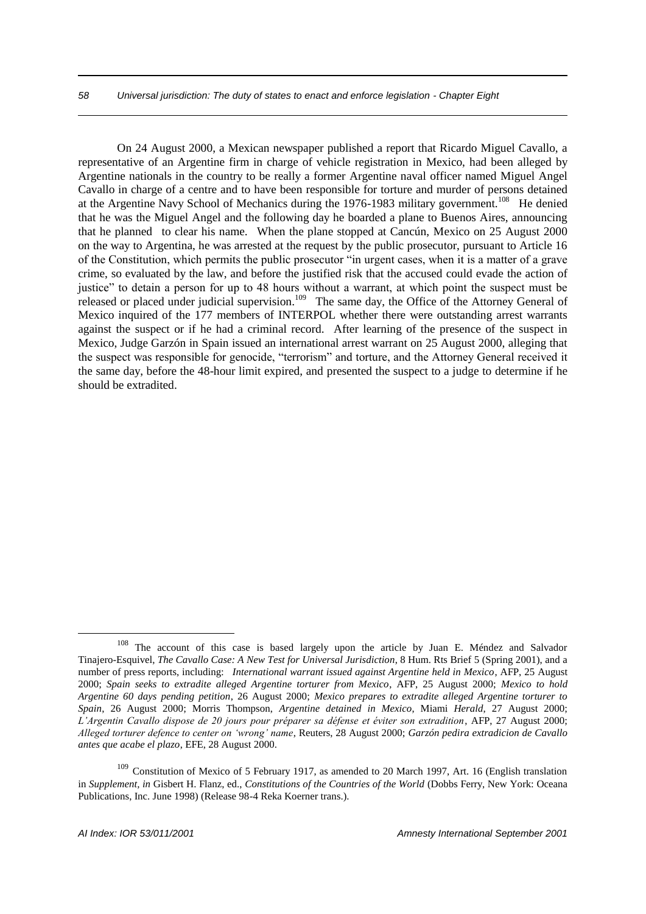## *58 Universal jurisdiction: The duty of states to enact and enforce legislation - Chapter Eight*

On 24 August 2000, a Mexican newspaper published a report that Ricardo Miguel Cavallo, a representative of an Argentine firm in charge of vehicle registration in Mexico, had been alleged by Argentine nationals in the country to be really a former Argentine naval officer named Miguel Angel Cavallo in charge of a centre and to have been responsible for torture and murder of persons detained at the Argentine Navy School of Mechanics during the 1976-1983 military government.<sup>108</sup> He denied that he was the Miguel Angel and the following day he boarded a plane to Buenos Aires, announcing that he planned to clear his name. When the plane stopped at Cancún, Mexico on 25 August 2000 on the way to Argentina, he was arrested at the request by the public prosecutor, pursuant to Article 16 of the Constitution, which permits the public prosecutor "in urgent cases, when it is a matter of a grave crime, so evaluated by the law, and before the justified risk that the accused could evade the action of justice" to detain a person for up to 48 hours without a warrant, at which point the suspect must be released or placed under judicial supervision.<sup>109</sup> The same day, the Office of the Attorney General of Mexico inquired of the 177 members of INTERPOL whether there were outstanding arrest warrants against the suspect or if he had a criminal record. After learning of the presence of the suspect in Mexico, Judge Garzón in Spain issued an international arrest warrant on 25 August 2000, alleging that the suspect was responsible for genocide, "terrorism" and torture, and the Attorney General received it the same day, before the 48-hour limit expired, and presented the suspect to a judge to determine if he should be extradited.

<sup>&</sup>lt;sup>108</sup> The account of this case is based largely upon the article by Juan E. Méndez and Salvador Tinajero-Esquivel, *The Cavallo Case: A New Test for Universal Jurisdiction*, 8 Hum. Rts Brief 5 (Spring 2001), and a number of press reports, including: *International warrant issued against Argentine held in Mexico*, AFP, 25 August 2000; *Spain seeks to extradite alleged Argentine torturer from Mexico*, AFP, 25 August 2000; *Mexico to hold Argentine 60 days pending petition*, 26 August 2000; *Mexico prepares to extradite alleged Argentine torturer to Spain*, 26 August 2000; Morris Thompson, *Argentine detained in Mexico*, Miami *Herald*, 27 August 2000; *L'Argentin Cavallo dispose de 20 jours pour préparer sa défense et éviter son extradition*, AFP, 27 August 2000; *Alleged torturer defence to center on 'wrong' name*, Reuters, 28 August 2000; *Garzón pedira extradicion de Cavallo antes que acabe el plazo*, EFE, 28 August 2000.

<sup>&</sup>lt;sup>109</sup> Constitution of Mexico of 5 February 1917, as amended to 20 March 1997, Art. 16 (English translation in *Supplement, in* Gisbert H. Flanz, ed., *Constitutions of the Countries of the World* (Dobbs Ferry, New York: Oceana Publications, Inc. June 1998) (Release 98-4 Reka Koerner trans.).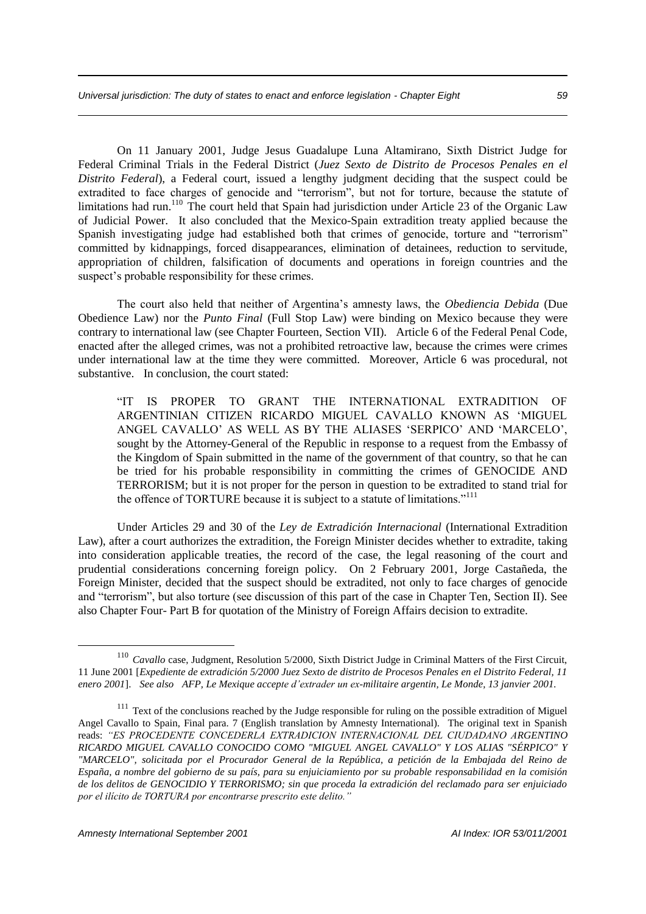On 11 January 2001, Judge Jesus Guadalupe Luna Altamirano, Sixth District Judge for Federal Criminal Trials in the Federal District (*Juez Sexto de Distrito de Procesos Penales en el Distrito Federal*), a Federal court, issued a lengthy judgment deciding that the suspect could be extradited to face charges of genocide and "terrorism", but not for torture, because the statute of limitations had run.<sup>110</sup> The court held that Spain had jurisdiction under Article 23 of the Organic Law of Judicial Power. It also concluded that the Mexico-Spain extradition treaty applied because the Spanish investigating judge had established both that crimes of genocide, torture and "terrorism" committed by kidnappings, forced disappearances, elimination of detainees, reduction to servitude, appropriation of children, falsification of documents and operations in foreign countries and the suspect's probable responsibility for these crimes.

The court also held that neither of Argentina's amnesty laws, the *Obediencia Debida* (Due Obedience Law) nor the *Punto Final* (Full Stop Law) were binding on Mexico because they were contrary to international law (see Chapter Fourteen, Section VII). Article 6 of the Federal Penal Code, enacted after the alleged crimes, was not a prohibited retroactive law, because the crimes were crimes under international law at the time they were committed. Moreover, Article 6 was procedural, not substantive. In conclusion, the court stated:

"IT IS PROPER TO GRANT THE INTERNATIONAL EXTRADITION OF ARGENTINIAN CITIZEN RICARDO MIGUEL CAVALLO KNOWN AS 'MIGUEL ANGEL CAVALLO' AS WELL AS BY THE ALIASES 'SERPICO' AND 'MARCELO', sought by the Attorney-General of the Republic in response to a request from the Embassy of the Kingdom of Spain submitted in the name of the government of that country, so that he can be tried for his probable responsibility in committing the crimes of GENOCIDE AND TERRORISM; but it is not proper for the person in question to be extradited to stand trial for the offence of TORTURE because it is subject to a statute of limitations."<sup>111</sup>

Under Articles 29 and 30 of the *Ley de Extradición Internacional* (International Extradition Law), after a court authorizes the extradition, the Foreign Minister decides whether to extradite, taking into consideration applicable treaties, the record of the case, the legal reasoning of the court and prudential considerations concerning foreign policy. On 2 February 2001, Jorge Castañeda, the Foreign Minister, decided that the suspect should be extradited, not only to face charges of genocide and "terrorism", but also torture (see discussion of this part of the case in Chapter Ten, Section II). See also Chapter Four- Part B for quotation of the Ministry of Foreign Affairs decision to extradite.

<sup>&</sup>lt;sup>110</sup> *Cavallo* case, Judgment, Resolution 5/2000, Sixth District Judge in Criminal Matters of the First Circuit, 11 June 2001 [*Expediente de extradición 5/2000 Juez Sexto de distrito de Procesos Penales en el Distrito Federal, 11 enero 2001*]. *See also AFP, Le Mexique accepte d'extrader un ex-militaire argentin, Le Monde, 13 janvier 2001.*

<sup>&</sup>lt;sup>111</sup> Text of the conclusions reached by the Judge responsible for ruling on the possible extradition of Miguel Angel Cavallo to Spain, Final para. 7 (English translation by Amnesty International). The original text in Spanish reads: *"ES PROCEDENTE CONCEDERLA EXTRADICION INTERNACIONAL DEL CIUDADANO ARGENTINO RICARDO MIGUEL CAVALLO CONOCIDO COMO "MIGUEL ANGEL CAVALLO" Y LOS ALIAS "SÉRPICO" Y "MARCELO", solicitada por el Procurador General de la República, a petición de la Embajada del Reino de España, a nombre del gobierno de su país, para su enjuiciamiento por su probable responsabilidad en la comisión de los delitos de GENOCIDIO Y TERRORISMO; sin que proceda la extradición del reclamado para ser enjuiciado por el ilícito de TORTURA por encontrarse prescrito este delito."*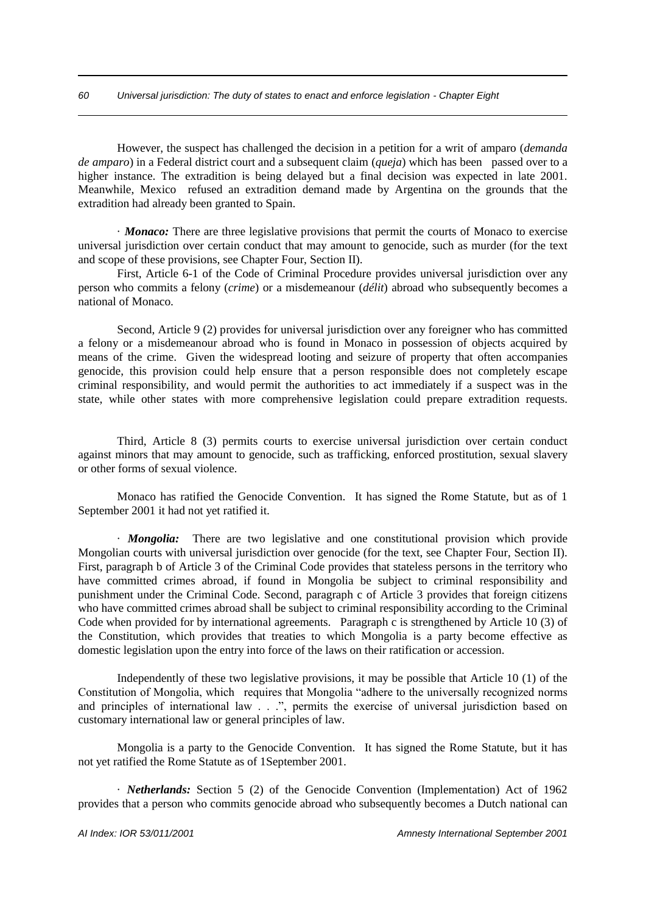However, the suspect has challenged the decision in a petition for a writ of amparo (*demanda de amparo*) in a Federal district court and a subsequent claim (*queja*) which has been passed over to a higher instance. The extradition is being delayed but a final decision was expected in late 2001. Meanwhile, Mexico refused an extradition demand made by Argentina on the grounds that the extradition had already been granted to Spain.

· *Monaco:* There are three legislative provisions that permit the courts of Monaco to exercise universal jurisdiction over certain conduct that may amount to genocide, such as murder (for the text and scope of these provisions, see Chapter Four, Section II).

First, Article 6-1 of the Code of Criminal Procedure provides universal jurisdiction over any person who commits a felony (*crime*) or a misdemeanour (*délit*) abroad who subsequently becomes a national of Monaco.

Second, Article 9 (2) provides for universal jurisdiction over any foreigner who has committed a felony or a misdemeanour abroad who is found in Monaco in possession of objects acquired by means of the crime. Given the widespread looting and seizure of property that often accompanies genocide, this provision could help ensure that a person responsible does not completely escape criminal responsibility, and would permit the authorities to act immediately if a suspect was in the state, while other states with more comprehensive legislation could prepare extradition requests.

Third, Article 8 (3) permits courts to exercise universal jurisdiction over certain conduct against minors that may amount to genocide, such as trafficking, enforced prostitution, sexual slavery or other forms of sexual violence.

Monaco has ratified the Genocide Convention. It has signed the Rome Statute, but as of 1 September 2001 it had not yet ratified it.

· *Mongolia:* There are two legislative and one constitutional provision which provide Mongolian courts with universal jurisdiction over genocide (for the text, see Chapter Four, Section II). First, paragraph b of Article 3 of the Criminal Code provides that stateless persons in the territory who have committed crimes abroad, if found in Mongolia be subject to criminal responsibility and punishment under the Criminal Code. Second, paragraph c of Article 3 provides that foreign citizens who have committed crimes abroad shall be subject to criminal responsibility according to the Criminal Code when provided for by international agreements. Paragraph c is strengthened by Article 10 (3) of the Constitution, which provides that treaties to which Mongolia is a party become effective as domestic legislation upon the entry into force of the laws on their ratification or accession.

Independently of these two legislative provisions, it may be possible that Article 10 (1) of the Constitution of Mongolia, which requires that Mongolia "adhere to the universally recognized norms and principles of international law . . .", permits the exercise of universal jurisdiction based on customary international law or general principles of law.

Mongolia is a party to the Genocide Convention. It has signed the Rome Statute, but it has not yet ratified the Rome Statute as of 1September 2001.

· *Netherlands:* Section 5 (2) of the Genocide Convention (Implementation) Act of 1962 provides that a person who commits genocide abroad who subsequently becomes a Dutch national can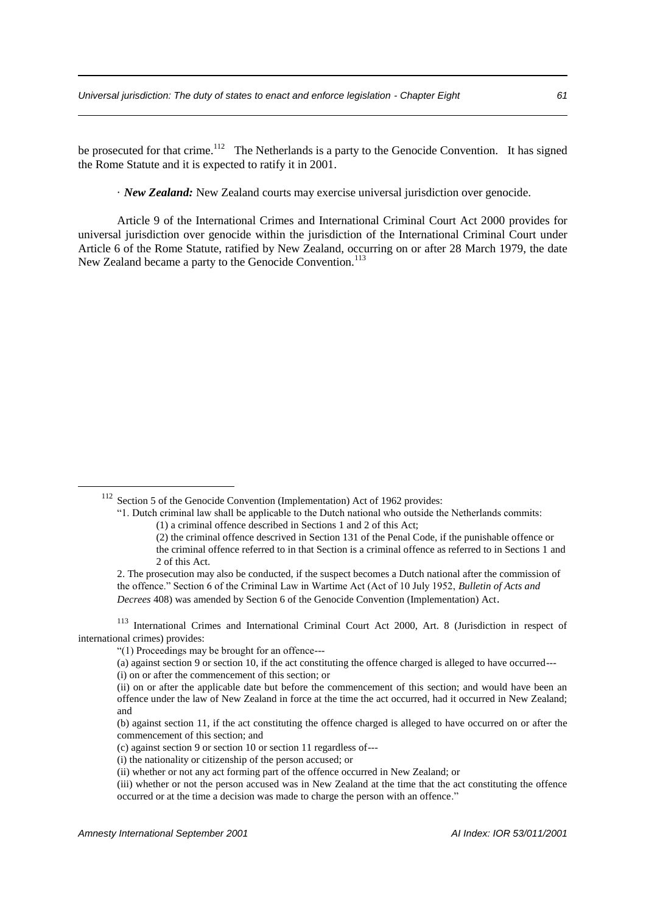be prosecuted for that crime.<sup>112</sup> The Netherlands is a party to the Genocide Convention. It has signed the Rome Statute and it is expected to ratify it in 2001.

· *New Zealand:* New Zealand courts may exercise universal jurisdiction over genocide.

Article 9 of the International Crimes and International Criminal Court Act 2000 provides for universal jurisdiction over genocide within the jurisdiction of the International Criminal Court under Article 6 of the Rome Statute, ratified by New Zealand, occurring on or after 28 March 1979, the date New Zealand became a party to the Genocide Convention.<sup>113</sup>

(i) the nationality or citizenship of the person accused; or

<sup>&</sup>lt;sup>112</sup> Section 5 of the Genocide Convention (Implementation) Act of 1962 provides:

<sup>&</sup>quot;1. Dutch criminal law shall be applicable to the Dutch national who outside the Netherlands commits: (1) a criminal offence described in Sections 1 and 2 of this Act;

<sup>(2)</sup> the criminal offence descrived in Section 131 of the Penal Code, if the punishable offence or the criminal offence referred to in that Section is a criminal offence as referred to in Sections 1 and 2 of this Act.

<sup>2.</sup> The prosecution may also be conducted, if the suspect becomes a Dutch national after the commission of the offence." Section 6 of the Criminal Law in Wartime Act (Act of 10 July 1952, *Bulletin of Acts and Decrees* 408) was amended by Section 6 of the Genocide Convention (Implementation) Act.

<sup>113</sup> International Crimes and International Criminal Court Act 2000, Art. 8 (Jurisdiction in respect of international crimes) provides:

<sup>&</sup>quot;(1) Proceedings may be brought for an offence---

<sup>(</sup>a) against section 9 or section 10, if the act constituting the offence charged is alleged to have occurred---

<sup>(</sup>i) on or after the commencement of this section; or

<sup>(</sup>ii) on or after the applicable date but before the commencement of this section; and would have been an offence under the law of New Zealand in force at the time the act occurred, had it occurred in New Zealand; and

<sup>(</sup>b) against section 11, if the act constituting the offence charged is alleged to have occurred on or after the commencement of this section; and

<sup>(</sup>c) against section 9 or section 10 or section 11 regardless of---

<sup>(</sup>ii) whether or not any act forming part of the offence occurred in New Zealand; or

<sup>(</sup>iii) whether or not the person accused was in New Zealand at the time that the act constituting the offence occurred or at the time a decision was made to charge the person with an offence."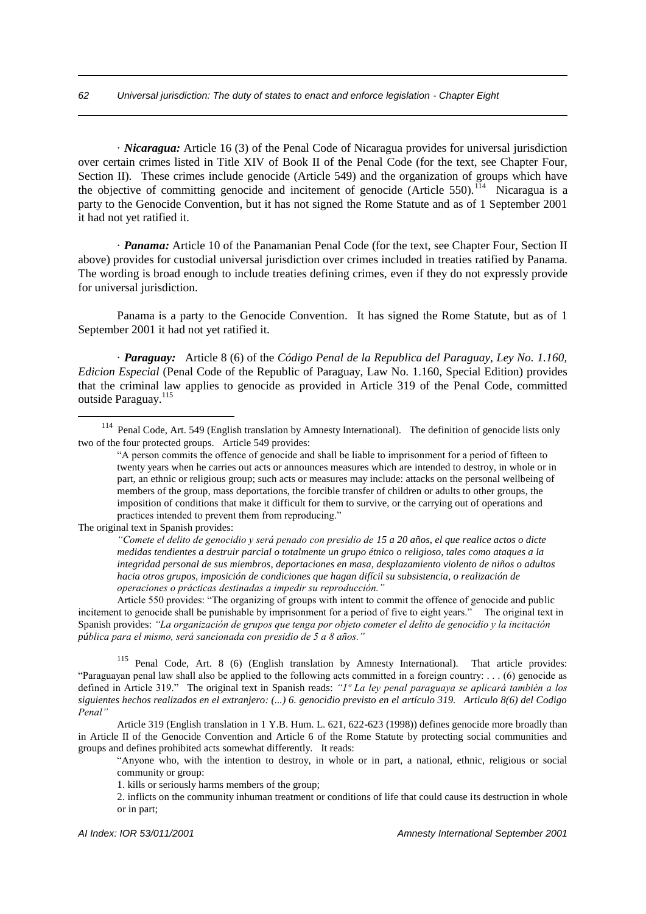· *Nicaragua:* Article 16 (3) of the Penal Code of Nicaragua provides for universal jurisdiction over certain crimes listed in Title XIV of Book II of the Penal Code (for the text, see Chapter Four, Section II). These crimes include genocide (Article 549) and the organization of groups which have the objective of committing genocide and incitement of genocide (Article 550).<sup>114</sup> Nicaragua is a party to the Genocide Convention, but it has not signed the Rome Statute and as of 1 September 2001 it had not yet ratified it.

· *Panama:* Article 10 of the Panamanian Penal Code (for the text, see Chapter Four, Section II above) provides for custodial universal jurisdiction over crimes included in treaties ratified by Panama. The wording is broad enough to include treaties defining crimes, even if they do not expressly provide for universal jurisdiction.

Panama is a party to the Genocide Convention. It has signed the Rome Statute, but as of 1 September 2001 it had not yet ratified it.

· *Paraguay:* Article 8 (6) of the *Código Penal de la Republica del Paraguay, Ley No. 1.160, Edicion Especial* (Penal Code of the Republic of Paraguay, Law No. 1.160, Special Edition) provides that the criminal law applies to genocide as provided in Article 319 of the Penal Code, committed outside Paraguay.<sup>115</sup>

The original text in Spanish provides:

1

*"Comete el delito de genocidio y será penado con presidio de 15 a 20 años, el que realice actos o dicte medidas tendientes a destruir parcial o totalmente un grupo étnico o religioso, tales como ataques a la integridad personal de sus miembros, deportaciones en masa, desplazamiento violento de niños o adultos hacia otros grupos, imposición de condiciones que hagan difícil su subsistencia, o realización de operaciones o prácticas destinadas a impedir su reproducción."*

Article 550 provides: "The organizing of groups with intent to commit the offence of genocide and public incitement to genocide shall be punishable by imprisonment for a period of five to eight years." The original text in Spanish provides: *"La organización de grupos que tenga por objeto cometer el delito de genocidio y la incitación pública para el mismo, será sancionada con presidio de 5 a 8 años."*

<sup>115</sup> Penal Code, Art. 8 (6) (English translation by Amnesty International). That article provides: "Paraguayan penal law shall also be applied to the following acts committed in a foreign country: ... (6) genocide as defined in Article 319." The original text in Spanish reads: *"1º La ley penal paraguaya se aplicará también a los siguientes hechos realizados en el extranjero: (...) 6. genocidio previsto en el artículo 319. Articulo 8(6) del Codigo Penal"*

Article 319 (English translation in 1 Y.B. Hum. L. 621, 622-623 (1998)) defines genocide more broadly than in Article II of the Genocide Convention and Article 6 of the Rome Statute by protecting social communities and groups and defines prohibited acts somewhat differently. It reads:

"Anyone who, with the intention to destroy, in whole or in part, a national, ethnic, religious or social community or group:

1. kills or seriously harms members of the group;

2. inflicts on the community inhuman treatment or conditions of life that could cause its destruction in whole or in part;

<sup>&</sup>lt;sup>114</sup> Penal Code, Art. 549 (English translation by Amnesty International). The definition of genocide lists only two of the four protected groups. Article 549 provides:

<sup>&</sup>quot;A person commits the offence of genocide and shall be liable to imprisonment for a period of fifteen to twenty years when he carries out acts or announces measures which are intended to destroy, in whole or in part, an ethnic or religious group; such acts or measures may include: attacks on the personal wellbeing of members of the group, mass deportations, the forcible transfer of children or adults to other groups, the imposition of conditions that make it difficult for them to survive, or the carrying out of operations and practices intended to prevent them from reproducing."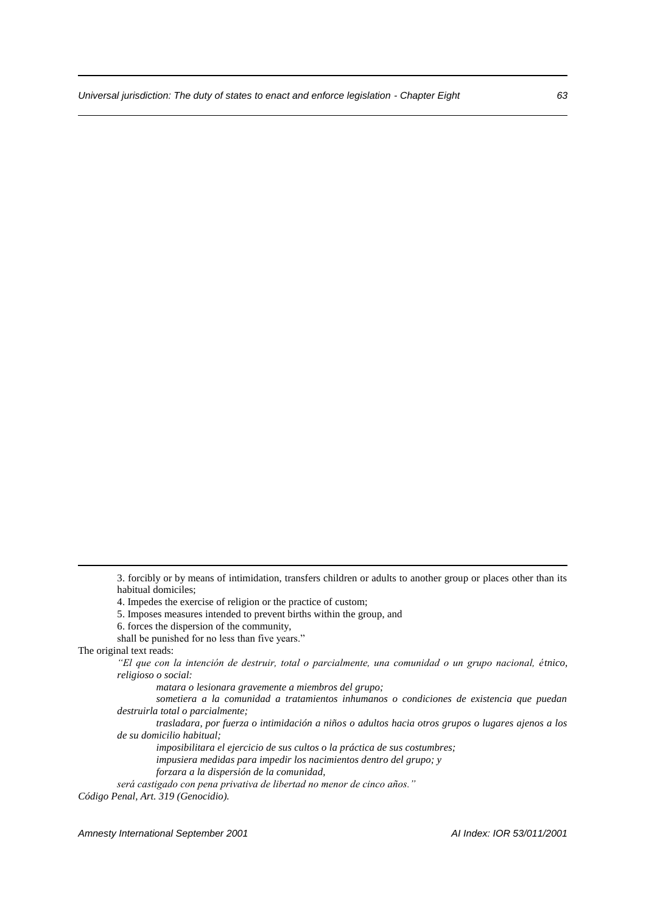5. Imposes measures intended to prevent births within the group, and

shall be punished for no less than five years."

1

*matara o lesionara gravemente a miembros del grupo;*

*sometiera a la comunidad a tratamientos inhumanos o condiciones de existencia que puedan destruirla total o parcialmente;*

*trasladara, por fuerza o intimidación a niños o adultos hacia otros grupos o lugares ajenos a los de su domicilio habitual;*

*imposibilitara el ejercicio de sus cultos o la práctica de sus costumbres;*

*impusiera medidas para impedir los nacimientos dentro del grupo; y*

*forzara a la dispersión de la comunidad,*

*será castigado con pena privativa de libertad no menor de cinco años."*

*Código Penal, Art. 319 (Genocidio).*

*Amnesty International September 2001 AI Index: IOR 53/011/2001*

<sup>3.</sup> forcibly or by means of intimidation, transfers children or adults to another group or places other than its habitual domiciles;

<sup>4.</sup> Impedes the exercise of religion or the practice of custom;

<sup>6.</sup> forces the dispersion of the community,

The original text reads:

*<sup>&</sup>quot;El que con la intención de destruir, total o parcialmente, una comunidad o un grupo nacional, étnico, religioso o social:*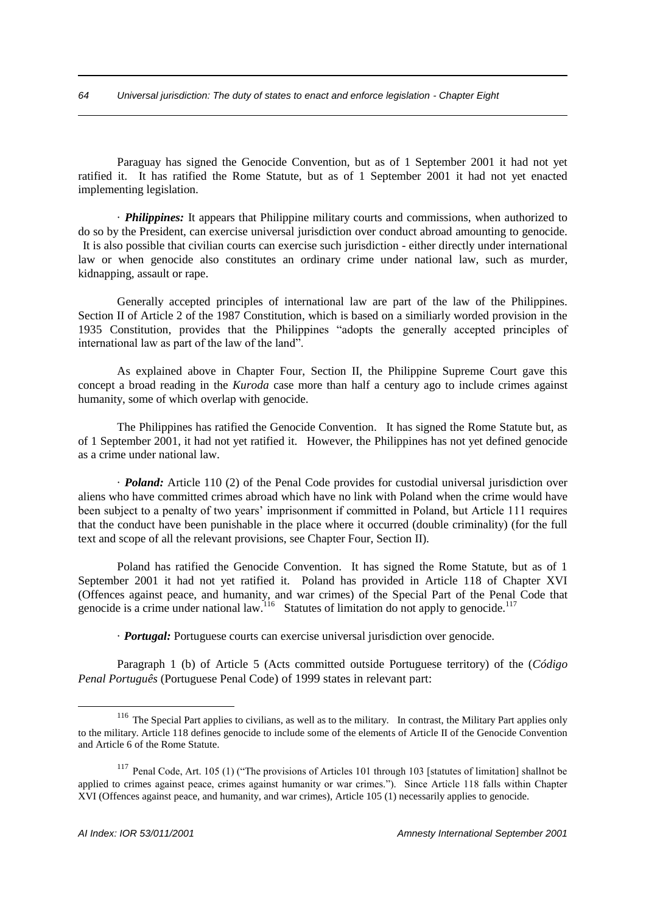Paraguay has signed the Genocide Convention, but as of 1 September 2001 it had not yet ratified it. It has ratified the Rome Statute, but as of 1 September 2001 it had not yet enacted implementing legislation.

· *Philippines:* It appears that Philippine military courts and commissions, when authorized to do so by the President, can exercise universal jurisdiction over conduct abroad amounting to genocide. It is also possible that civilian courts can exercise such jurisdiction - either directly under international law or when genocide also constitutes an ordinary crime under national law, such as murder, kidnapping, assault or rape.

Generally accepted principles of international law are part of the law of the Philippines. Section II of Article 2 of the 1987 Constitution, which is based on a similiarly worded provision in the 1935 Constitution, provides that the Philippines "adopts the generally accepted principles of international law as part of the law of the land".

As explained above in Chapter Four, Section II, the Philippine Supreme Court gave this concept a broad reading in the *Kuroda* case more than half a century ago to include crimes against humanity, some of which overlap with genocide.

The Philippines has ratified the Genocide Convention. It has signed the Rome Statute but, as of 1 September 2001, it had not yet ratified it. However, the Philippines has not yet defined genocide as a crime under national law.

· *Poland:* Article 110 (2) of the Penal Code provides for custodial universal jurisdiction over aliens who have committed crimes abroad which have no link with Poland when the crime would have been subject to a penalty of two years' imprisonment if committed in Poland, but Article 111 requires that the conduct have been punishable in the place where it occurred (double criminality) (for the full text and scope of all the relevant provisions, see Chapter Four, Section II).

Poland has ratified the Genocide Convention. It has signed the Rome Statute, but as of 1 September 2001 it had not yet ratified it. Poland has provided in Article 118 of Chapter XVI (Offences against peace, and humanity, and war crimes) of the Special Part of the Penal Code that genocide is a crime under national law.<sup>116</sup> Statutes of limitation do not apply to genocide.<sup>117</sup>

· *Portugal:* Portuguese courts can exercise universal jurisdiction over genocide.

Paragraph 1 (b) of Article 5 (Acts committed outside Portuguese territory) of the (*Código Penal Português* (Portuguese Penal Code) of 1999 states in relevant part:

<sup>&</sup>lt;sup>116</sup> The Special Part applies to civilians, as well as to the military. In contrast, the Military Part applies only to the military. Article 118 defines genocide to include some of the elements of Article II of the Genocide Convention and Article 6 of the Rome Statute.

<sup>&</sup>lt;sup>117</sup> Penal Code, Art. 105 (1) ("The provisions of Articles 101 through 103 [statutes of limitation] shallnot be applied to crimes against peace, crimes against humanity or war crimes."). Since Article 118 falls within Chapter XVI (Offences against peace, and humanity, and war crimes), Article 105 (1) necessarily applies to genocide.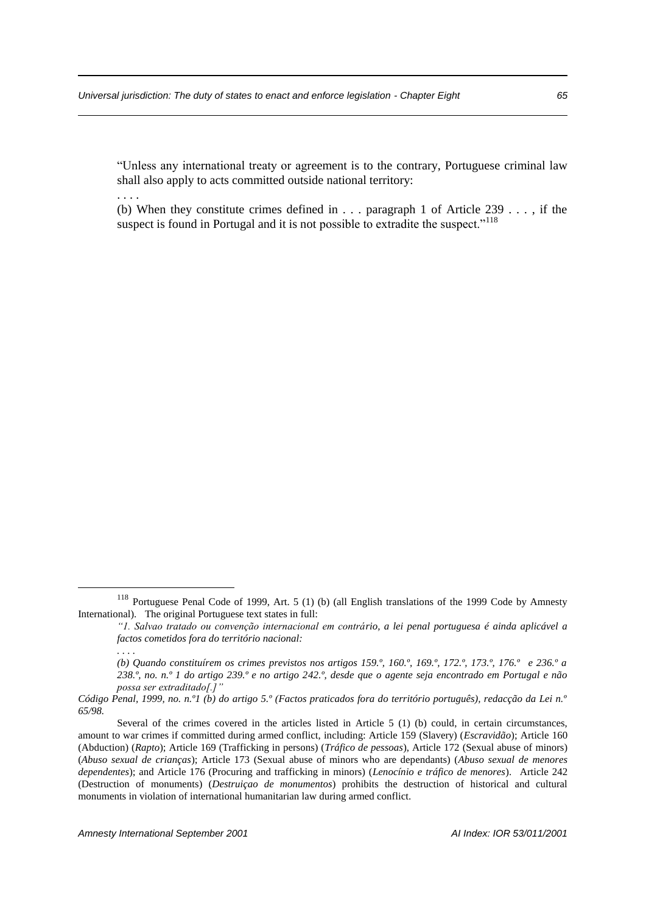"Unless any international treaty or agreement is to the contrary, Portuguese criminal law shall also apply to acts committed outside national territory:

. . . .

(b) When they constitute crimes defined in . . . paragraph 1 of Article 239 . . . , if the suspect is found in Portugal and it is not possible to extradite the suspect.<sup>"118</sup>

<sup>&</sup>lt;sup>118</sup> Portuguese Penal Code of 1999, Art. 5 (1) (b) (all English translations of the 1999 Code by Amnesty International). The original Portuguese text states in full:

*<sup>&</sup>quot;1. Salvao tratado ou convenção internacional em contrário, a lei penal portuguesa é ainda aplicável a factos cometidos fora do território nacional:*

*<sup>. . . .</sup>*

*<sup>(</sup>b) Quando constituírem os crimes previstos nos artigos 159.º, 160.º, 169.º, 172.º, 173.º, 176.º e 236.º a 238.º, no. n.º 1 do artigo 239.º e no artigo 242.º, desde que o agente seja encontrado em Portugal e não possa ser extraditado[.]"* 

*Código Penal, 1999, no. n.º1 (b) do artigo 5.º (Factos praticados fora do território português), redacção da Lei n.º 65/98.*

Several of the crimes covered in the articles listed in Article 5 (1) (b) could, in certain circumstances, amount to war crimes if committed during armed conflict, including: Article 159 (Slavery) (*Escravidão*); Article 160 (Abduction) (*Rapto*); Article 169 (Trafficking in persons) (*Tráfico de pessoas*), Article 172 (Sexual abuse of minors) (*Abuso sexual de crianças*); Article 173 (Sexual abuse of minors who are dependants) (*Abuso sexual de menores dependentes*); and Article 176 (Procuring and trafficking in minors) (*Lenocínio e tráfico de menores*). Article 242 (Destruction of monuments) (*Destruiçao de monumentos*) prohibits the destruction of historical and cultural monuments in violation of international humanitarian law during armed conflict.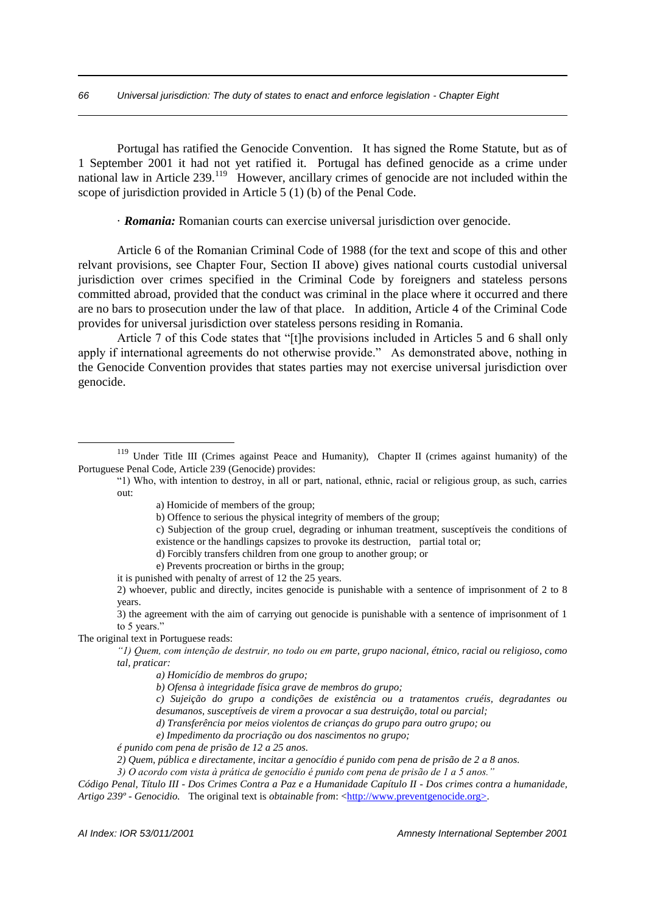Portugal has ratified the Genocide Convention. It has signed the Rome Statute, but as of 1 September 2001 it had not yet ratified it. Portugal has defined genocide as a crime under national law in Article 239.<sup>119</sup> However, ancillary crimes of genocide are not included within the scope of jurisdiction provided in Article 5 (1) (b) of the Penal Code.

· *Romania:* Romanian courts can exercise universal jurisdiction over genocide.

Article 6 of the Romanian Criminal Code of 1988 (for the text and scope of this and other relvant provisions, see Chapter Four, Section II above) gives national courts custodial universal jurisdiction over crimes specified in the Criminal Code by foreigners and stateless persons committed abroad, provided that the conduct was criminal in the place where it occurred and there are no bars to prosecution under the law of that place. In addition, Article 4 of the Criminal Code provides for universal jurisdiction over stateless persons residing in Romania.

Article 7 of this Code states that "[t]he provisions included in Articles 5 and 6 shall only apply if international agreements do not otherwise provide." As demonstrated above, nothing in the Genocide Convention provides that states parties may not exercise universal jurisdiction over genocide.

d) Forcibly transfers children from one group to another group; or

it is punished with penalty of arrest of 12 the 25 years.

The original text in Portuguese reads:

1

*a) Homicídio de membros do grupo;* 

*b) Ofensa à integridade física grave de membros do grupo;* 

- *c) Sujeição do grupo a condições de existência ou a tratamentos cruéis, degradantes ou desumanos, susceptíveis de virem a provocar a sua destruição, total ou parcial;*
- *d) Transferência por meios violentos de crianças do grupo para outro grupo; ou*
- *e) Impedimento da procriação ou dos nascimentos no grupo;*

 *2) Quem, pública e directamente, incitar a genocídio é punido com pena de prisão de 2 a 8 anos.* 

*Código Penal, Título III - Dos Crimes Contra a Paz e a Humanidade Capítulo II - Dos crimes contra a humanidade, Artigo 239º - Genocidio.* The original text is *obtainable from*: <http://www.preventgenocide.org>.

<sup>&</sup>lt;sup>119</sup> Under Title III (Crimes against Peace and Humanity), Chapter II (crimes against humanity) of the Portuguese Penal Code, Article 239 (Genocide) provides:

<sup>&</sup>quot;1) Who, with intention to destroy, in all or part, national, ethnic, racial or religious group, as such, carries out:

a) Homicide of members of the group;

b) Offence to serious the physical integrity of members of the group;

c) Subjection of the group cruel, degrading or inhuman treatment, susceptíveis the conditions of existence or the handlings capsizes to provoke its destruction, partial total or;

e) Prevents procreation or births in the group;

<sup>2)</sup> whoever, public and directly, incites genocide is punishable with a sentence of imprisonment of 2 to 8 years.

<sup>3)</sup> the agreement with the aim of carrying out genocide is punishable with a sentence of imprisonment of 1 to 5 years."

*"1) Quem, com intenção de destruir, no todo ou em parte, grupo nacional, étnico, racial ou religioso, como tal, praticar:* 

*é punido com pena de prisão de 12 a 25 anos.* 

*<sup>3)</sup> O acordo com vista à prática de genocídio é punido com pena de prisão de 1 a 5 anos."*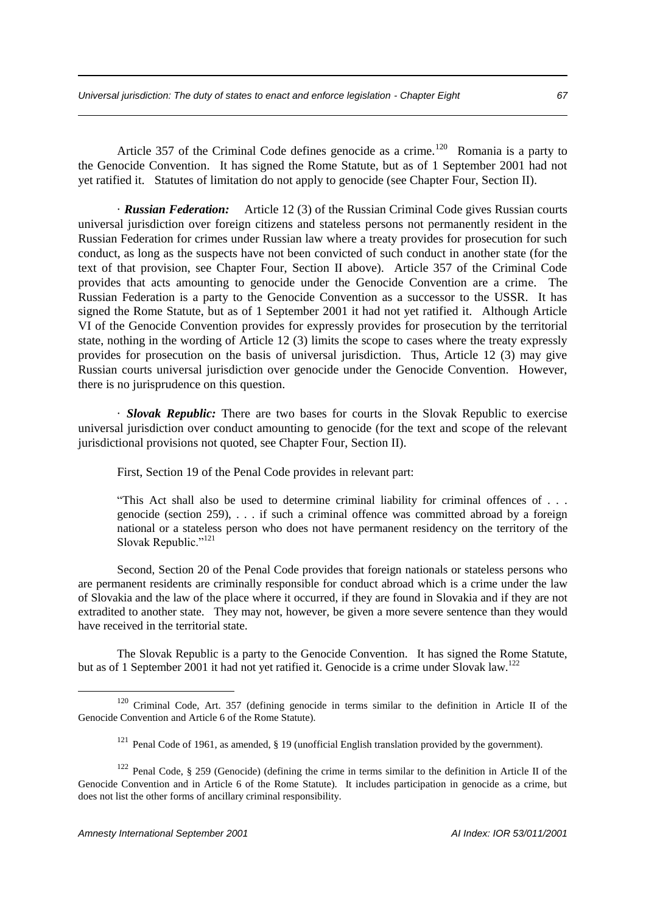Article 357 of the Criminal Code defines genocide as a crime.<sup>120</sup> Romania is a party to the Genocide Convention. It has signed the Rome Statute, but as of 1 September 2001 had not yet ratified it. Statutes of limitation do not apply to genocide (see Chapter Four, Section II).

· *Russian Federation:* Article 12 (3) of the Russian Criminal Code gives Russian courts universal jurisdiction over foreign citizens and stateless persons not permanently resident in the Russian Federation for crimes under Russian law where a treaty provides for prosecution for such conduct, as long as the suspects have not been convicted of such conduct in another state (for the text of that provision, see Chapter Four, Section II above). Article 357 of the Criminal Code provides that acts amounting to genocide under the Genocide Convention are a crime. The Russian Federation is a party to the Genocide Convention as a successor to the USSR. It has signed the Rome Statute, but as of 1 September 2001 it had not yet ratified it. Although Article VI of the Genocide Convention provides for expressly provides for prosecution by the territorial state, nothing in the wording of Article 12 (3) limits the scope to cases where the treaty expressly provides for prosecution on the basis of universal jurisdiction. Thus, Article 12 (3) may give Russian courts universal jurisdiction over genocide under the Genocide Convention. However, there is no jurisprudence on this question.

· *Slovak Republic:* There are two bases for courts in the Slovak Republic to exercise universal jurisdiction over conduct amounting to genocide (for the text and scope of the relevant jurisdictional provisions not quoted, see Chapter Four, Section II).

First, Section 19 of the Penal Code provides in relevant part:

"This Act shall also be used to determine criminal liability for criminal offences of . . . genocide (section 259), . . . if such a criminal offence was committed abroad by a foreign national or a stateless person who does not have permanent residency on the territory of the Slovak Republic."<sup>121</sup>

Second, Section 20 of the Penal Code provides that foreign nationals or stateless persons who are permanent residents are criminally responsible for conduct abroad which is a crime under the law of Slovakia and the law of the place where it occurred, if they are found in Slovakia and if they are not extradited to another state. They may not, however, be given a more severe sentence than they would have received in the territorial state.

The Slovak Republic is a party to the Genocide Convention. It has signed the Rome Statute, but as of 1 September 2001 it had not yet ratified it. Genocide is a crime under Slovak law.<sup>122</sup>

<sup>120</sup> Criminal Code, Art. 357 (defining genocide in terms similar to the definition in Article II of the Genocide Convention and Article 6 of the Rome Statute).

<sup>&</sup>lt;sup>121</sup> Penal Code of 1961, as amended, § 19 (unofficial English translation provided by the government).

<sup>122</sup> Penal Code, § 259 (Genocide) (defining the crime in terms similar to the definition in Article II of the Genocide Convention and in Article 6 of the Rome Statute). It includes participation in genocide as a crime, but does not list the other forms of ancillary criminal responsibility.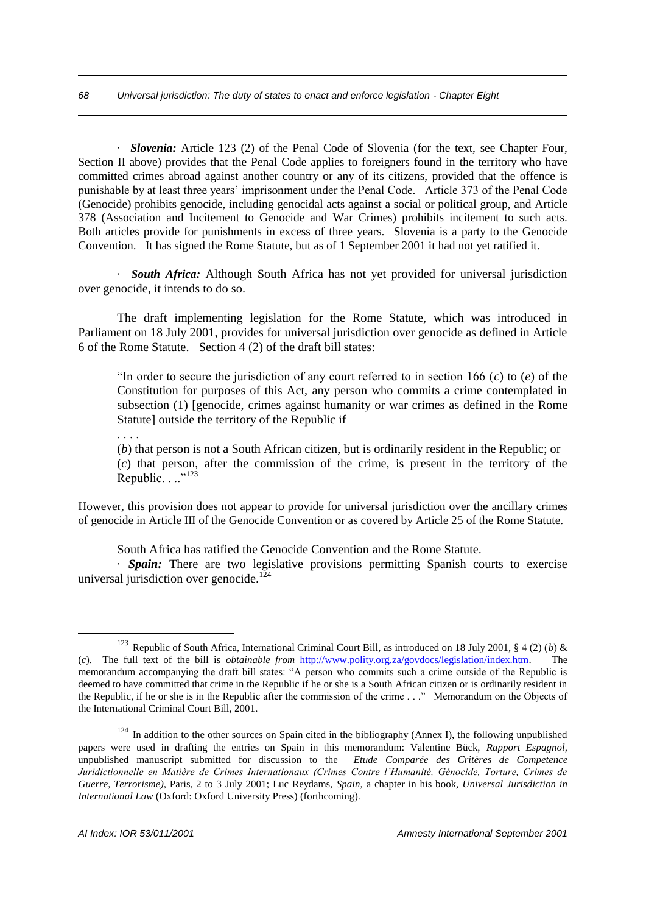· *Slovenia:* Article 123 (2) of the Penal Code of Slovenia (for the text, see Chapter Four, Section II above) provides that the Penal Code applies to foreigners found in the territory who have committed crimes abroad against another country or any of its citizens, provided that the offence is punishable by at least three years' imprisonment under the Penal Code. Article 373 of the Penal Code (Genocide) prohibits genocide, including genocidal acts against a social or political group, and Article 378 (Association and Incitement to Genocide and War Crimes) prohibits incitement to such acts. Both articles provide for punishments in excess of three years. Slovenia is a party to the Genocide Convention. It has signed the Rome Statute, but as of 1 September 2001 it had not yet ratified it.

· *South Africa:* Although South Africa has not yet provided for universal jurisdiction over genocide, it intends to do so.

The draft implementing legislation for the Rome Statute, which was introduced in Parliament on 18 July 2001, provides for universal jurisdiction over genocide as defined in Article 6 of the Rome Statute. Section 4 (2) of the draft bill states:

"In order to secure the jurisdiction of any court referred to in section 166 (*c*) to (*e*) of the Constitution for purposes of this Act, any person who commits a crime contemplated in subsection (1) [genocide, crimes against humanity or war crimes as defined in the Rome Statute] outside the territory of the Republic if

. . . .

<u>.</u>

(*b*) that person is not a South African citizen, but is ordinarily resident in the Republic; or (*c*) that person, after the commission of the crime, is present in the territory of the Republic. . ..<sup>"123</sup>

However, this provision does not appear to provide for universal jurisdiction over the ancillary crimes of genocide in Article III of the Genocide Convention or as covered by Article 25 of the Rome Statute.

South Africa has ratified the Genocide Convention and the Rome Statute.

· *Spain:* There are two legislative provisions permitting Spanish courts to exercise universal jurisdiction over genocide.<sup>124</sup>

<sup>&</sup>lt;sup>123</sup> Republic of South Africa, International Criminal Court Bill, as introduced on 18 July 2001, § 4 (2) (*b*) & (*c*). The full text of the bill is *obtainable from* http://www.polity.org.za/govdocs/legislation/index.htm. The memorandum accompanying the draft bill states: "A person who commits such a crime outside of the Republic is deemed to have committed that crime in the Republic if he or she is a South African citizen or is ordinarily resident in the Republic, if he or she is in the Republic after the commission of the crime . . ." Memorandum on the Objects of the International Criminal Court Bill, 2001.

 $124$  In addition to the other sources on Spain cited in the bibliography (Annex I), the following unpublished papers were used in drafting the entries on Spain in this memorandum: Valentine Bück, *Rapport Espagnol,* unpublished manuscript submitted for discussion to the *Etude Comparée des Critères de Competence Juridictionnelle en Matière de Crimes Internationaux (Crimes Contre l'Humanité, Génocide, Torture, Crimes de Guerre, Terrorisme),* Paris, 2 to 3 July 2001; Luc Reydams, *Spain,* a chapter in his book, *Universal Jurisdiction in International Law* (Oxford: Oxford University Press) (forthcoming).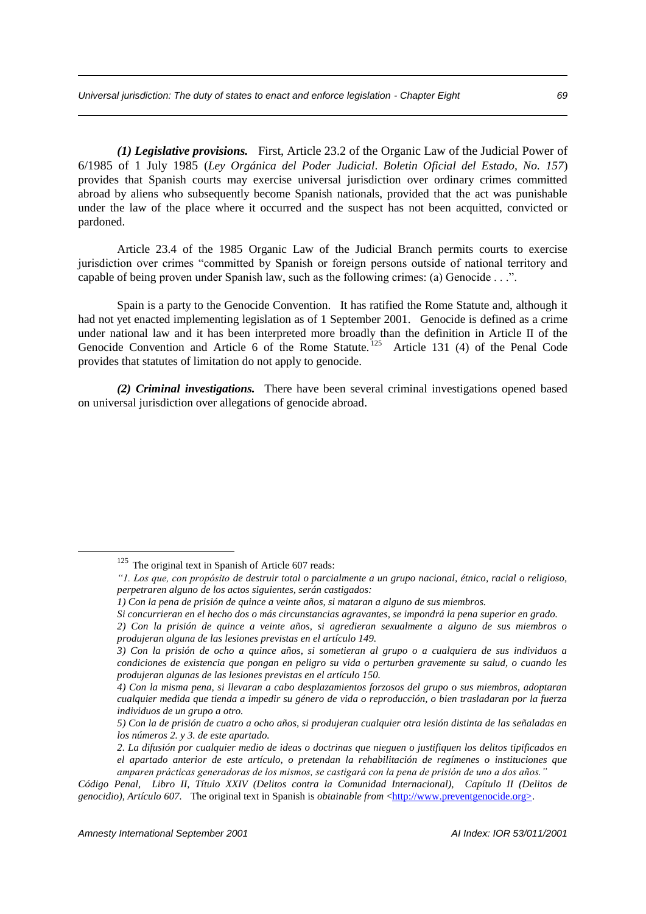*(1) Legislative provisions.* First, Article 23.2 of the Organic Law of the Judicial Power of 6/1985 of 1 July 1985 (*Ley Orgánica del Poder Judicial*. *Boletin Oficial del Estado, No. 157*) provides that Spanish courts may exercise universal jurisdiction over ordinary crimes committed abroad by aliens who subsequently become Spanish nationals, provided that the act was punishable under the law of the place where it occurred and the suspect has not been acquitted, convicted or pardoned.

Article 23.4 of the 1985 Organic Law of the Judicial Branch permits courts to exercise jurisdiction over crimes "committed by Spanish or foreign persons outside of national territory and capable of being proven under Spanish law, such as the following crimes: (a) Genocide . . .".

Spain is a party to the Genocide Convention. It has ratified the Rome Statute and, although it had not yet enacted implementing legislation as of 1 September 2001. Genocide is defined as a crime under national law and it has been interpreted more broadly than the definition in Article II of the Genocide Convention and Article 6 of the Rome Statute.<sup>125</sup> Article 131 (4) of the Penal Code provides that statutes of limitation do not apply to genocide.

*(2) Criminal investigations.* There have been several criminal investigations opened based on universal jurisdiction over allegations of genocide abroad.

<sup>&</sup>lt;sup>125</sup> The original text in Spanish of Article 607 reads:

*<sup>&</sup>quot;1. Los que, con propósito de destruir total o parcialmente a un grupo nacional, étnico, racial o religioso, perpetraren alguno de los actos siguientes, serán castigados:* 

*<sup>1)</sup> Con la pena de prisión de quince a veinte años, si mataran a alguno de sus miembros.* 

*Si concurrieran en el hecho dos o más circunstancias agravantes, se impondrá la pena superior en grado.* 

*<sup>2)</sup> Con la prisión de quince a veinte años, si agredieran sexualmente a alguno de sus miembros o produjeran alguna de las lesiones previstas en el artículo 149.* 

*<sup>3)</sup> Con la prisión de ocho a quince años, si sometieran al grupo o a cualquiera de sus individuos a condiciones de existencia que pongan en peligro su vida o perturben gravemente su salud, o cuando les produjeran algunas de las lesiones previstas en el artículo 150.* 

*<sup>4)</sup> Con la misma pena, si llevaran a cabo desplazamientos forzosos del grupo o sus miembros, adoptaran cualquier medida que tienda a impedir su género de vida o reproducción, o bien trasladaran por la fuerza individuos de un grupo a otro.* 

*<sup>5)</sup> Con la de prisión de cuatro a ocho años, si produjeran cualquier otra lesión distinta de las señaladas en los números 2. y 3. de este apartado.* 

 *<sup>2.</sup> La difusión por cualquier medio de ideas o doctrinas que nieguen o justifiquen los delitos tipificados en el apartado anterior de este artículo, o pretendan la rehabilitación de regímenes o instituciones que amparen prácticas generadoras de los mismos, se castigará con la pena de prisión de uno a dos años."*

*Código Penal, Libro II, Título XXIV (Delitos contra la Comunidad Internacional), Capítulo II (Delitos de genocidio), Artículo 607.* The original text in Spanish is *obtainable from* <http://www.preventgenocide.org>.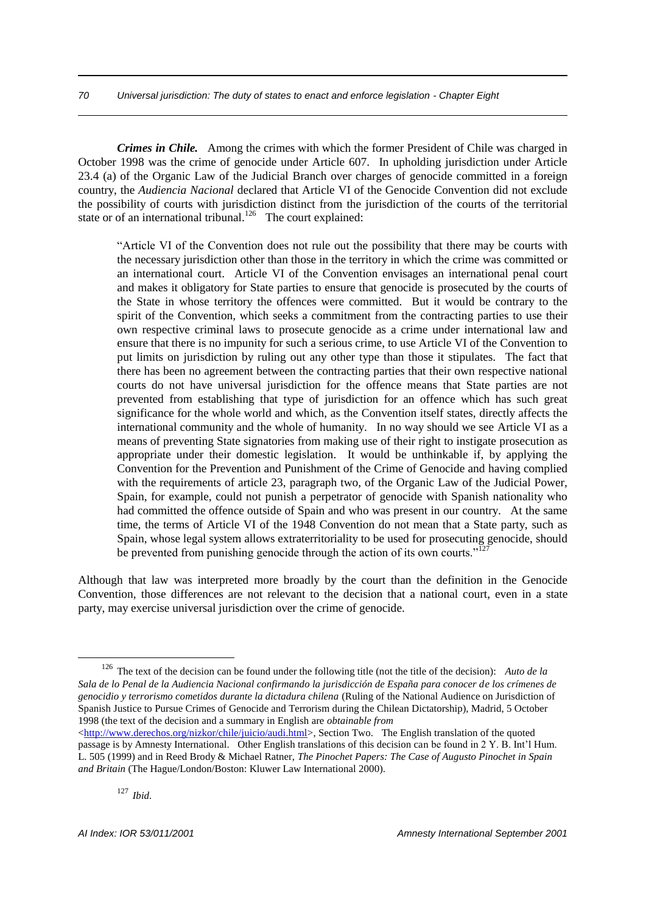*Crimes in Chile.* Among the crimes with which the former President of Chile was charged in October 1998 was the crime of genocide under Article 607. In upholding jurisdiction under Article 23.4 (a) of the Organic Law of the Judicial Branch over charges of genocide committed in a foreign country, the *Audiencia Nacional* declared that Article VI of the Genocide Convention did not exclude the possibility of courts with jurisdiction distinct from the jurisdiction of the courts of the territorial state or of an international tribunal.<sup>126</sup> The court explained:

"Article VI of the Convention does not rule out the possibility that there may be courts with the necessary jurisdiction other than those in the territory in which the crime was committed or an international court. Article VI of the Convention envisages an international penal court and makes it obligatory for State parties to ensure that genocide is prosecuted by the courts of the State in whose territory the offences were committed. But it would be contrary to the spirit of the Convention, which seeks a commitment from the contracting parties to use their own respective criminal laws to prosecute genocide as a crime under international law and ensure that there is no impunity for such a serious crime, to use Article VI of the Convention to put limits on jurisdiction by ruling out any other type than those it stipulates. The fact that there has been no agreement between the contracting parties that their own respective national courts do not have universal jurisdiction for the offence means that State parties are not prevented from establishing that type of jurisdiction for an offence which has such great significance for the whole world and which, as the Convention itself states, directly affects the international community and the whole of humanity. In no way should we see Article VI as a means of preventing State signatories from making use of their right to instigate prosecution as appropriate under their domestic legislation. It would be unthinkable if, by applying the Convention for the Prevention and Punishment of the Crime of Genocide and having complied with the requirements of article 23, paragraph two, of the Organic Law of the Judicial Power, Spain, for example, could not punish a perpetrator of genocide with Spanish nationality who had committed the offence outside of Spain and who was present in our country. At the same time, the terms of Article VI of the 1948 Convention do not mean that a State party, such as Spain, whose legal system allows extraterritoriality to be used for prosecuting genocide, should be prevented from punishing genocide through the action of its own courts."<sup>12</sup>

Although that law was interpreted more broadly by the court than the definition in the Genocide Convention, those differences are not relevant to the decision that a national court, even in a state party, may exercise universal jurisdiction over the crime of genocide.

<sup>126</sup> The text of the decision can be found under the following title (not the title of the decision): *Auto de la Sala de lo Penal de la Audiencia Nacional confirmando la jurisdicción de España para conocer de los crímenes de genocidio y terrorismo cometidos durante la dictadura chilena* (Ruling of the National Audience on Jurisdiction of Spanish Justice to Pursue Crimes of Genocide and Terrorism during the Chilean Dictatorship), Madrid, 5 October 1998 (the text of the decision and a summary in English are *obtainable from*

<sup>&</sup>lt;http://www.derechos.org/nizkor/chile/juicio/audi.html>, Section Two. The English translation of the quoted passage is by Amnesty International. Other English translations of this decision can be found in 2 Y. B. Int'l Hum. L. 505 (1999) and in Reed Brody & Michael Ratner, *The Pinochet Papers: The Case of Augusto Pinochet in Spain and Britain* (The Hague/London/Boston: Kluwer Law International 2000).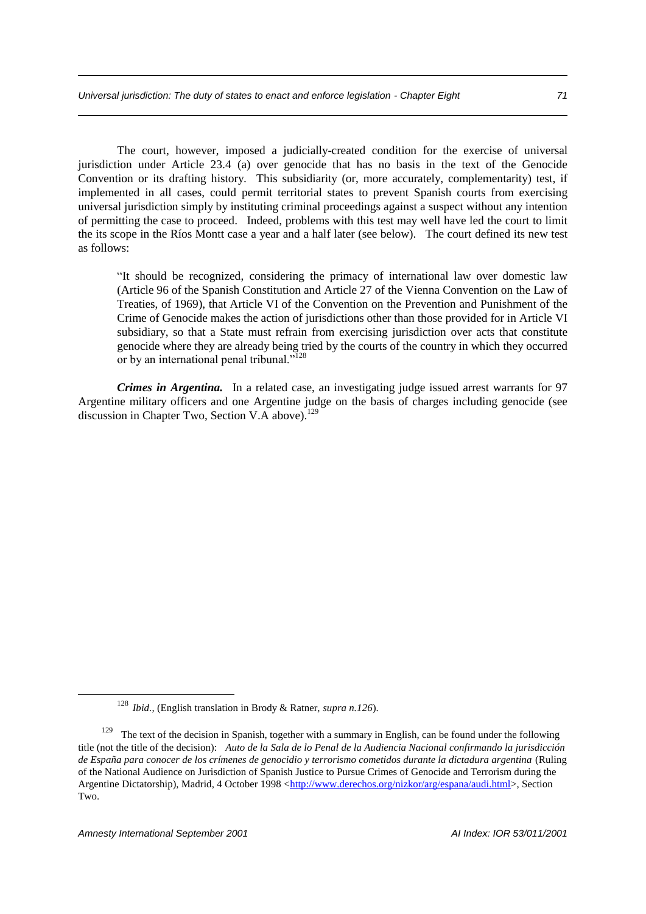The court, however, imposed a judicially-created condition for the exercise of universal jurisdiction under Article 23.4 (a) over genocide that has no basis in the text of the Genocide Convention or its drafting history. This subsidiarity (or, more accurately, complementarity) test, if implemented in all cases, could permit territorial states to prevent Spanish courts from exercising universal jurisdiction simply by instituting criminal proceedings against a suspect without any intention of permitting the case to proceed. Indeed, problems with this test may well have led the court to limit the its scope in the Ríos Montt case a year and a half later (see below). The court defined its new test as follows:

"It should be recognized, considering the primacy of international law over domestic law (Article 96 of the Spanish Constitution and Article 27 of the Vienna Convention on the Law of Treaties, of 1969), that Article VI of the Convention on the Prevention and Punishment of the Crime of Genocide makes the action of jurisdictions other than those provided for in Article VI subsidiary, so that a State must refrain from exercising jurisdiction over acts that constitute genocide where they are already being tried by the courts of the country in which they occurred or by an international penal tribunal."<sup>128</sup>

*Crimes in Argentina.* In a related case, an investigating judge issued arrest warrants for 97 Argentine military officers and one Argentine judge on the basis of charges including genocide (see discussion in Chapter Two, Section V.A above).<sup>129</sup>

<sup>128</sup> *Ibid.,* (English translation in Brody & Ratner, *supra n.126*).

<sup>&</sup>lt;sup>129</sup> The text of the decision in Spanish, together with a summary in English, can be found under the following title (not the title of the decision): *Auto de la Sala de lo Penal de la Audiencia Nacional confirmando la jurisdicción de España para conocer de los crímenes de genocidio y terrorismo cometidos durante la dictadura argentina* (Ruling of the National Audience on Jurisdiction of Spanish Justice to Pursue Crimes of Genocide and Terrorism during the Argentine Dictatorship), Madrid, 4 October 1998 <http://www.derechos.org/nizkor/arg/espana/audi.html>, Section Two.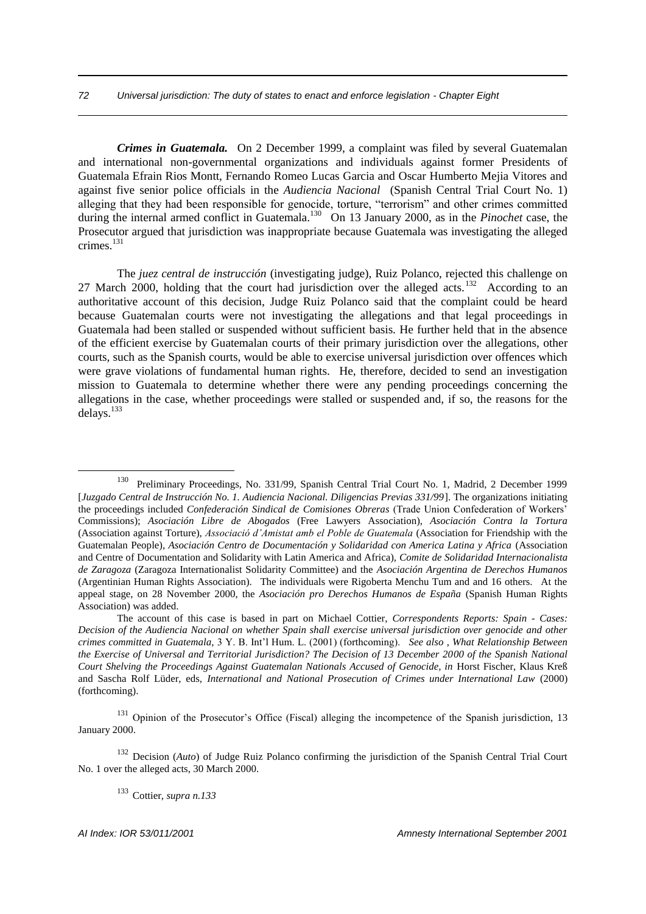*Crimes in Guatemala.* On 2 December 1999, a complaint was filed by several Guatemalan and international non-governmental organizations and individuals against former Presidents of Guatemala Efrain Rios Montt, Fernando Romeo Lucas Garcia and Oscar Humberto Mejia Vitores and against five senior police officials in the *Audiencia Nacional* (Spanish Central Trial Court No. 1) alleging that they had been responsible for genocide, torture, "terrorism" and other crimes committed during the internal armed conflict in Guatemala.<sup>130</sup> On 13 January 2000, as in the *Pinochet* case, the Prosecutor argued that jurisdiction was inappropriate because Guatemala was investigating the alleged crimes.<sup>131</sup>

The *juez central de instrucción* (investigating judge), Ruiz Polanco, rejected this challenge on 27 March 2000, holding that the court had jurisdiction over the alleged acts.<sup>132</sup> According to an authoritative account of this decision, Judge Ruiz Polanco said that the complaint could be heard because Guatemalan courts were not investigating the allegations and that legal proceedings in Guatemala had been stalled or suspended without sufficient basis. He further held that in the absence of the efficient exercise by Guatemalan courts of their primary jurisdiction over the allegations, other courts, such as the Spanish courts, would be able to exercise universal jurisdiction over offences which were grave violations of fundamental human rights. He, therefore, decided to send an investigation mission to Guatemala to determine whether there were any pending proceedings concerning the allegations in the case, whether proceedings were stalled or suspended and, if so, the reasons for the delays.<sup>133</sup>

<sup>132</sup> Decision (*Auto*) of Judge Ruiz Polanco confirming the jurisdiction of the Spanish Central Trial Court No. 1 over the alleged acts, 30 March 2000.

<sup>133</sup> Cottier, *supra n.133*

<sup>130</sup> Preliminary Proceedings, No. 331/99, Spanish Central Trial Court No. 1, Madrid, 2 December 1999 [*Juzgado Central de Instrucción No. 1. Audiencia Nacional. Diligencias Previas 331/99*]. The organizations initiating the proceedings included *Confederación Sindical de Comisiones Obreras* (Trade Union Confederation of Workers' Commissions); *Asociación Libre de Abogados* (Free Lawyers Association), *Asociación Contra la Tortura* (Association against Torture), *Associació d'Amistat amb el Poble de Guatemala* (Association for Friendship with the Guatemalan People), *Asociación Centro de Documentación y Solidaridad con America Latina y Africa* (Association and Centre of Documentation and Solidarity with Latin America and Africa), *Comite de Solidaridad Internacionalista de Zaragoza* (Zaragoza Internationalist Solidarity Committee) and the *Asociación Argentina de Derechos Humanos* (Argentinian Human Rights Association). The individuals were Rigoberta Menchu Tum and and 16 others. At the appeal stage, on 28 November 2000, the *Asociación pro Derechos Humanos de España* (Spanish Human Rights Association) was added.

The account of this case is based in part on Michael Cottier, *Correspondents Reports: Spain - Cases: Decision of the Audiencia Nacional on whether Spain shall exercise universal jurisdiction over genocide and other crimes committed in Guatemala,* 3 Y. B. Int'l Hum. L. (2001) (forthcoming). *See also* , *What Relationship Between the Exercise of Universal and Territorial Jurisdiction? The Decision of 13 December 2000 of the Spanish National Court Shelving the Proceedings Against Guatemalan Nationals Accused of Genocide, in* Horst Fischer, Klaus Kreß and Sascha Rolf Lüder, eds, *International and National Prosecution of Crimes under International Law* (2000) (forthcoming).

<sup>&</sup>lt;sup>131</sup> Opinion of the Prosecutor's Office (Fiscal) alleging the incompetence of the Spanish jurisdiction, 13 January 2000.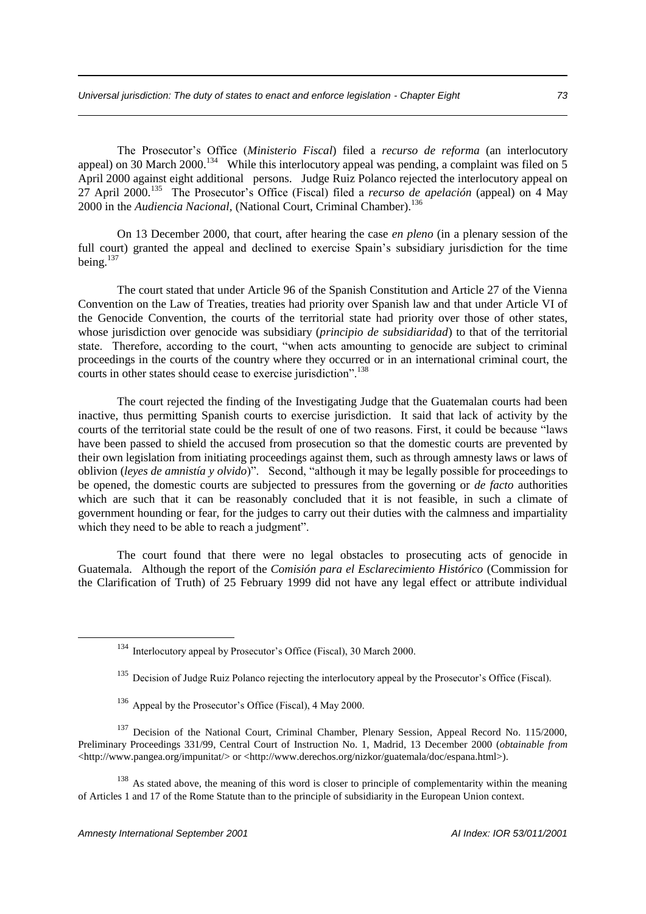The Prosecutor's Office (*Ministerio Fiscal*) filed a *recurso de reforma* (an interlocutory appeal) on 30 March 2000.<sup>134</sup> While this interlocutory appeal was pending, a complaint was filed on 5 April 2000 against eight additional persons. Judge Ruiz Polanco rejected the interlocutory appeal on 27 April 2000.<sup>135</sup> The Prosecutor's Office (Fiscal) filed a *recurso de apelación* (appeal) on 4 May 2000 in the *Audiencia Nacional*, (National Court, Criminal Chamber).<sup>136</sup>

On 13 December 2000, that court, after hearing the case *en pleno* (in a plenary session of the full court) granted the appeal and declined to exercise Spain's subsidiary jurisdiction for the time being. $137$ 

The court stated that under Article 96 of the Spanish Constitution and Article 27 of the Vienna Convention on the Law of Treaties, treaties had priority over Spanish law and that under Article VI of the Genocide Convention, the courts of the territorial state had priority over those of other states, whose jurisdiction over genocide was subsidiary (*principio de subsidiaridad*) to that of the territorial state. Therefore, according to the court, "when acts amounting to genocide are subject to criminal proceedings in the courts of the country where they occurred or in an international criminal court, the courts in other states should cease to exercise jurisdiction".<sup>138</sup>

The court rejected the finding of the Investigating Judge that the Guatemalan courts had been inactive, thus permitting Spanish courts to exercise jurisdiction. It said that lack of activity by the courts of the territorial state could be the result of one of two reasons. First, it could be because "laws have been passed to shield the accused from prosecution so that the domestic courts are prevented by their own legislation from initiating proceedings against them, such as through amnesty laws or laws of oblivion (*leyes de amnistía y olvido*)". Second, "although it may be legally possible for proceedings to be opened, the domestic courts are subjected to pressures from the governing or *de facto* authorities which are such that it can be reasonably concluded that it is not feasible, in such a climate of government hounding or fear, for the judges to carry out their duties with the calmness and impartiality which they need to be able to reach a judgment".

The court found that there were no legal obstacles to prosecuting acts of genocide in Guatemala. Although the report of the *Comisión para el Esclarecimiento Histórico* (Commission for the Clarification of Truth) of 25 February 1999 did not have any legal effect or attribute individual

<sup>138</sup> As stated above, the meaning of this word is closer to principle of complementarity within the meaning of Articles 1 and 17 of the Rome Statute than to the principle of subsidiarity in the European Union context.

<sup>134</sup> Interlocutory appeal by Prosecutor's Office (Fiscal), 30 March 2000.

<sup>&</sup>lt;sup>135</sup> Decision of Judge Ruiz Polanco rejecting the interlocutory appeal by the Prosecutor's Office (Fiscal).

<sup>&</sup>lt;sup>136</sup> Appeal by the Prosecutor's Office (Fiscal), 4 May 2000.

<sup>&</sup>lt;sup>137</sup> Decision of the National Court, Criminal Chamber, Plenary Session, Appeal Record No. 115/2000, Preliminary Proceedings 331/99, Central Court of Instruction No. 1, Madrid, 13 December 2000 (*obtainable from*  $\langle$ http://www.pangea.org/impunitat/> or  $\langle$ http://www.derechos.org/nizkor/guatemala/doc/espana.html>).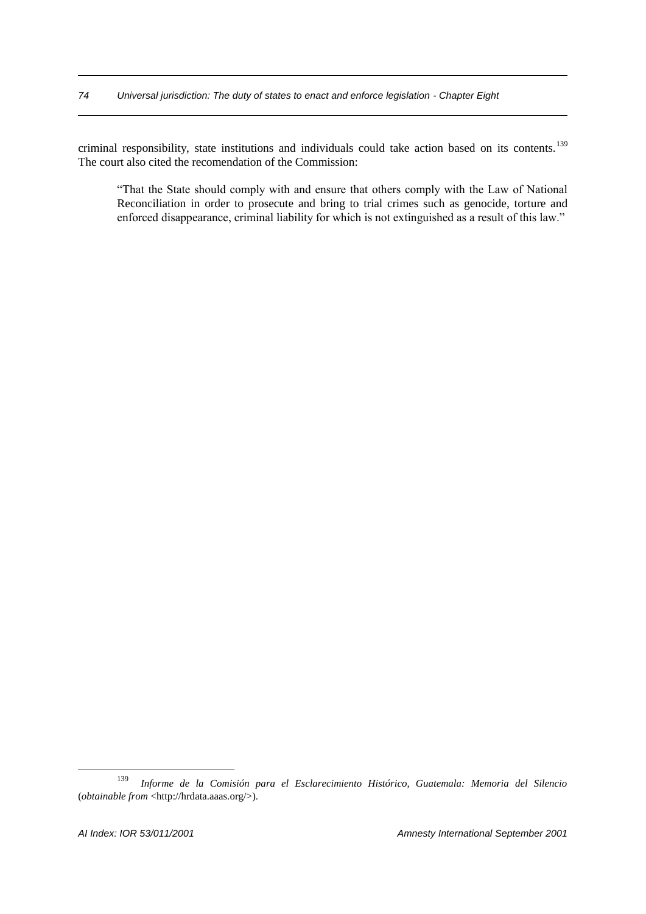criminal responsibility, state institutions and individuals could take action based on its contents.<sup>139</sup> The court also cited the recomendation of the Commission:

"That the State should comply with and ensure that others comply with the Law of National Reconciliation in order to prosecute and bring to trial crimes such as genocide, torture and enforced disappearance, criminal liability for which is not extinguished as a result of this law."

<sup>139</sup> *Informe de la Comisión para el Esclarecimiento Histórico, Guatemala: Memoria del Silencio* (*obtainable from* <http://hrdata.aaas.org/>).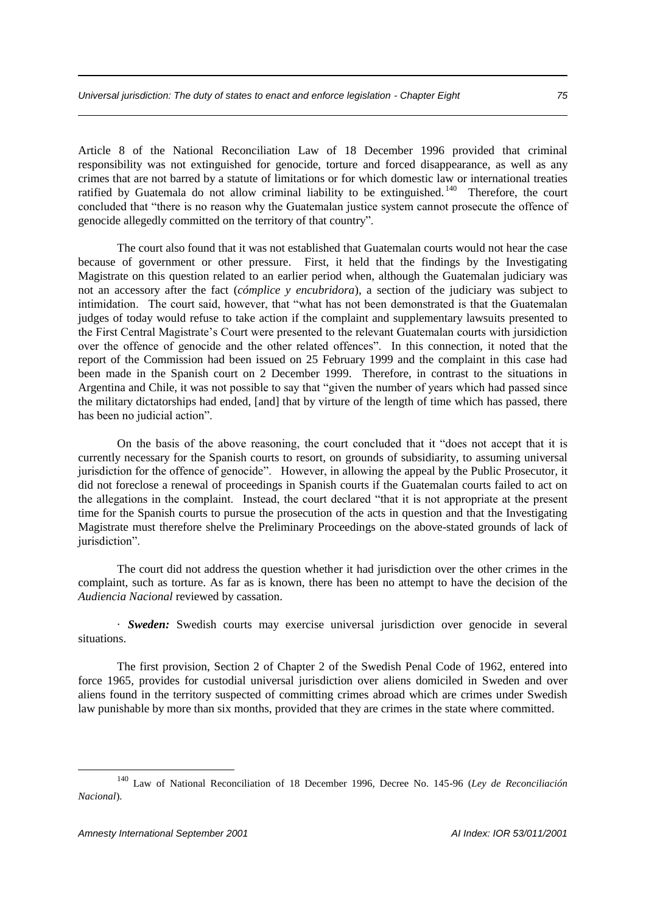Article 8 of the National Reconciliation Law of 18 December 1996 provided that criminal responsibility was not extinguished for genocide, torture and forced disappearance, as well as any crimes that are not barred by a statute of limitations or for which domestic law or international treaties ratified by Guatemala do not allow criminal liability to be extinguished.<sup>140</sup> Therefore, the court concluded that "there is no reason why the Guatemalan justice system cannot prosecute the offence of genocide allegedly committed on the territory of that country".

The court also found that it was not established that Guatemalan courts would not hear the case because of government or other pressure. First, it held that the findings by the Investigating Magistrate on this question related to an earlier period when, although the Guatemalan judiciary was not an accessory after the fact (*cómplice y encubridora*), a section of the judiciary was subject to intimidation. The court said, however, that "what has not been demonstrated is that the Guatemalan judges of today would refuse to take action if the complaint and supplementary lawsuits presented to the First Central Magistrate's Court were presented to the relevant Guatemalan courts with jursidiction over the offence of genocide and the other related offences". In this connection, it noted that the report of the Commission had been issued on 25 February 1999 and the complaint in this case had been made in the Spanish court on 2 December 1999. Therefore, in contrast to the situations in Argentina and Chile, it was not possible to say that "given the number of years which had passed since the military dictatorships had ended, [and] that by virture of the length of time which has passed, there has been no judicial action".

On the basis of the above reasoning, the court concluded that it "does not accept that it is currently necessary for the Spanish courts to resort, on grounds of subsidiarity, to assuming universal jurisdiction for the offence of genocide". However, in allowing the appeal by the Public Prosecutor, it did not foreclose a renewal of proceedings in Spanish courts if the Guatemalan courts failed to act on the allegations in the complaint. Instead, the court declared "that it is not appropriate at the present time for the Spanish courts to pursue the prosecution of the acts in question and that the Investigating Magistrate must therefore shelve the Preliminary Proceedings on the above-stated grounds of lack of jurisdiction".

The court did not address the question whether it had jurisdiction over the other crimes in the complaint, such as torture. As far as is known, there has been no attempt to have the decision of the *Audiencia Nacional* reviewed by cassation.

· *Sweden:* Swedish courts may exercise universal jurisdiction over genocide in several situations.

The first provision, Section 2 of Chapter 2 of the Swedish Penal Code of 1962, entered into force 1965, provides for custodial universal jurisdiction over aliens domiciled in Sweden and over aliens found in the territory suspected of committing crimes abroad which are crimes under Swedish law punishable by more than six months, provided that they are crimes in the state where committed.

<sup>140</sup> Law of National Reconciliation of 18 December 1996, Decree No. 145-96 (*Ley de Reconciliación Nacional*).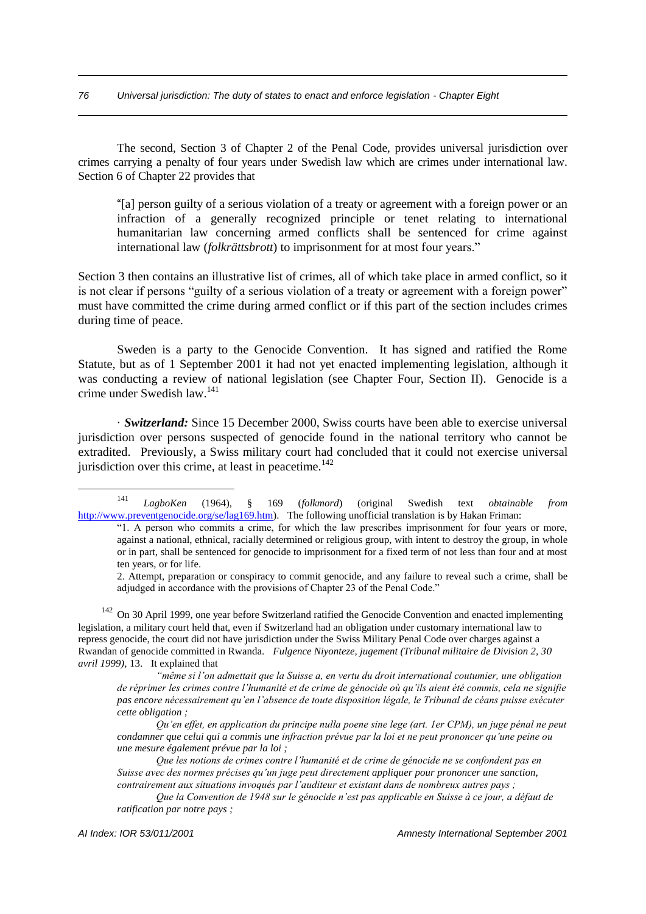The second, Section 3 of Chapter 2 of the Penal Code, provides universal jurisdiction over crimes carrying a penalty of four years under Swedish law which are crimes under international law. Section 6 of Chapter 22 provides that

"[a] person guilty of a serious violation of a treaty or agreement with a foreign power or an infraction of a generally recognized principle or tenet relating to international humanitarian law concerning armed conflicts shall be sentenced for crime against international law (*folkrättsbrott*) to imprisonment for at most four years."

Section 3 then contains an illustrative list of crimes, all of which take place in armed conflict, so it is not clear if persons "guilty of a serious violation of a treaty or agreement with a foreign power" must have committed the crime during armed conflict or if this part of the section includes crimes during time of peace.

Sweden is a party to the Genocide Convention. It has signed and ratified the Rome Statute, but as of 1 September 2001 it had not yet enacted implementing legislation, although it was conducting a review of national legislation (see Chapter Four, Section II). Genocide is a crime under Swedish law.<sup>141</sup>

· *Switzerland:* Since 15 December 2000, Swiss courts have been able to exercise universal jurisdiction over persons suspected of genocide found in the national territory who cannot be extradited. Previously, a Swiss military court had concluded that it could not exercise universal jurisdiction over this crime, at least in peacetime. $142$ 

*"même si l'on admettait que la Suisse a, en vertu du droit international coutumier, une obligation de réprimer les crimes contre l'humanité et de crime de génocide où qu'ils aient été commis, cela ne signifie pas encore nécessairement qu'en l'absence de toute disposition légale, le Tribunal de céans puisse exécuter cette obligation ;*

*Qu'en effet, en application du principe nulla poene sine lege (art. 1er CPM), un juge pénal ne peut condamner que celui qui a commis une infraction prévue par la loi et ne peut prononcer qu'une peine ou une mesure également prévue par la loi ;*

*Que les notions de crimes contre l'humanité et de crime de génocide ne se confondent pas en Suisse avec des normes précises qu'un juge peut directement appliquer pour prononcer une sanction, contrairement aux situations invoqués par l'auditeur et existant dans de nombreux autres pays ;*

<sup>141</sup> *LagboKen* (1964), § 169 (*folkmord*) (original Swedish text *obtainable from* http://www.preventgenocide.org/se/lag169.htm). The following unofficial translation is by Hakan Friman:

<sup>&</sup>quot;1. A person who commits a crime, for which the law prescribes imprisonment for four years or more, against a national, ethnical, racially determined or religious group, with intent to destroy the group, in whole or in part, shall be sentenced for genocide to imprisonment for a fixed term of not less than four and at most ten years, or for life.

<sup>2.</sup> Attempt, preparation or conspiracy to commit genocide, and any failure to reveal such a crime, shall be adjudged in accordance with the provisions of Chapter 23 of the Penal Code."

<sup>&</sup>lt;sup>142</sup> On 30 April 1999, one year before Switzerland ratified the Genocide Convention and enacted implementing legislation, a military court held that, even if Switzerland had an obligation under customary international law to repress genocide, the court did not have jurisdiction under the Swiss Military Penal Code over charges against a Rwandan of genocide committed in Rwanda. *Fulgence Niyonteze, jugement (Tribunal militaire de Division 2, 30 avril 1999),* 13. It explained that

*Que la Convention de 1948 sur le génocide n'est pas applicable en Suisse à ce jour, a défaut de ratification par notre pays ;*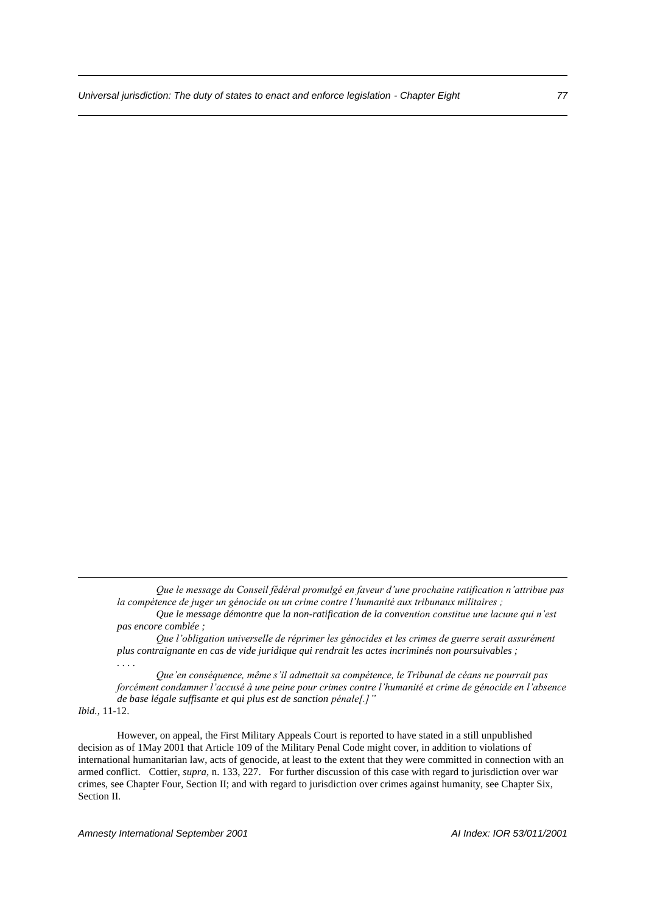*Que le message du Conseil fédéral promulgé en faveur d'une prochaine ratification n'attribue pas la compétence de juger un génocide ou un crime contre l'humanité aux tribunaux militaires ;*

*Que le message démontre que la non-ratification de la convention constitue une lacune qui n'est pas encore comblée ;*

*Que l'obligation universelle de réprimer les génocides et les crimes de guerre serait assurément plus contraignante en cas de vide juridique qui rendrait les actes incriminés non poursuivables ; . . . .*

*Que'en conséquence, même s'il admettait sa compétence, le Tribunal de céans ne pourrait pas forcément condamner l'accusé à une peine pour crimes contre l'humanité et crime de génocide en l'absence de base légale suffisante et qui plus est de sanction pénale[.]"*

*Ibid.,* 11-12.

1

However, on appeal, the First Military Appeals Court is reported to have stated in a still unpublished decision as of 1May 2001 that Article 109 of the Military Penal Code might cover, in addition to violations of international humanitarian law, acts of genocide, at least to the extent that they were committed in connection with an armed conflict. Cottier, *supra,* n. 133, 227. For further discussion of this case with regard to jurisdiction over war crimes, see Chapter Four, Section II; and with regard to jurisdiction over crimes against humanity, see Chapter Six, Section II.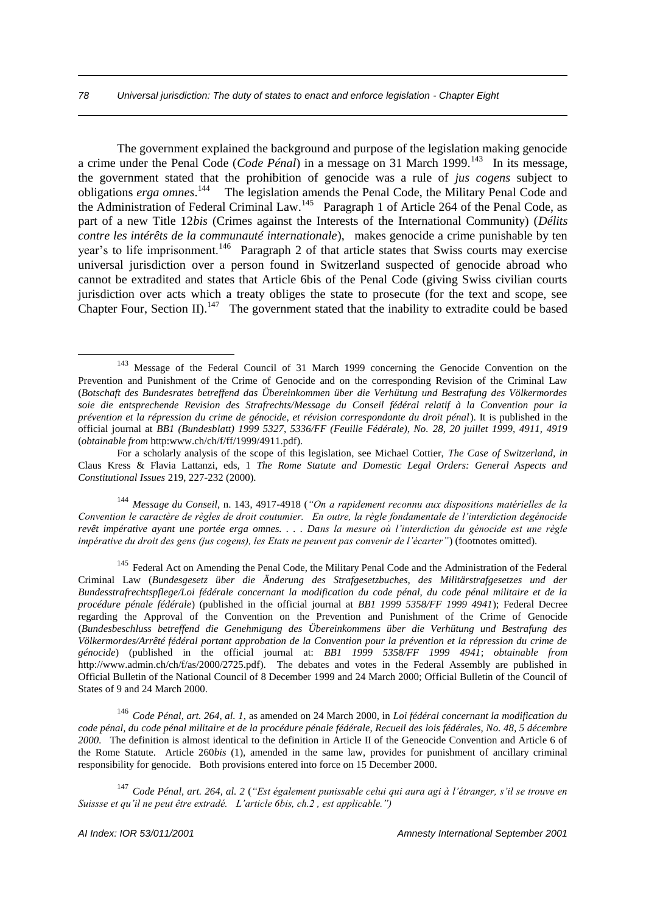The government explained the background and purpose of the legislation making genocide a crime under the Penal Code (*Code Pénal*) in a message on 31 March 1999.<sup>143</sup> In its message, the government stated that the prohibition of genocide was a rule of *jus cogens* subject to obligations *erga omnes*.<sup>144</sup> The legislation amends the Penal Code, the Military Penal Code and the Administration of Federal Criminal Law.<sup>145</sup> Paragraph 1 of Article 264 of the Penal Code, as part of a new Title 12*bis* (Crimes against the Interests of the International Community) (*Délits contre les intérêts de la communauté internationale*), makes genocide a crime punishable by ten year's to life imprisonment.<sup>146</sup> Paragraph 2 of that article states that Swiss courts may exercise universal jurisdiction over a person found in Switzerland suspected of genocide abroad who cannot be extradited and states that Article 6bis of the Penal Code (giving Swiss civilian courts jurisdiction over acts which a treaty obliges the state to prosecute (for the text and scope, see Chapter Four, Section II).<sup>147</sup> The government stated that the inability to extradite could be based

<sup>144</sup> *Message du Conseil,* n. 143, 4917-4918 (*"On a rapidement reconnu aux dispositions matérielles de la Convention le caractère de règles de droit coutumier. En outre, la règle fondamentale de l'interdiction degénocide revêt impérative ayant une portée erga omnes. . . . Dans la mesure où l'interdiction du génocide est une règle impérative du droit des gens (jus cogens), les Etats ne peuvent pas convenir de l'écarter"*) (footnotes omitted).

<sup>145</sup> Federal Act on Amending the Penal Code, the Military Penal Code and the Administration of the Federal Criminal Law (*Bundesgesetz über die Änderung des Strafgesetzbuches, des Militärstrafgesetzes und der Bundesstrafrechtspflege/Loi fédérale concernant la modification du code pénal, du code pénal militaire et de la procédure pénale fédérale*) (published in the official journal at *BB1 1999 5358/FF 1999 4941*); Federal Decree regarding the Approval of the Convention on the Prevention and Punishment of the Crime of Genocide (*Bundesbeschluss betreffend die Genehmigung des Übereinkommens über die Verhütung und Bestrafung des Völkermordes/Arrêté fédéral portant approbation de la Convention pour la prévention et la répression du crime de génocide*) (published in the official journal at: *BB1 1999 5358/FF 1999 4941*; *obtainable from*  http://www.admin.ch/ch/f/as/2000/2725.pdf). The debates and votes in the Federal Assembly are published in Official Bulletin of the National Council of 8 December 1999 and 24 March 2000; Official Bulletin of the Council of States of 9 and 24 March 2000.

<sup>146</sup> *Code Pénal, art. 264, al. 1,* as amended on 24 March 2000, in *Loi fédéral concernant la modification du code pénal, du code pénal militaire et de la procédure pénale fédérale, Recueil des lois fédérales, No. 48, 5 décembre 2000.* The definition is almost identical to the definition in Article II of the Geneocide Convention and Article 6 of the Rome Statute. Article 260*bis* (1), amended in the same law, provides for punishment of ancillary criminal responsibility for genocide. Both provisions entered into force on 15 December 2000.

<sup>147</sup> *Code Pénal, art. 264, al. 2* (*"Est également punissable celui qui aura agi à l'étranger, s'il se trouve en Suissse et qu'il ne peut être extradé. L'article 6bis, ch.2 , est applicable.")*

<sup>&</sup>lt;sup>143</sup> Message of the Federal Council of 31 March 1999 concerning the Genocide Convention on the Prevention and Punishment of the Crime of Genocide and on the corresponding Revision of the Criminal Law (*Botschaft des Bundesrates betreffend das Übereinkommen über die Verhütung und Bestrafung des Völkermordes soie die entsprechende Revision des Strafrechts/Message du Conseil fédéral relatif à la Convention pour la prévention et la répression du crime de génocide, et révision correspondante du droit pénal*). It is published in the official journal at *BB1 (Bundesblatt) 1999 5327, 5336/FF (Feuille Fédérale), No. 28, 20 juillet 1999, 4911, 4919* (*obtainable from* http:www.ch/ch/f/ff/1999/4911.pdf).

For a scholarly analysis of the scope of this legislation, see Michael Cottier, *The Case of Switzerland, in*  Claus Kress & Flavia Lattanzi, eds, 1 *The Rome Statute and Domestic Legal Orders: General Aspects and Constitutional Issues* 219, 227-232 (2000).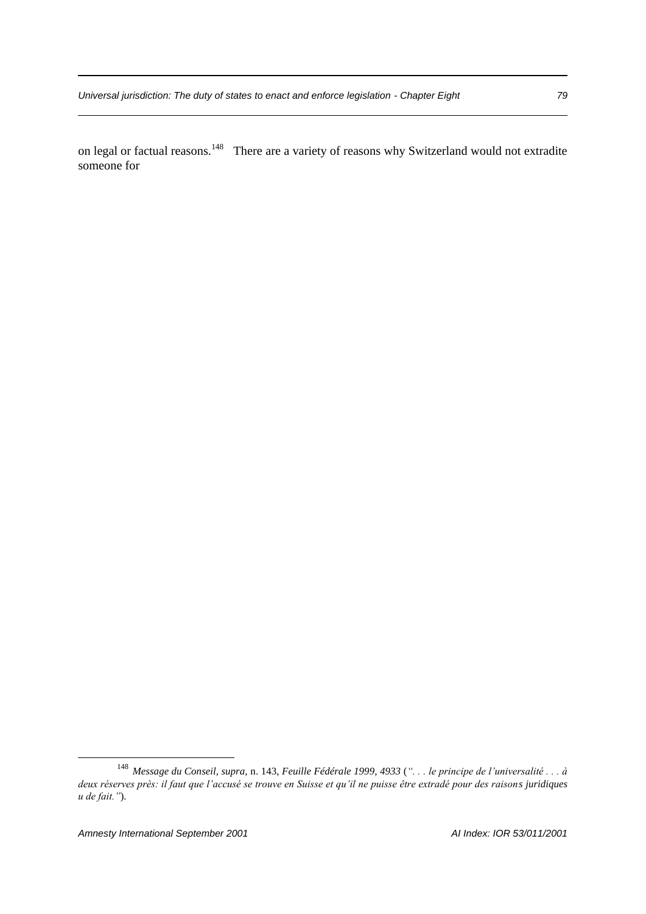on legal or factual reasons.<sup>148</sup> There are a variety of reasons why Switzerland would not extradite someone for

<sup>148</sup> *Message du Conseil, supra,* n. 143, *Feuille Fédérale 1999, 4933* (*". . . le principe de l'universalité . . . à deux réserves près: il faut que l'accusé se trouve en Suisse et qu'il ne puisse être extradé pour des raisons juridiques u de fait."*).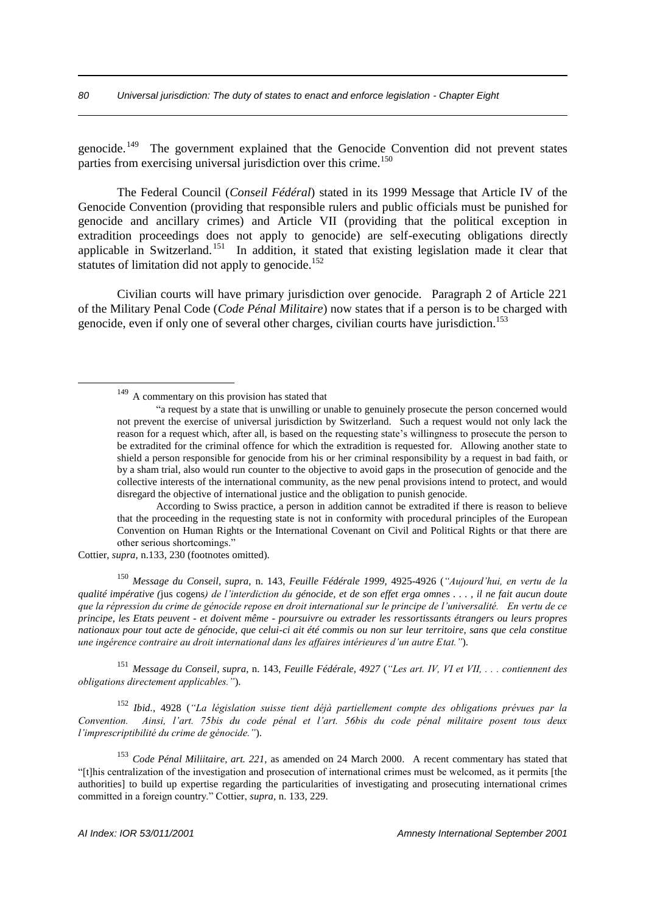genocide.<sup>149</sup> The government explained that the Genocide Convention did not prevent states parties from exercising universal jurisdiction over this crime.<sup>150</sup>

The Federal Council (*Conseil Fédéral*) stated in its 1999 Message that Article IV of the Genocide Convention (providing that responsible rulers and public officials must be punished for genocide and ancillary crimes) and Article VII (providing that the political exception in extradition proceedings does not apply to genocide) are self-executing obligations directly applicable in Switzerland.<sup>151</sup> In addition, it stated that existing legislation made it clear that statutes of limitation did not apply to genocide.<sup>152</sup>

Civilian courts will have primary jurisdiction over genocide. Paragraph 2 of Article 221 of the Military Penal Code (*Code Pénal Militaire*) now states that if a person is to be charged with genocide, even if only one of several other charges, civilian courts have jurisdiction.<sup>153</sup>

According to Swiss practice, a person in addition cannot be extradited if there is reason to believe that the proceeding in the requesting state is not in conformity with procedural principles of the European Convention on Human Rights or the International Covenant on Civil and Political Rights or that there are other serious shortcomings."

Cottier, *supra,* n.133, 230 (footnotes omitted).

1

<sup>150</sup> *Message du Conseil, supra,* n. 143, *Feuille Fédérale 1999,* 4925-4926 (*"Aujourd'hui, en vertu de la qualité impérative (*jus cogens*) de l'interdiction du génocide, et de son effet erga omnes . . . , il ne fait aucun doute que la répression du crime de génocide repose en droit international sur le principe de l'universalité. En vertu de ce principe, les Etats peuvent - et doivent même - poursuivre ou extrader les ressortissants étrangers ou leurs propres nationaux pour tout acte de génocide, que celui-ci ait été commis ou non sur leur territoire, sans que cela constitue une ingérence contraire au droit international dans les affaires intérieures d'un autre Etat."*).

<sup>151</sup> *Message du Conseil, supra,* n. 143, *Feuille Fédérale, 4927* (*"Les art. IV, VI et VII, . . . contiennent des obligations directement applicables."*).

<sup>152</sup> *Ibid.,* 4928 (*"La législation suisse tient déjà partiellement compte des obligations prévues par la Convention. Ainsi, l'art. 75bis du code pénal et l'art. 56bis du code pénal militaire posent tous deux l'imprescriptibilité du crime de génocide."*).

<sup>153</sup> *Code Pénal Miliitaire, art. 221,* as amended on 24 March 2000. A recent commentary has stated that "[t]his centralization of the investigation and prosecution of international crimes must be welcomed, as it permits [the authorities] to build up expertise regarding the particularities of investigating and prosecuting international crimes committed in a foreign country." Cottier, *supra,* n. 133, 229.

<sup>&</sup>lt;sup>149</sup> A commentary on this provision has stated that

<sup>&</sup>quot;a request by a state that is unwilling or unable to genuinely prosecute the person concerned would not prevent the exercise of universal jurisdiction by Switzerland. Such a request would not only lack the reason for a request which, after all, is based on the requesting state's willingness to prosecute the person to be extradited for the criminal offence for which the extradition is requested for. Allowing another state to shield a person responsible for genocide from his or her criminal responsibility by a request in bad faith, or by a sham trial, also would run counter to the objective to avoid gaps in the prosecution of genocide and the collective interests of the international community, as the new penal provisions intend to protect, and would disregard the objective of international justice and the obligation to punish genocide.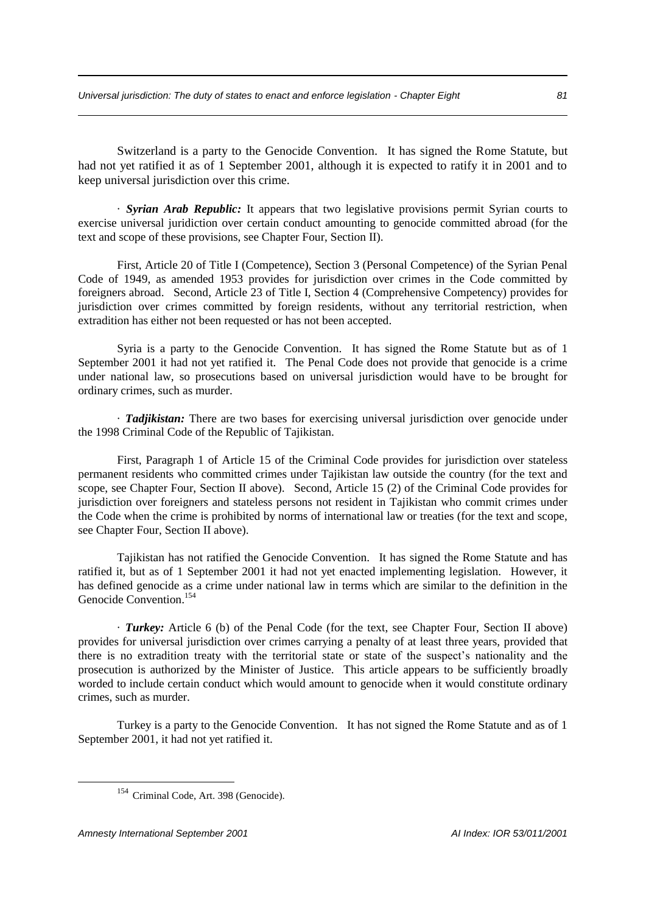Switzerland is a party to the Genocide Convention. It has signed the Rome Statute, but had not yet ratified it as of 1 September 2001, although it is expected to ratify it in 2001 and to keep universal jurisdiction over this crime.

· *Syrian Arab Republic:* It appears that two legislative provisions permit Syrian courts to exercise universal juridiction over certain conduct amounting to genocide committed abroad (for the text and scope of these provisions, see Chapter Four, Section II).

First, Article 20 of Title I (Competence), Section 3 (Personal Competence) of the Syrian Penal Code of 1949, as amended 1953 provides for jurisdiction over crimes in the Code committed by foreigners abroad. Second, Article 23 of Title I, Section 4 (Comprehensive Competency) provides for jurisdiction over crimes committed by foreign residents, without any territorial restriction, when extradition has either not been requested or has not been accepted.

Syria is a party to the Genocide Convention. It has signed the Rome Statute but as of 1 September 2001 it had not yet ratified it. The Penal Code does not provide that genocide is a crime under national law, so prosecutions based on universal jurisdiction would have to be brought for ordinary crimes, such as murder.

· *Tadjikistan:* There are two bases for exercising universal jurisdiction over genocide under the 1998 Criminal Code of the Republic of Tajikistan.

First, Paragraph 1 of Article 15 of the Criminal Code provides for jurisdiction over stateless permanent residents who committed crimes under Tajikistan law outside the country (for the text and scope, see Chapter Four, Section II above). Second, Article 15 (2) of the Criminal Code provides for jurisdiction over foreigners and stateless persons not resident in Tajikistan who commit crimes under the Code when the crime is prohibited by norms of international law or treaties (for the text and scope, see Chapter Four, Section II above).

Tajikistan has not ratified the Genocide Convention. It has signed the Rome Statute and has ratified it, but as of 1 September 2001 it had not yet enacted implementing legislation. However, it has defined genocide as a crime under national law in terms which are similar to the definition in the Genocide Convention. 154

· *Turkey:* Article 6 (b) of the Penal Code (for the text, see Chapter Four, Section II above) provides for universal jurisdiction over crimes carrying a penalty of at least three years, provided that there is no extradition treaty with the territorial state or state of the suspect's nationality and the prosecution is authorized by the Minister of Justice. This article appears to be sufficiently broadly worded to include certain conduct which would amount to genocide when it would constitute ordinary crimes, such as murder.

Turkey is a party to the Genocide Convention. It has not signed the Rome Statute and as of 1 September 2001, it had not yet ratified it.

<sup>&</sup>lt;sup>154</sup> Criminal Code, Art. 398 (Genocide).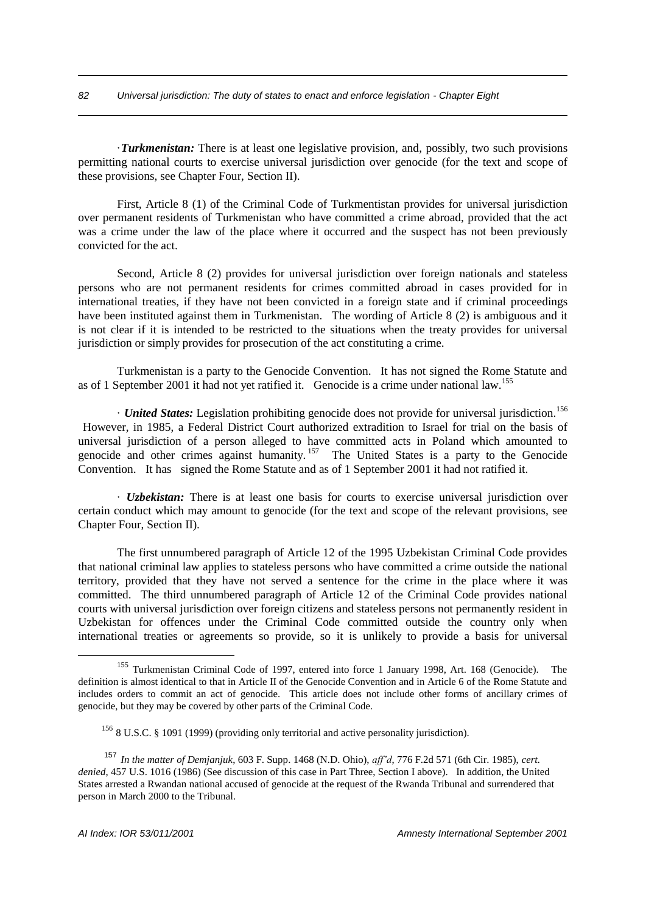·*Turkmenistan:* There is at least one legislative provision, and, possibly, two such provisions permitting national courts to exercise universal jurisdiction over genocide (for the text and scope of these provisions, see Chapter Four, Section II).

First, Article 8 (1) of the Criminal Code of Turkmentistan provides for universal jurisdiction over permanent residents of Turkmenistan who have committed a crime abroad, provided that the act was a crime under the law of the place where it occurred and the suspect has not been previously convicted for the act.

Second, Article 8 (2) provides for universal jurisdiction over foreign nationals and stateless persons who are not permanent residents for crimes committed abroad in cases provided for in international treaties, if they have not been convicted in a foreign state and if criminal proceedings have been instituted against them in Turkmenistan. The wording of Article 8 (2) is ambiguous and it is not clear if it is intended to be restricted to the situations when the treaty provides for universal jurisdiction or simply provides for prosecution of the act constituting a crime.

Turkmenistan is a party to the Genocide Convention. It has not signed the Rome Statute and as of 1 September 2001 it had not yet ratified it. Genocide is a crime under national law.<sup>155</sup>

· *United States:* Legislation prohibiting genocide does not provide for universal jurisdiction.<sup>156</sup> However, in 1985, a Federal District Court authorized extradition to Israel for trial on the basis of universal jurisdiction of a person alleged to have committed acts in Poland which amounted to genocide and other crimes against humanity.<sup>157</sup> The United States is a party to the Genocide Convention. It has signed the Rome Statute and as of 1 September 2001 it had not ratified it.

· *Uzbekistan:* There is at least one basis for courts to exercise universal jurisdiction over certain conduct which may amount to genocide (for the text and scope of the relevant provisions, see Chapter Four, Section II).

The first unnumbered paragraph of Article 12 of the 1995 Uzbekistan Criminal Code provides that national criminal law applies to stateless persons who have committed a crime outside the national territory, provided that they have not served a sentence for the crime in the place where it was committed. The third unnumbered paragraph of Article 12 of the Criminal Code provides national courts with universal jurisdiction over foreign citizens and stateless persons not permanently resident in Uzbekistan for offences under the Criminal Code committed outside the country only when international treaties or agreements so provide, so it is unlikely to provide a basis for universal

<sup>&</sup>lt;sup>155</sup> Turkmenistan Criminal Code of 1997, entered into force 1 January 1998, Art. 168 (Genocide). The definition is almost identical to that in Article II of the Genocide Convention and in Article 6 of the Rome Statute and includes orders to commit an act of genocide. This article does not include other forms of ancillary crimes of genocide, but they may be covered by other parts of the Criminal Code.

<sup>156</sup> 8 U.S.C. § 1091 (1999) (providing only territorial and active personality jurisdiction).

<sup>157</sup> *In the matter of Demjanjuk*, 603 F. Supp. 1468 (N.D. Ohio), *aff'd*, 776 F.2d 571 (6th Cir. 1985), *cert. denied*, 457 U.S. 1016 (1986) (See discussion of this case in Part Three, Section I above). In addition, the United States arrested a Rwandan national accused of genocide at the request of the Rwanda Tribunal and surrendered that person in March 2000 to the Tribunal.